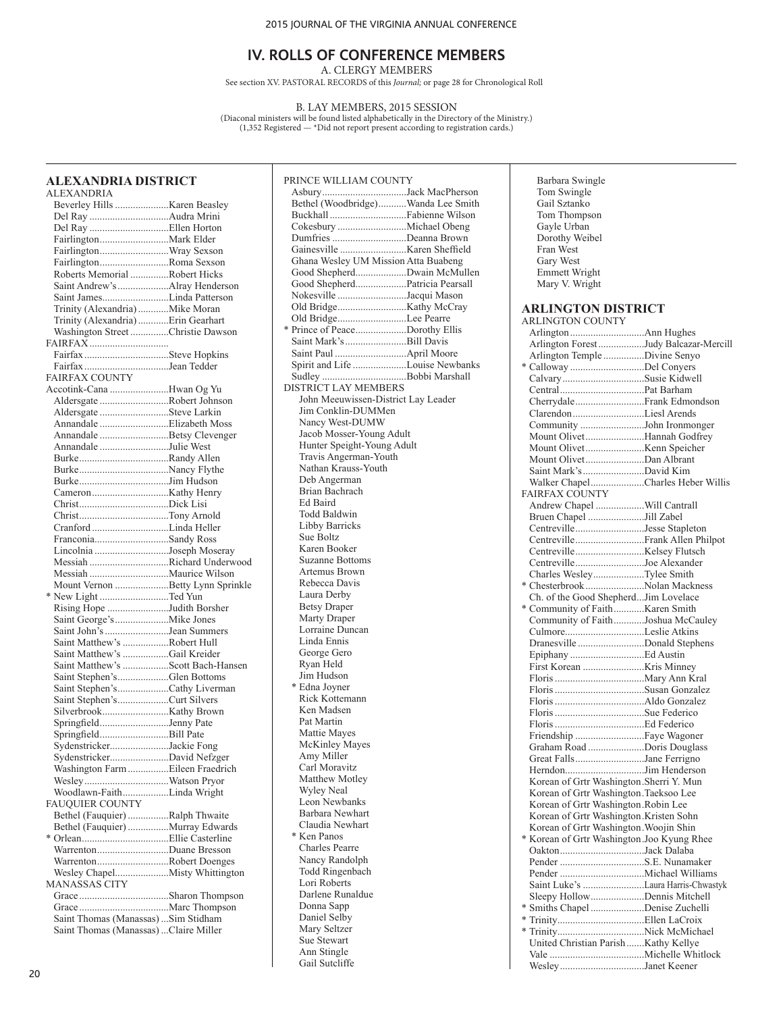A. CLERGY MEMBERS

See section XV. PASTORAL RECORDS of this *Journal;* or page 28 for Chronological Roll

B. LAY MEMBERS, 2015 SESSION

(Diaconal ministers will be found listed alphabetically in the Directory of the Ministry.) (1,352 Registered — \*Did not report present according to registration cards.)

# **ALEXANDRIA DISTRICT**

| <b>ALEXANDRIA</b>                      |  |
|----------------------------------------|--|
|                                        |  |
| Del Ray Audra Mrini                    |  |
|                                        |  |
|                                        |  |
| FairlingtonWray Sexson                 |  |
| FairlingtonRoma Sexson                 |  |
| Roberts Memorial Robert Hicks          |  |
| Saint Andrew's Alray Henderson         |  |
| Saint JamesLinda Patterson             |  |
| Trinity (Alexandria) Mike Moran        |  |
| Trinity (Alexandria) Erin Gearhart     |  |
| Washington Street Christie Dawson      |  |
|                                        |  |
| Fairfax Steve Hopkins                  |  |
| Fairfax Jean Tedder                    |  |
| <b>FAIRFAX COUNTY</b>                  |  |
| Accotink-Cana Hwan Og Yu               |  |
| Aldersgate Robert Johnson              |  |
| Aldersgate Steve Larkin                |  |
| Annandale Elizabeth Moss               |  |
| Annandale Betsy Clevenger              |  |
| Annandale Julie West                   |  |
|                                        |  |
|                                        |  |
|                                        |  |
|                                        |  |
|                                        |  |
|                                        |  |
|                                        |  |
| FranconiaSandy Ross                    |  |
| Lincolnia Joseph Moseray               |  |
| Messiah Richard Underwood              |  |
|                                        |  |
| Mount Vernon Betty Lynn Sprinkle       |  |
| * New Light Ted Yun                    |  |
| Rising Hope Judith Borsher             |  |
|                                        |  |
| Saint John's Jean Summers              |  |
| Saint Matthew's Robert Hull            |  |
| Saint Matthew's Gail Kreider           |  |
| Saint Matthew's Scott Bach-Hansen      |  |
| Saint Stephen'sGlen Bottoms            |  |
| Saint Stephen'sCathy Liverman          |  |
| Saint Stephen'sCurt Silvers            |  |
|                                        |  |
| SpringfieldJenny Pate                  |  |
| SpringfieldBill Pate                   |  |
| SydenstrickerJackie Fong               |  |
| SydenstrickerDavid Nefzger             |  |
| Washington Farm Eileen Fraedrich       |  |
|                                        |  |
| Woodlawn-FaithLinda Wright             |  |
| <b>FAUQUIER COUNTY</b>                 |  |
| Bethel (Fauquier) Ralph Thwaite        |  |
| Bethel (Fauquier) Murray Edwards       |  |
|                                        |  |
| WarrentonDuane Bresson                 |  |
| WarrentonRobert Doenges                |  |
|                                        |  |
| <b>MANASSAS CITY</b>                   |  |
|                                        |  |
|                                        |  |
| Saint Thomas (Manassas)  Sim Stidham   |  |
| Saint Thomas (Manassas)  Claire Miller |  |

| PRINCE WILLIAM COUNTY                |  |
|--------------------------------------|--|
| AsburyJack MacPherson                |  |
| Bethel (Woodbridge)Wanda Lee Smith   |  |
| Buckhall Fabienne Wilson             |  |
|                                      |  |
| Dumfries Deanna Brown                |  |
|                                      |  |
|                                      |  |
| Ghana Wesley UM Mission Atta Buabeng |  |
| Good ShepherdDwain McMullen          |  |
| Good ShepherdPatricia Pearsall       |  |
| Nokesville Jacqui Mason              |  |
|                                      |  |
| Old BridgeLee Pearre                 |  |
| * Prince of PeaceDorothy Ellis       |  |
| Saint Mark's Bill Davis              |  |
|                                      |  |
| Spirit and Life Louise Newbanks      |  |
| Sudley Bobbi Marshall                |  |
| <b>DISTRICT LAY MEMBERS</b>          |  |
|                                      |  |
| John Meeuwissen-District Lay Leader  |  |
| Jim Conklin-DUMMen                   |  |
| Nancy West-DUMW                      |  |
| Jacob Mosser-Young Adult             |  |
| Hunter Speight-Young Adult           |  |
| Travis Angerman-Youth                |  |
| Nathan Krauss-Youth                  |  |
| Deb Angerman                         |  |
| Brian Bachrach                       |  |
| Ed Baird                             |  |
| Todd Baldwin                         |  |
| <b>Libby Barricks</b>                |  |
| Sue Boltz                            |  |
| Karen Booker                         |  |
|                                      |  |
| <b>Suzanne Bottoms</b>               |  |
| Artemus Brown                        |  |
| Rebecca Davis                        |  |
| Laura Derby                          |  |
| <b>Betsy Draper</b>                  |  |
| Marty Draper                         |  |
| Lorraine Duncan                      |  |
| Linda Ennis                          |  |
| George Gero                          |  |
| Ryan Held                            |  |
| Jim Hudson                           |  |
| * Edna Joyner                        |  |
| Rick Kottemann                       |  |
| Ken Madsen                           |  |
| Pat Martin                           |  |
|                                      |  |
| Mattie Mayes                         |  |
| McKinley Mayes                       |  |
| Amy Miller                           |  |
| Carl Moravitz                        |  |
| <b>Matthew Motley</b>                |  |
| Wyley Neal                           |  |
| Leon Newbanks                        |  |
| Barbara Newhart                      |  |
| Claudia Newhart                      |  |
| * Ken Panos                          |  |
| Charles Pearre                       |  |
| Nancy Randolph                       |  |
| <b>Todd Ringenbach</b>               |  |
| Lori Roberts                         |  |
| Darlene Runaldue                     |  |
|                                      |  |
| Donna Sapp                           |  |
| Daniel Selby                         |  |
| Mary Seltzer                         |  |
| Sue Stewart                          |  |
| Ann Stingle                          |  |
| Gail Sutcliffe                       |  |

 Barbara Swingle Tom Swingle Gail Sztanko Tom Thompson Gayle Urban Dorothy Weibel Fran West Gary West Emmett Wright Mary V. Wright

# **ARLINGTON DISTRICT**

| ARLINGTON COUNTY                           |  |
|--------------------------------------------|--|
|                                            |  |
| Arlington Forest Judy Balcazar-Mercill     |  |
| Arlington Temple Divine Senyo              |  |
| * Calloway Del Conyers                     |  |
| CalvarySusie Kidwell                       |  |
|                                            |  |
|                                            |  |
| Clarendon Liesl Arends                     |  |
| Community John Ironmonger                  |  |
| Mount OlivetHannah Godfrey                 |  |
|                                            |  |
| Mount OlivetDan Albrant                    |  |
| Saint Mark's David Kim                     |  |
| Walker ChapelCharles Heber Willis          |  |
| FAIRFAX COUNTY                             |  |
| Andrew Chapel Will Cantrall                |  |
| Bruen Chapel Jill Zabel                    |  |
| CentrevilleJesse Stapleton                 |  |
|                                            |  |
|                                            |  |
| CentrevilleJoe Alexander                   |  |
| Charles WesleyTylee Smith                  |  |
| * Chesterbrook Nolan Mackness              |  |
| Ch. of the Good ShepherdJim Lovelace       |  |
| * Community of FaithKaren Smith            |  |
| Community of FaithJoshua McCauley          |  |
| CulmoreLeslie Atkins                       |  |
| Dranesville Donald Stephens                |  |
|                                            |  |
|                                            |  |
|                                            |  |
|                                            |  |
|                                            |  |
|                                            |  |
|                                            |  |
|                                            |  |
| Graham Road Doris Douglass                 |  |
| Great FallsJane Ferrigno                   |  |
| HerndonJim Henderson                       |  |
| Korean of Grtr Washington.Sherri Y. Mun    |  |
| Korean of Grtr Washington. Taeksoo Lee     |  |
| Korean of Grtr Washington.Robin Lee        |  |
| Korean of Grtr Washington.Kristen Sohn     |  |
| Korean of Grtr Washington. Woojin Shin     |  |
| * Korean of Grtr Washington Joo Kyung Rhee |  |
| OaktonJack Dalaba                          |  |
|                                            |  |
|                                            |  |
| Saint Luke's Laura Harris-Chwastyk         |  |
| Sleepy HollowDennis Mitchell               |  |
| * Smiths Chapel Denise Zuchelli            |  |
|                                            |  |
|                                            |  |
|                                            |  |
|                                            |  |
| WesleyJanet Keener                         |  |
|                                            |  |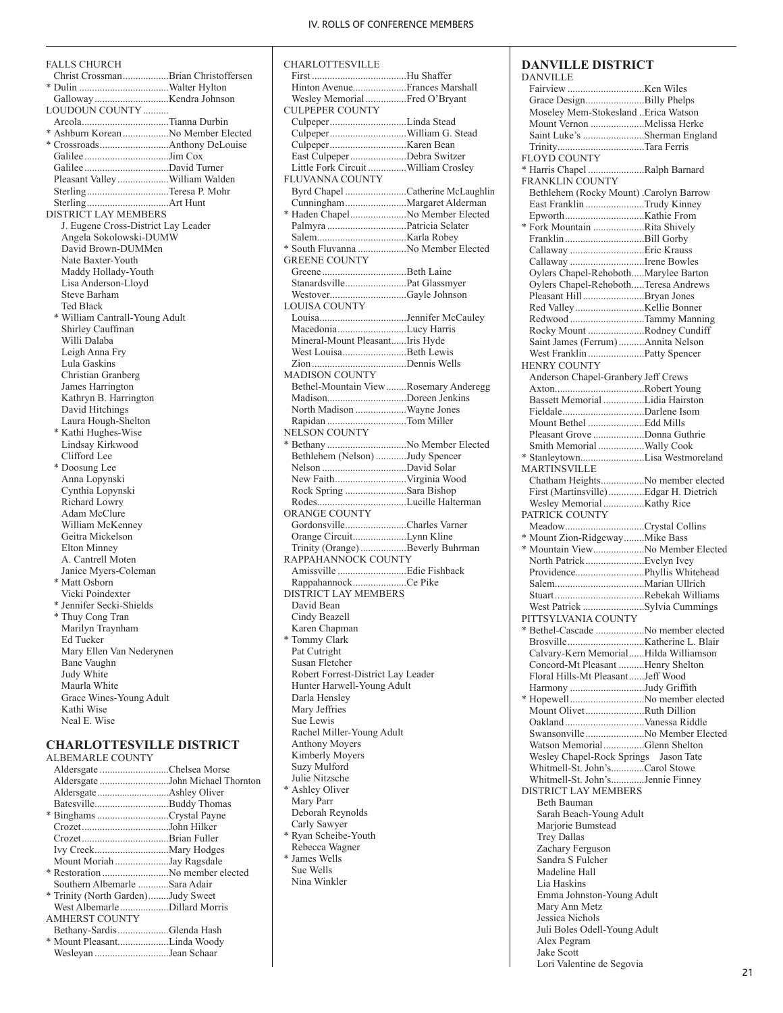First .....................................Hu Shaffer Hinton Avenue.....................Frances Marshall Wesley Memorial................Fred O'Bryant

Culpeper..............................Linda Stead Culpeper..............................William G. Stead Culpeper..............................Karen Bean

CHARLOTTESVILLE

CULPEPER COUNTY

# FALLS CHURCH

| Christ CrossmanBrian Christoffersen           |  |
|-----------------------------------------------|--|
|                                               |  |
|                                               |  |
|                                               |  |
| LOUDOUN COUNTY                                |  |
| ArcolaTianna Durbin                           |  |
| * Ashburn Korean No Member Elected            |  |
|                                               |  |
|                                               |  |
|                                               |  |
|                                               |  |
| Pleasant Valley William Walden                |  |
| SterlingTeresa P. Mohr                        |  |
|                                               |  |
|                                               |  |
| <b>DISTRICT LAY MEMBERS</b>                   |  |
| J. Eugene Cross-District Lay Leader           |  |
| Angela Sokolowski-DUMW                        |  |
|                                               |  |
| David Brown-DUMMen                            |  |
| Nate Baxter-Youth                             |  |
| Maddy Hollady-Youth                           |  |
| Lisa Anderson-Lloyd                           |  |
|                                               |  |
| Steve Barham                                  |  |
| Ted Black                                     |  |
| * William Cantrall-Young Adult                |  |
| Shirley Cauffman                              |  |
|                                               |  |
| Willi Dalaba                                  |  |
| Leigh Anna Fry                                |  |
| Lula Gaskins                                  |  |
| Christian Granberg                            |  |
|                                               |  |
| James Harrington                              |  |
| Kathryn B. Harrington                         |  |
| David Hitchings                               |  |
| Laura Hough-Shelton                           |  |
|                                               |  |
| * Kathi Hughes-Wise                           |  |
| Lindsay Kirkwood                              |  |
| Clifford Lee                                  |  |
| * Doosung Lee                                 |  |
|                                               |  |
| Anna Lopynski                                 |  |
| Cynthia Lopynski                              |  |
| Richard Lowry                                 |  |
| Adam McClure                                  |  |
|                                               |  |
| William McKenney                              |  |
| Geitra Mickelson                              |  |
| Elton Minney                                  |  |
| A. Cantrell Moten                             |  |
|                                               |  |
| Janice Myers-Coleman                          |  |
| * Matt Osborn                                 |  |
| Vicki Poindexter                              |  |
| * Jennifer Secki-Shields                      |  |
|                                               |  |
|                                               |  |
| * Thuy Cong Tran                              |  |
| Marilyn Traynham                              |  |
| Ed Tucker                                     |  |
|                                               |  |
| Mary Ellen Van Nederynen                      |  |
| <b>Bane Vaughn</b>                            |  |
| Judy White                                    |  |
| Maurla White                                  |  |
|                                               |  |
| Grace Wines-Young Adult                       |  |
| Kathi Wise                                    |  |
| Neal E. Wise                                  |  |
|                                               |  |
|                                               |  |
| <b>CHARLOTTESVILLE DISTRICT</b>               |  |
| <b>ALBEMARLE COUNTY</b>                       |  |
| Aldersgate Chelsea Morse                      |  |
|                                               |  |
| Aldersgate John Michael Thornton              |  |
|                                               |  |
| BatesvilleBuddy Thomas                        |  |
| * Binghams Crystal Payne<br>CrozetJohn Hilker |  |

Crozet..................................Brian Fuller Ivy Creek.............................Mary Hodges Mount Moriah .....................Jay Ragsdale \* Restoration ..........................No member elected Southern Albemarle ............Sara Adair \* Trinity (North Garden)........Judy Sweet West Albemarle...................Dillard Morris

Bethany-Sardis....................Glenda Hash \* Mount Pleasant....................Linda Woody Wesleyan .............................Jean Schaar

AMHERST COUNTY

| East Culpeper Debra Switzer            |  |
|----------------------------------------|--|
| Little Fork Circuit William Crosley    |  |
| FLUVANNA COUNTY                        |  |
| Byrd Chapel Catherine McLaughlin       |  |
|                                        |  |
| * Haden ChapelNo Member Elected        |  |
|                                        |  |
|                                        |  |
| * South Fluvanna  No Member Elected    |  |
| <b>GREENE COUNTY</b>                   |  |
|                                        |  |
|                                        |  |
| WestoverGayle Johnson                  |  |
| <b>LOUISA COUNTY</b>                   |  |
|                                        |  |
| MacedoniaLucy Harris                   |  |
| Mineral-Mount PleasantIris Hyde        |  |
| West LouisaBeth Lewis                  |  |
|                                        |  |
| <b>MADISON COUNTY</b>                  |  |
| Bethel-Mountain View Rosemary Anderegg |  |
| MadisonDoreen Jenkins                  |  |
| North Madison Wayne Jones              |  |
| Rapidan Tom Miller                     |  |
| <b>NELSON COUNTY</b>                   |  |
|                                        |  |
| Bethlehem (Nelson) Judy Spencer        |  |
|                                        |  |
|                                        |  |
| Rock Spring Sara Bishop                |  |
|                                        |  |
| <b>ORANGE COUNTY</b>                   |  |
| GordonsvilleCharles Varner             |  |
| Orange CircuitLynn Kline               |  |
| Trinity (Orange) Beverly Buhrman       |  |
| RAPPAHANNOCK COUNTY                    |  |
|                                        |  |
| RappahannockCe Pike                    |  |
| DISTRICT LAY MEMBERS                   |  |
| David Bean                             |  |
| Cindy Beazell                          |  |
| Karen Chapman                          |  |
| * Tommy Clark                          |  |
| Pat Cutright                           |  |
| Susan Fletcher                         |  |
| Robert Forrest-District Lay Leader     |  |
| Hunter Harwell-Young Adult             |  |
| Darla Hensley                          |  |
| Mary Jeffries                          |  |
| Sue Lewis                              |  |
| Rachel Miller-Young Adult              |  |
| Anthony Moyers                         |  |
| Kimberly Moyers                        |  |
| Suzy Mulford                           |  |
| Julie Nitzsche                         |  |
| * Ashley Oliver                        |  |
| Mary Parr                              |  |
| Deborah Reynolds                       |  |
| Carly Sawyer                           |  |
| * Ryan Scheibe-Youth                   |  |
| Rebecca Wagner                         |  |
| * James Wells                          |  |
| Sue Wells                              |  |
| Nina Winkler                           |  |
|                                        |  |
|                                        |  |
|                                        |  |
|                                        |  |

| <b>DANVILLE DISTRICT</b><br><b>DANVILLE</b>                           |  |
|-----------------------------------------------------------------------|--|
|                                                                       |  |
| Grace DesignBilly Phelps                                              |  |
| Moseley Mem-Stokesland Erica Watson                                   |  |
| Mount Vernon Melissa Herke                                            |  |
| Saint Luke's Sherman England                                          |  |
| TrinityTara Ferris                                                    |  |
| <b>FLOYD COUNTY</b>                                                   |  |
| * Harris Chapel Ralph Barnard                                         |  |
| <b>FRANKLIN COUNTY</b>                                                |  |
| Bethlehem (Rocky Mount) .Carolyn Barrow<br>East Franklin Trudy Kinney |  |
|                                                                       |  |
| * Fork Mountain Rita Shively                                          |  |
|                                                                       |  |
|                                                                       |  |
| Callaway Irene Bowles                                                 |  |
| Oylers Chapel-RehobothMarylee Barton                                  |  |
| Oylers Chapel-RehobothTeresa Andrews                                  |  |
| Pleasant HillBryan Jones                                              |  |
|                                                                       |  |
| Redwood Tammy Manning<br>Rocky Mount Rodney Cundiff                   |  |
| Saint James (Ferrum) Annita Nelson                                    |  |
| West Franklin Patty Spencer                                           |  |
| <b>HENRY COUNTY</b>                                                   |  |
| Anderson Chapel-Granbery Jeff Crews                                   |  |
|                                                                       |  |
| Bassett Memorial Lidia Hairston                                       |  |
|                                                                       |  |
| Mount Bethel Edd Mills                                                |  |
| Pleasant Grove Donna Guthrie                                          |  |
| Smith Memorial Wally Cook                                             |  |
| <b>MARTINSVILLE</b>                                                   |  |
| Chatham HeightsNo member elected                                      |  |
| First (Martinsville) Edgar H. Dietrich                                |  |
|                                                                       |  |
| PATRICK COUNTY                                                        |  |
| MeadowCrystal Collins                                                 |  |
| * Mount Zion-RidgewayMike Bass                                        |  |
| * Mountain ViewNo Member Elected                                      |  |
| North PatrickEvelyn Ivey                                              |  |
|                                                                       |  |
|                                                                       |  |
| West Patrick Sylvia Cummings                                          |  |
| PITTSYLVANIA COUNTY                                                   |  |
|                                                                       |  |
|                                                                       |  |
| Calvary-Kern MemorialHilda Williamson                                 |  |
| Concord-Mt Pleasant Henry Shelton                                     |  |
| Floral Hills-Mt PleasantJeff Wood                                     |  |
| Harmony Judy Griffith                                                 |  |
| * HopewellNo member elected                                           |  |
| Mount OlivetRuth Dillion                                              |  |
| SwansonvilleNo Member Elected                                         |  |
| Watson MemorialGlenn Shelton                                          |  |
| Wesley Chapel-Rock Springs Jason Tate                                 |  |
| Whitmell-St. John'sCarol Stowe                                        |  |
| Whitmell-St. John'sJennie Finney                                      |  |
| <b>DISTRICT LAY MEMBERS</b>                                           |  |
| Beth Bauman                                                           |  |
| Sarah Beach-Young Adult                                               |  |
| Marjorie Bumstead                                                     |  |
| <b>Trey Dallas</b>                                                    |  |
| Zachary Ferguson                                                      |  |
| Sandra S Fulcher<br>Madeline Hall                                     |  |
| Lia Haskins                                                           |  |
| Emma Johnston-Young Adult                                             |  |
| Mary Ann Metz                                                         |  |
| Jessica Nichols                                                       |  |
| Juli Boles Odell-Young Adult                                          |  |
| Alex Pegram                                                           |  |
| Jake Scott                                                            |  |
| Lori Valentine de Segovia                                             |  |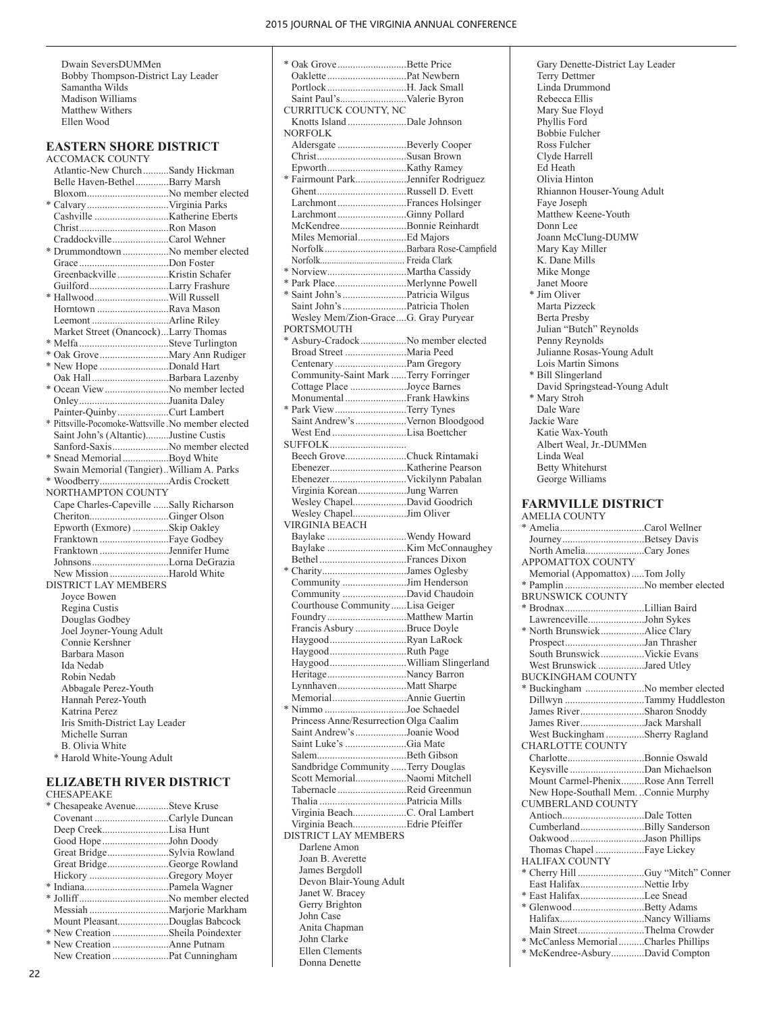Dwain SeversDUMMen Bobby Thompson-District Lay Leader Samantha Wilds Madison Williams Matthew Withers Ellen Wood

## **EASTERN SHORE DISTRICT**

ACCOMACK COUNTY Atlantic-New Church..........Sandy Hickman Belle Haven-Bethel.............Barry Marsh Bloxom................................No member elected \* Calvary................................Virginia Parks Cashville .............................Katherine Eberts Christ...................................Ron Mason Craddockville......................Carol Wehner \* Drummondtown ..................No member elected Grace ...................................Don Foster Greenbackville ....................Kristin Schafer Guilford...............................Larry Frashure \* Hallwood.............................Will Russell Horntown ............................Rava Mason Leemont ..............................Arline Riley Market Street (Onancock)...Larry Thomas \* Melfa ...................................Steve Turlington \* Oak Grove...........................Mary Ann Rudiger \* New Hope ...........................Donald Hart Oak Hall..............................Barbara Lazenby \* Ocean View.........................No member lected Onley...................................Juanita Daley Painter-Quinby....................Curt Lambert \* Pittsville-Pocomoke-Wattsville .No member elected Saint John's (Altantic).........Justine Custis Sanford-Saxis......................No member elected \* Snead Memorial..................Boyd White Swain Memorial (Tangier)..William A. Parks \* Woodberry...........................Ardis Crockett NORTHAMPTON COUNTY Cape Charles-Capeville ......Sally Richarson Cheriton...............................Ginger Olson Epworth (Exmore) ..............Skip Oakley Franktown ...........................Faye Godbey Franktown ...........................Jennifer Hume Johnsons..............................Lorna DeGrazia New Mission .......................Harold White DISTRICT LAY MEMBERS Joyce Bowen Regina Custis Douglas Godbey Joel Joyner-Young Adult Connie Kershner Barbara Mason Ida Nedab Robin Nedab Abbagale Perez-Youth Hannah Perez-Youth Katrina Perez Iris Smith-District Lay Leader Michelle Surran B. Olivia White \* Harold White-Young Adult

#### **ELIZABETH RIVER DISTRICT** CHESAPEAKE

| * Chesapeake AvenueSteve Kruse   |  |
|----------------------------------|--|
|                                  |  |
| Deep CreekLisa Hunt              |  |
| Good HopeJohn Doody              |  |
| Great BridgeSylvia Rowland       |  |
| Great BridgeGeorge Rowland       |  |
|                                  |  |
|                                  |  |
|                                  |  |
|                                  |  |
| Mount PleasantDouglas Babcock    |  |
| * New Creation Sheila Poindexter |  |
|                                  |  |
|                                  |  |
|                                  |  |

| * Oak Grove Bette Price                     |  |
|---------------------------------------------|--|
|                                             |  |
| Portlock H. Jack Small                      |  |
| Saint Paul'sValerie Byron                   |  |
| CURRITUCK COUNTY, NC                        |  |
| Knotts Island Dale Johnson                  |  |
| <b>NORFOLK</b>                              |  |
| Aldersgate Beverly Cooper                   |  |
|                                             |  |
|                                             |  |
| * Fairmount ParkJennifer Rodriguez          |  |
| LarchmontFrances Holsinger                  |  |
| LarchmontGinny Pollard                      |  |
| McKendreeBonnie Reinhardt                   |  |
| Miles MemorialEd Majors                     |  |
|                                             |  |
|                                             |  |
|                                             |  |
|                                             |  |
|                                             |  |
|                                             |  |
| Wesley Mem/Zion-GraceG. Gray Puryear        |  |
| PORTSMOUTH                                  |  |
| * Asbury-Cradock No member elected          |  |
| Broad Street Maria Peed                     |  |
|                                             |  |
| Community-Saint Mark Terry Forringer        |  |
| Cottage Place Joyce Barnes                  |  |
| Monumental Frank Hawkins                    |  |
| * Park View Terry Tynes                     |  |
| Saint Andrew's Vernon Bloodgood             |  |
| West End Lisa Boettcher                     |  |
| SUFFOLK                                     |  |
| Beech GroveChuck Rintamaki                  |  |
|                                             |  |
| Virginia KoreanJung Warren                  |  |
| Wesley ChapelDavid Goodrich                 |  |
| Wesley ChapelJim Oliver                     |  |
| VIRGINIA BEACH                              |  |
|                                             |  |
|                                             |  |
| Baylake Wendy Howard                        |  |
|                                             |  |
|                                             |  |
| * CharityJames Oglesby                      |  |
| Community Jim Henderson                     |  |
| Community David Chaudoin                    |  |
| Courthouse Community Lisa Geiger            |  |
| Francis Asbury Bruce Doyle                  |  |
| HaygoodRyan LaRock                          |  |
| HaygoodRuth Page                            |  |
|                                             |  |
| HeritageNancy Barron                        |  |
| LynnhavenMatt Sharpe                        |  |
|                                             |  |
| * Nimmo Joe Schaedel                        |  |
| Princess Anne/Resurrection Olga Caalim      |  |
| Saint Andrew's Joanie Wood                  |  |
| Saint Luke's Gia Mate                       |  |
|                                             |  |
| Sandbridge Community Terry Douglas          |  |
| Scott MemorialNaomi Mitchell                |  |
| Tabernacle Reid Greenmun                    |  |
|                                             |  |
| Virginia BeachC. Oral Lambert               |  |
| Virginia BeachEdrie Pfeiffer                |  |
| <b>DISTRICT LAY MEMBERS</b><br>Darlene Amon |  |
| Joan B. Averette                            |  |
| James Bergdoll                              |  |
| Devon Blair-Young Adult                     |  |
| Janet W. Bracey                             |  |
| Gerry Brighton                              |  |
| John Case                                   |  |
| Anita Chapman                               |  |
| John Clarke                                 |  |
| Ellen Clements                              |  |
| Donna Denette                               |  |

 Gary Denette-District Lay Leader Terry Dettmer Linda Drummond Rebecca Ellis Mary Sue Floyd Phyllis Ford Bobbie Fulcher Ross Fulcher Clyde Harrell Ed Heath Olivia Hinton Rhiannon Houser-Young Adult Faye Joseph Matthew Keene-Youth Donn Lee Joann McClung-DUMW Mary Kay Miller K. Dane Mills Mike Monge Janet Moore \* Jim Oliver Marta Pizzeck Berta Presby Julian "Butch" Reynolds Penny Reynolds Julianne Rosas-Young Adult Lois Martin Simons \* Bill Slingerland David Springstead-Young Adult \* Mary Stroh Dale Ware Jackie Ware Katie Wax-Youth Albert Weal, Jr.-DUMMen Linda Weal Betty Whitehurst George Williams **FARMVILLE DISTRICT** AMELIA COUNTY \* Amelia.................................Carol Wellner Journey................................Betsey Davis North Amelia.......................Cary Jones APPOMATTOX COUNTY Memorial (Appomattox).....Tom Jolly \* Pamplin ...............................No member elected BRUNSWICK COUNTY \* Brodnax...............................Lillian Baird Lawrenceville......................John Sykes \* North Brunswick.................Alice Clary Prospect...............................Jan Thrasher South Brunswick.................Vickie Evans West Brunswick ..................Jared Utley BUCKINGHAM COUNTY \* Buckingham .......................No member elected Dillwyn ...............................Tammy Huddleston James River.........................Sharon Snoddy James River.........................Jack Marshall West Buckingham ...............Sherry Ragland CHARLOTTE COUNTY Charlotte..............................Bonnie Oswald Keysville .............................Dan Michaelson Mount Carmel-Phenix.........Rose Ann Terrell New Hope-Southall Mem. ..Connie Murphy CUMBERLAND COUNTY Antioch................................Dale Totten Cumberland.........................Billy Sanderson Oakwood.............................Jason Phillips Thomas Chapel ...................Faye Lickey HALIFAX COUNTY \* Cherry Hill ..........................Guy "Mitch" Conner East Halifax.........................Nettie Irby \* East Halifax.........................Lee Snead \* Glenwood............................Betty Adams Halifax.................................Nancy Williams Main Street..........................Thelma Crowder \* McCanless Memorial..........Charles Phillips \* McKendree-Asbury.............David Compton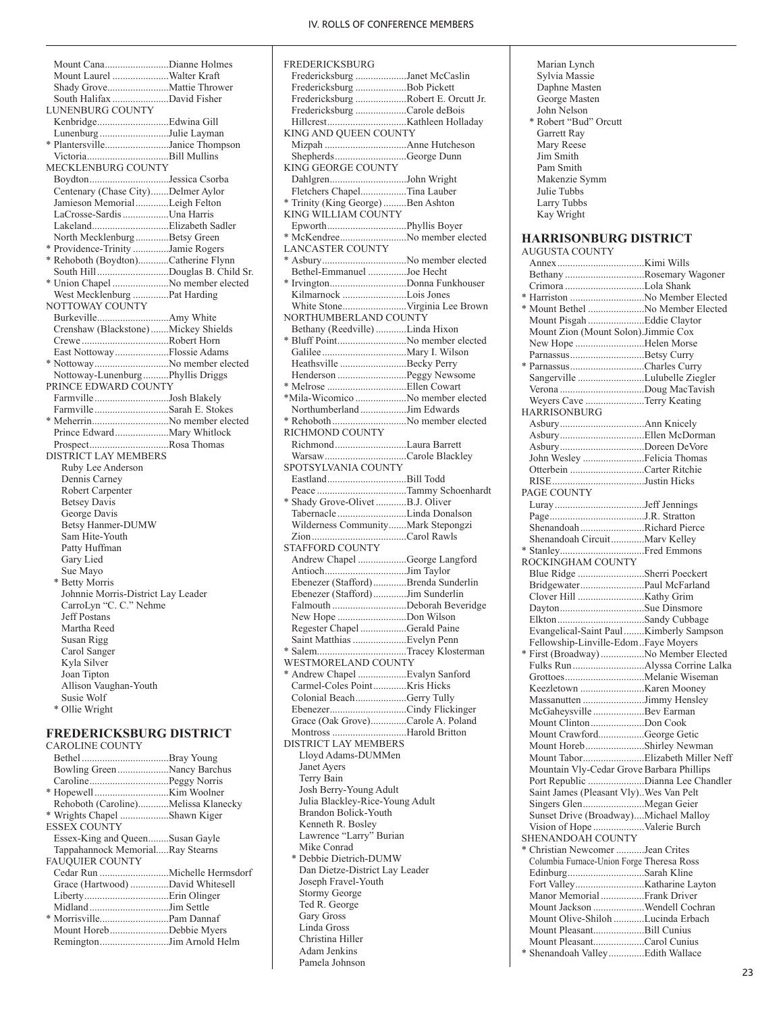| Mount CanaDianne Holmes              |  |
|--------------------------------------|--|
| Mount Laurel Walter Kraft            |  |
|                                      |  |
| South Halifax David Fisher           |  |
| LUNENBURG COUNTY                     |  |
|                                      |  |
| Lunenburg Julie Layman               |  |
| * PlantersvilleJanice Thompson       |  |
|                                      |  |
| MECKLENBURG COUNTY                   |  |
| BoydtonJessica Csorba                |  |
| Centenary (Chase City)Delmer Aylor   |  |
| Jamieson MemorialLeigh Felton        |  |
| LaCrosse-Sardis Una Harris           |  |
|                                      |  |
| North MecklenburgBetsy Green         |  |
| * Providence-Trinity Jamie Rogers    |  |
| * Rehoboth (Boydton)Catherine Flynn  |  |
| South HillDouglas B. Child Sr.       |  |
| * Union Chapel No member elected     |  |
| West Mecklenburg Pat Harding         |  |
| NOTTOWAY COUNTY                      |  |
|                                      |  |
| Crenshaw (Blackstone) Mickey Shields |  |
|                                      |  |
| CreweRobert Horn                     |  |
| East NottowayFlossie Adams           |  |
| * NottowayNo member elected          |  |
| Nottoway-LunenburgPhyllis Driggs     |  |
| PRINCE EDWARD COUNTY                 |  |
| FarmvilleJosh Blakely                |  |
| FarmvilleSarah E. Stokes             |  |
| * MeherrinNo member elected          |  |
|                                      |  |
| ProspectRosa Thomas                  |  |
| <b>DISTRICT LAY MEMBERS</b>          |  |
| Ruby Lee Anderson                    |  |
| Dennis Carney                        |  |
| Robert Carpenter                     |  |
| <b>Betsey Davis</b>                  |  |
| George Davis                         |  |
| Betsy Hanmer-DUMW                    |  |
| Sam Hite-Youth                       |  |
| Patty Huffman                        |  |
| Gary Lied                            |  |
| Sue Mayo                             |  |
| * Betty Morris                       |  |
| Johnnie Morris-District Lay Leader   |  |
| CarroLyn "C. C." Nehme               |  |
| <b>Jeff Postans</b>                  |  |
| Martha Reed                          |  |
| Susan Rigg                           |  |
| Carol Sanger                         |  |
| Kyla Silver                          |  |
| Joan Tipton                          |  |
| Allison Vaughan-Youth                |  |
| Susie Wolf                           |  |
| * Ollie Wright                       |  |

#### **FREDERICKSBURG DISTRICT**  $COTN$

| CAROLINE COUNTY                     |  |
|-------------------------------------|--|
|                                     |  |
| Bowling Green Nancy Barchus         |  |
|                                     |  |
|                                     |  |
| Rehoboth (Caroline)Melissa Klanecky |  |
| * Wrights Chapel Shawn Kiger        |  |
| <b>ESSEX COUNTY</b>                 |  |
| Essex-King and QueenSusan Gayle     |  |
| Tappahannock MemorialRay Stearns    |  |
| <b>FAUQUIER COUNTY</b>              |  |
|                                     |  |
| Grace (Hartwood) David Whitesell    |  |
|                                     |  |
|                                     |  |
|                                     |  |
| Mount HorebDebbie Myers             |  |
| RemingtonJim Arnold Helm            |  |
|                                     |  |

| <b>FREDERICKSBURG</b>                                  |  |
|--------------------------------------------------------|--|
| Fredericksburg Janet McCaslin                          |  |
| Fredericksburg Bob Pickett                             |  |
| Fredericksburg Robert E. Orcutt Jr.                    |  |
| Fredericksburg Carole deBois                           |  |
|                                                        |  |
| KING AND QUEEN COUNTY                                  |  |
| ShepherdsGeorge Dunn                                   |  |
| <b>KING GEORGE COUNTY</b>                              |  |
|                                                        |  |
| DahlgrenJohn Wright<br>Fletchers ChapelTina Lauber     |  |
| * Trinity (King George) Ben Ashton                     |  |
| KING WILLIAM COUNTY                                    |  |
|                                                        |  |
| * McKendreeNo member elected                           |  |
| LANCASTER COUNTY                                       |  |
| * AsburyNo member elected                              |  |
| Bethel-Emmanuel Joe Hecht                              |  |
|                                                        |  |
| Kilmarnock Lois Jones                                  |  |
| White StoneVirginia Lee Brown                          |  |
| NORTHUMBERLAND COUNTY                                  |  |
| Bethany (Reedville) Linda Hixon                        |  |
| * Bluff PointNo member elected                         |  |
|                                                        |  |
| Heathsville Becky Perry                                |  |
| Henderson Peggy Newsome                                |  |
|                                                        |  |
|                                                        |  |
| *Mila-Wicomico No member elected                       |  |
| Northumberland Jim Edwards                             |  |
|                                                        |  |
| RICHMOND COUNTY                                        |  |
| RichmondLaura Barrett                                  |  |
| WarsawCarole Blackley                                  |  |
| SPOTSYLVANIA COUNTY                                    |  |
| EastlandBill Todd                                      |  |
|                                                        |  |
| * Shady Grove-Olivet B.J. Oliver                       |  |
| Tabernacle Linda Donalson                              |  |
| Wilderness CommunityMark Stepongzi                     |  |
|                                                        |  |
| STAFFORD COUNTY                                        |  |
| Andrew Chapel George Langford                          |  |
|                                                        |  |
| Ebenezer (Stafford) Brenda Sunderlin                   |  |
| Ebenezer (Stafford)Jim Sunderlin                       |  |
| Falmouth Deborah Beveridge                             |  |
| New Hope Don Wilson                                    |  |
| Regester Chapel Gerald Paine                           |  |
| Saint Matthias Evelyn Penn                             |  |
| * SalemTracey Klosterman                               |  |
| WESTMORELAND COUNTY                                    |  |
| * Andrew Chapel Evalyn Sanford                         |  |
| Carmel-Coles PointKris Hicks                           |  |
| Colonial BeachGerry Tully                              |  |
| EbenezerCindy Flickinger                               |  |
| Grace (Oak Grove)Carole A. Poland                      |  |
|                                                        |  |
| Montross Harold Britton<br><b>DISTRICT LAY MEMBERS</b> |  |
|                                                        |  |
| Lloyd Adams-DUMMen                                     |  |
| Janet Ayers                                            |  |
| Terry Bain                                             |  |
| Josh Berry-Young Adult                                 |  |
| Julia Blackley-Rice-Young Adult                        |  |
| Brandon Bolick-Youth                                   |  |
| Kenneth R. Bosley                                      |  |
| Lawrence "Larry" Burian                                |  |
| Mike Conrad                                            |  |
| * Debbie Dietrich-DUMW                                 |  |
| Dan Dietze-District Lay Leader                         |  |
| Joseph Fravel-Youth                                    |  |
| Stormy George                                          |  |
| Ted R. George                                          |  |
| Gary Gross                                             |  |
| Linda Gross                                            |  |
| Christina Hiller                                       |  |
| Adam Jenkins                                           |  |
| Pamela Johnson                                         |  |
|                                                        |  |

| Marian Lynch<br>Sylvia Massie<br>Daphne Masten<br>George Masten<br>John Nelson<br>* Robert "Bud" Orcutt<br>Garrett Ray<br>Mary Reese<br>Jim Smith<br>Pam Smith<br>Makenzie Symm<br>Julie Tubbs<br>Larry Tubbs<br>Kay Wright |  |
|-----------------------------------------------------------------------------------------------------------------------------------------------------------------------------------------------------------------------------|--|
| <b>HARRISONBURG DISTRICT</b><br><b>AUGUSTA COUNTY</b>                                                                                                                                                                       |  |
|                                                                                                                                                                                                                             |  |
| Bethany Rosemary Wagoner                                                                                                                                                                                                    |  |
|                                                                                                                                                                                                                             |  |
| * Harriston No Member Elected                                                                                                                                                                                               |  |
| * Mount Bethel No Member Elected<br>Mount Pisgah Eddie Claytor                                                                                                                                                              |  |
| Mount Zion (Mount Solon).Jimmie Cox                                                                                                                                                                                         |  |
| New Hope Helen Morse                                                                                                                                                                                                        |  |
| ParnassusBetsy Curry                                                                                                                                                                                                        |  |
| * ParnassusCharles Curry                                                                                                                                                                                                    |  |
| Sangerville Lulubelle Ziegler                                                                                                                                                                                               |  |
|                                                                                                                                                                                                                             |  |
| Weyers Cave Terry Keating<br>HARRISONBURG                                                                                                                                                                                   |  |
|                                                                                                                                                                                                                             |  |
|                                                                                                                                                                                                                             |  |
| AsburyDoreen DeVore                                                                                                                                                                                                         |  |
| John Wesley Felicia Thomas                                                                                                                                                                                                  |  |
| Otterbein Carter Ritchie                                                                                                                                                                                                    |  |
| RISEJustin Hicks<br>PAGE COUNTY                                                                                                                                                                                             |  |
|                                                                                                                                                                                                                             |  |
|                                                                                                                                                                                                                             |  |
| Shenandoah Richard Pierce                                                                                                                                                                                                   |  |
| Shenandoah CircuitMarv Kelley                                                                                                                                                                                               |  |
|                                                                                                                                                                                                                             |  |
| ROCKINGHAM COUNTY<br>Blue Ridge Sherri Poeckert                                                                                                                                                                             |  |
| BridgewaterPaul McFarland                                                                                                                                                                                                   |  |
|                                                                                                                                                                                                                             |  |
| DaytonSue Dinsmore                                                                                                                                                                                                          |  |
|                                                                                                                                                                                                                             |  |
| Evangelical-Saint Paul  Kimberly Sampson                                                                                                                                                                                    |  |
| Fellowship-Linville-EdomFaye Moyers<br>* First (Broadway) No Member Elected                                                                                                                                                 |  |
|                                                                                                                                                                                                                             |  |
|                                                                                                                                                                                                                             |  |
|                                                                                                                                                                                                                             |  |
| Massanutten Jimmy Hensley                                                                                                                                                                                                   |  |
| McGaheysville Bev Earman<br>Mount ClintonDon Cook                                                                                                                                                                           |  |
| Mount CrawfordGeorge Getic                                                                                                                                                                                                  |  |
| Mount HorebShirley Newman                                                                                                                                                                                                   |  |
|                                                                                                                                                                                                                             |  |
| Mountain Vly-Cedar Grove Barbara Phillips                                                                                                                                                                                   |  |
| Port Republic Dianna Lee Chandler<br>Saint James (Pleasant Vly). Wes Van Pelt                                                                                                                                               |  |
| Singers GlenMegan Geier                                                                                                                                                                                                     |  |
| Sunset Drive (Broadway)Michael Malloy                                                                                                                                                                                       |  |
| Vision of Hope Valerie Burch                                                                                                                                                                                                |  |
| SHENANDOAH COUNTY                                                                                                                                                                                                           |  |
| * Christian Newcomer Jean Crites<br>Columbia Furnace-Union Forge Theresa Ross                                                                                                                                               |  |
| EdinburgSarah Kline                                                                                                                                                                                                         |  |
|                                                                                                                                                                                                                             |  |
| Manor Memorial Frank Driver                                                                                                                                                                                                 |  |
| Mount Jackson Wendell Cochran                                                                                                                                                                                               |  |
| Mount Olive-Shiloh Lucinda Erbach                                                                                                                                                                                           |  |
| Mount PleasantBill Cunius                                                                                                                                                                                                   |  |
| Mount PleasantCarol Cunius<br>* Shenandoah Valley Edith Wallace                                                                                                                                                             |  |
|                                                                                                                                                                                                                             |  |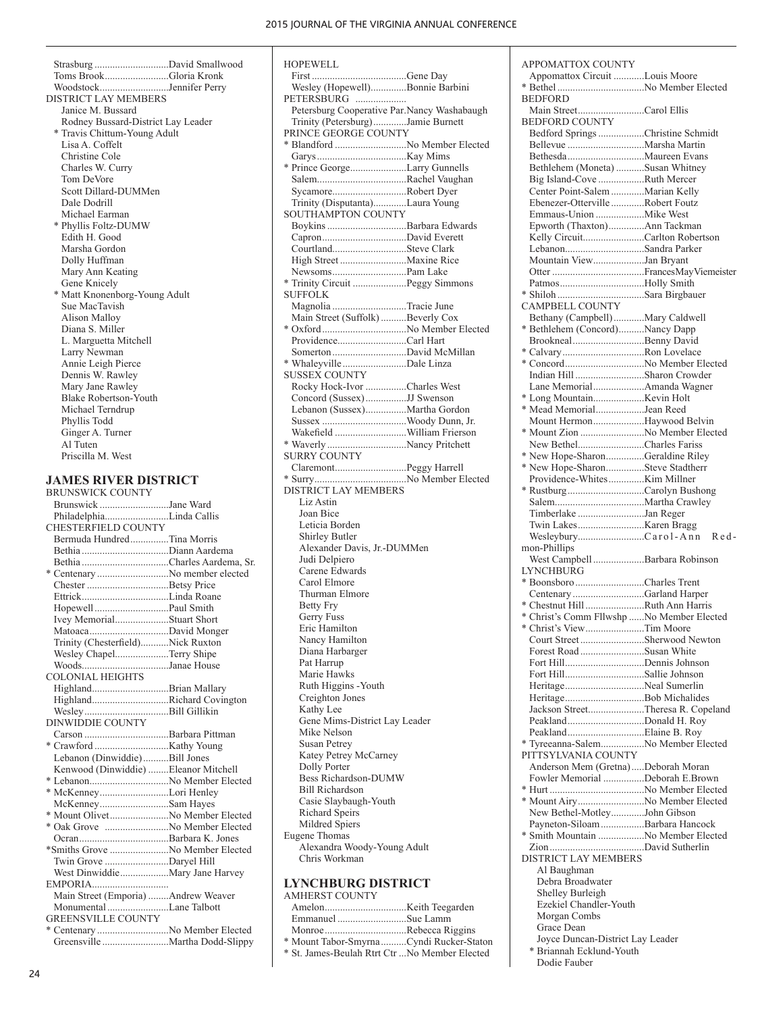First .....................................Gene Day Wesley (Hopewell)..............Bonnie Barbini

HOPEWELL

Strasburg .............................David Smallwood Toms Brook.........................Gloria Kronk Woodstock...........................Jennifer Perry DISTRICT LAY MEMBERS Janice M. Bussard Rodney Bussard-District Lay Leader \* Travis Chittum-Young Adult Lisa A. Coffelt Christine Cole Charles W. Curry Tom DeVore Scott Dillard-DUMMen Dale Dodrill Michael Earman \* Phyllis Foltz-DUMW Edith H. Good Marsha Gordon Dolly Huffman Mary Ann Keating Gene Knicely \* Matt Knonenborg-Young Adult Sue MacTavish Alison Malloy Diana S. Miller L. Marguetta Mitchell Larry Newman Annie Leigh Pierce Dennis W. Rawley Mary Jane Rawley Blake Robertson-Youth Michael Terndrup Phyllis Todd Ginger A. Turner Al Tuten Priscilla M. West

# **JAMES RIVER DISTRICT**

| <b>BRUNSWICK COUNTY</b>              |  |
|--------------------------------------|--|
| Brunswick Jane Ward                  |  |
| PhiladelphiaLinda Callis             |  |
| CHESTERFIELD COUNTY                  |  |
| Bermuda HundredTina Morris           |  |
|                                      |  |
|                                      |  |
| * Centenary No member elected        |  |
| Chester Betsy Price                  |  |
|                                      |  |
|                                      |  |
| Ivey MemorialStuart Short            |  |
|                                      |  |
| Trinity (Chesterfield)Nick Ruxton    |  |
| Wesley ChapelTerry Shipe             |  |
| WoodsJanae House                     |  |
| <b>COLONIAL HEIGHTS</b>              |  |
| HighlandBrian Mallary                |  |
| HighlandRichard Covington            |  |
|                                      |  |
| DINWIDDIE COUNTY                     |  |
|                                      |  |
|                                      |  |
| Lebanon (Dinwiddie)Bill Jones        |  |
| Kenwood (Dinwiddie) Eleanor Mitchell |  |
|                                      |  |
| * McKenneyLori Henley                |  |
| McKenneySam Hayes                    |  |
| * Mount Olivet No Member Elected     |  |
| * Oak Grove No Member Elected        |  |
|                                      |  |
| *Smiths Grove No Member Elected      |  |
| Twin Grove Daryel Hill               |  |
| West DinwiddieMary Jane Harvey       |  |
| EMPORIA                              |  |
| Main Street (Emporia) Andrew Weaver  |  |
| Monumental Lane Talbott              |  |
| <b>GREENSVILLE COUNTY</b>            |  |
| * Centenary No Member Elected        |  |
|                                      |  |

PETERSBURG .................. Petersburg Cooperative Par.Nancy Washabaugh Trinity (Petersburg).............Jamie Burnett PRINCE GEORGE COUNTY \* Blandford ............................No Member Elected Garys...................................Kay Mims \* Prince George......................Larry Gunnells Salem...................................Rachel Vaughan Sycamore.............................Robert Dyer Trinity (Disputanta).............Laura Young SOUTHAMPTON COUNTY Boykins...............................Barbara Edwards Capron.................................David Everett Courtland.............................Steve Clark High Street ..........................Maxine Rice Newsoms.............................Pam Lake \* Trinity Circuit .....................Peggy Simmons SUFFOLK Magnolia .............................Tracie June Main Street (Suffolk)..........Beverly Cox \* Oxford.................................No Member Elected Providence...........................Carl Hart Somerton.............................David McMillan \* Whaleyville .........................Dale Linza SUSSEX COUNTY Rocky Hock-Ivor ................Charles West Concord (Sussex)................JJ Swenson Lebanon (Sussex)................Martha Gordon Sussex .................................Woody Dunn, Jr. Wakefield ............................William Frierson \* Waverly ...............................Nancy Pritchett SURRY COUNTY Claremont............................Peggy Harrell \* Surry....................................No Member Elected DISTRICT LAY MEMBERS Liz Astin Joan Bice Leticia Borden Shirley Butler Alexander Davis, Jr.-DUMMen Judi Delpiero Carene Edwards Carol Elmore Thurman Elmore Betty Fry Gerry Fuss Eric Hamilton Nancy Hamilton Diana Harbarger Pat Harrup Marie Hawks Ruth Higgins -Youth Creighton Jones Kathy Lee Gene Mims-District Lay Leader Mike Nelson Susan Petrey Katey Petrey McCarney Dolly Porter Bess Richardson-DUMW Bill Richardson Casie Slaybaugh-Youth Richard Speirs Mildred Spiers Eugene Thomas Alexandra Woody-Young Adult Chris Workman **LYNCHBURG DISTRICT** AMHERST COUNTY Amelon................................Keith Teegarden Emmanuel ...........................Sue Lamm Monroe................................Rebecca Riggins

\* Mount Tabor-Smyrna..........Cyndi Rucker-Staton \* St. James-Beulah Rtrt Ctr ...No Member Elected

APPOMATTOX COUNTY Appomattox Circuit ............Louis Moore \* Bethel..................................No Member Elected BEDFORD<br>Main Street .............Carol Ellis BEDFORD COUNTY Bedford Springs..................Christine Schmidt Bellevue ..............................Marsha Martin Bethesda..............................Maureen Evans Bethlehem (Moneta) ...........Susan Whitney Big Island-Cove ..................Ruth Mercer Center Point-Salem.............Marian Kelly Ebenezer-Otterville .............Robert Foutz Emmaus-Union ...................Mike West Epworth (Thaxton)..............Ann Tackman Kelly Circuit........................Carlton Robertson Lebanon...............................Sandra Parker Mountain View....................Jan Bryant Otter ....................................Frances May Viemeister Patmos.................................Holly Smith \* Shiloh ..................................Sara Birgbauer CAMPBELL COUNTY Bethany (Campbell)............Mary Caldwell \* Bethlehem (Concord)..........Nancy Dapp Brookneal............................Benny David \* Calvary................................Ron Lovelace \* Concord...............................No Member Elected Indian Hill ...........................Sharon Crowder Lane Memorial....................Amanda Wagner \* Long Mountain....................Kevin Holt \* Mead Memorial...................Jean Reed Mount Hermon....................Haywood Belvin \* Mount Zion .........................No Member Elected New Bethel..........................Charles Fariss \* New Hope-Sharon...............Geraldine Riley \* New Hope-Sharon...............Steve Stadtherr Providence-Whites..............Kim Millner \* Rustburg..............................Carolyn Bushong Salem...................................Martha Crawley Timberlake ..........................Jan Reger Twin Lakes..........................Karen Bragg Wesleybury..........................Carol-Ann Red mon-Phillips West Campbell....................Barbara Robinson LYNCHBURG \* Boonsboro...........................Charles Trent Centenary ............................Garland Harper \* Chestnut Hill.......................Ruth Ann Harris \* Christ's Comm Fllwshp ......No Member Elected \* Christ's View.......................Tim Moore Court Street.........................Sherwood Newton Forest Road .........................Susan White Fort Hill...............................Dennis Johnson Fort Hill...............................Sallie Johnson Heritage...............................Neal Sumerlin Heritage...............................Bob Michalides Jackson Street......................Theresa R. Copeland Peakland..............................Donald H. Roy Peakland..............................Elaine B. Roy \* Tyreeanna-Salem.................No Member Elected PITTSYLVANIA COUNTY Anderson Mem (Gretna).....Deborah Moran Fowler Memorial ................Deborah E.Brown \* Hurt .....................................No Member Elected \* Mount Airy..........................No Member Elected New Bethel-Motley.............John Gibson Payneton-Siloam.................Barbara Hancock \* Smith Mountain ..................No Member Elected Zion.....................................David Sutherlin DISTRICT LAY MEMBERS Al Baughman Debra Broadwater Shelley Burleigh Ezekiel Chandler-Youth Morgan Combs Grace Dean Joyce Duncan-District Lay Leader Briannah Ecklund-Youth

Dodie Fauber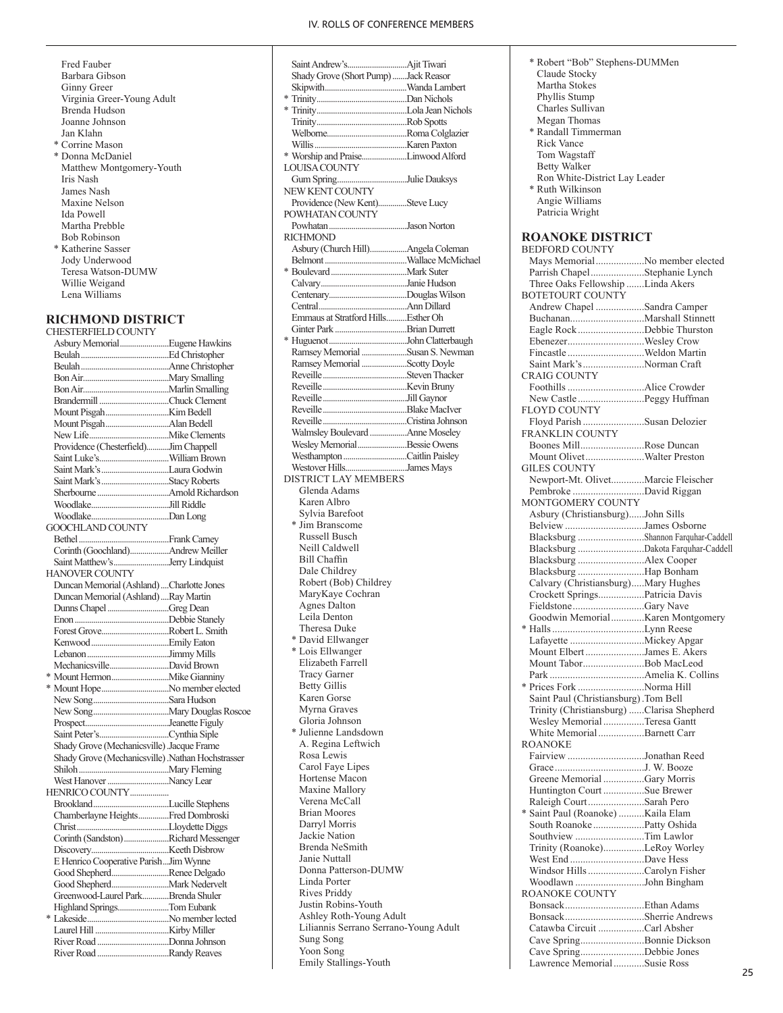- Fred Fauber Barbara Gibson Ginny Greer Virginia Greer-Young Adult Brenda Hudson Joanne Johnson Jan Klahn \* Corrine Mason \* Donna McDaniel Matthew Montgomery-Youth Iris Nash James Nash
- Maxine Nelson Ida Powell Martha Prebble Bob Robinson \* Katherine Sasser Jody Underwood Teresa Watson-DUMW Willie Weigand Lena Williams

# **RICHMOND DISTRICT**

| CHESTERFIELD COUNTY                              |  |
|--------------------------------------------------|--|
| Asbury MemorialEugene Hawkins                    |  |
|                                                  |  |
|                                                  |  |
|                                                  |  |
|                                                  |  |
|                                                  |  |
|                                                  |  |
|                                                  |  |
|                                                  |  |
| Providence (Chesterfield)Jim Chappell            |  |
|                                                  |  |
|                                                  |  |
|                                                  |  |
|                                                  |  |
|                                                  |  |
|                                                  |  |
| GOOCHLAND COUNTY                                 |  |
|                                                  |  |
| Corinth (Goochland)Andrew Meiller                |  |
| Saint Matthew'sJerry Lindquist                   |  |
|                                                  |  |
| HANOVER COUNTY                                   |  |
| Duncan Memorial (Ashland) Charlotte Jones        |  |
| Duncan Memorial (Ashland)  Ray Martin            |  |
| Dunns Chapel Greg Dean                           |  |
|                                                  |  |
| Forest GroveRobert L. Smith                      |  |
|                                                  |  |
|                                                  |  |
| MechanicsvilleDavid Brown                        |  |
|                                                  |  |
| * Mount HopeNo member elected                    |  |
|                                                  |  |
|                                                  |  |
|                                                  |  |
|                                                  |  |
| Shady Grove (Mechanicsville) Jacque Frame        |  |
| Shady Grove (Mechanicsville) Nathan Hochstrasser |  |
|                                                  |  |
| West Hanover Nancy Lear                          |  |
| HENRICO COUNTY                                   |  |
|                                                  |  |
| Chamberlayne HeightsFred Dombroski               |  |
|                                                  |  |
| Corinth (Sandston)Richard Messenger              |  |
|                                                  |  |
| E Henrico Cooperative ParishJim Wynne            |  |
| Good ShepherdRenee Delgado                       |  |
|                                                  |  |
| Greenwood-Laurel ParkBrenda Shuler               |  |
| Highland SpringsTom Eubank                       |  |
|                                                  |  |
|                                                  |  |
|                                                  |  |
| River Road Donna Johnson                         |  |
|                                                  |  |

| Shady Grove (Short Pump) Jack Reasor  |  |
|---------------------------------------|--|
|                                       |  |
|                                       |  |
|                                       |  |
|                                       |  |
|                                       |  |
|                                       |  |
| * Worship and PraiseLinwood Alford    |  |
| LOUISA COUNTY                         |  |
|                                       |  |
| Gum SpringJulie Dauksys               |  |
| NEW KENT COUNTY                       |  |
| Providence (New Kent)Steve Lucy       |  |
| POWHATAN COUNTY                       |  |
|                                       |  |
| RICHMOND                              |  |
| Asbury (Church Hill)Angela Coleman    |  |
|                                       |  |
|                                       |  |
|                                       |  |
|                                       |  |
|                                       |  |
| Emmaus at Stratford HillsEsther Oh    |  |
|                                       |  |
|                                       |  |
|                                       |  |
| Ramsey Memorial Susan S. Newman       |  |
| Ramsey Memorial Scotty Doyle          |  |
|                                       |  |
|                                       |  |
|                                       |  |
|                                       |  |
|                                       |  |
| Walmsley Boulevard  Anne Moseley      |  |
| Wesley Memorial Bessie Owens          |  |
| Westhampton Caitlin Paisley           |  |
| Westover HillsJames Mays              |  |
| <b>DISTRICT LAY MEMBERS</b>           |  |
|                                       |  |
| Glenda Adams                          |  |
| Karen Albro                           |  |
| Sylvia Barefoot                       |  |
| * Jim Branscome                       |  |
| Russell Busch                         |  |
| Neill Caldwell                        |  |
| Bill Chaffin                          |  |
| Dale Childrey                         |  |
| Robert (Bob) Childrey                 |  |
| MaryKaye Cochran                      |  |
| <b>Agnes Dalton</b>                   |  |
| Leila Denton                          |  |
| Theresa Duke                          |  |
|                                       |  |
| * David Ellwanger                     |  |
| * Lois Ellwanger                      |  |
| Elizabeth Farrell                     |  |
| <b>Tracy Garner</b>                   |  |
| <b>Betty Gillis</b>                   |  |
| Karen Gorse                           |  |
| Myrna Graves                          |  |
| Gloria Johnson                        |  |
| * Julienne Landsdown                  |  |
| A. Regina Leftwich                    |  |
| Rosa Lewis                            |  |
| Carol Faye Lipes                      |  |
| Hortense Macon                        |  |
| Maxine Mallory                        |  |
|                                       |  |
| Verena McCall                         |  |
| <b>Brian Moores</b>                   |  |
| Darryl Morris                         |  |
| Jackie Nation                         |  |
| Brenda NeSmith                        |  |
| Janie Nuttall                         |  |
| Donna Patterson-DUMW                  |  |
| Linda Porter                          |  |
| Rives Priddy                          |  |
| Justin Robins-Youth                   |  |
| Ashley Roth-Young Adult               |  |
| Liliannis Serrano Serrano-Young Adult |  |
|                                       |  |
| Sung Song                             |  |
| Yoon Song                             |  |
| Emily Stallings-Youth                 |  |

| * Robert "Bob" Stephens-DUMMen                                    |  |
|-------------------------------------------------------------------|--|
| Claude Stocky                                                     |  |
| Martha Stokes                                                     |  |
| Phyllis Stump                                                     |  |
| Charles Sullivan                                                  |  |
| Megan Thomas                                                      |  |
| * Randall Timmerman                                               |  |
| <b>Rick Vance</b>                                                 |  |
| Tom Wagstaff<br><b>Betty Walker</b>                               |  |
| Ron White-District Lay Leader                                     |  |
| * Ruth Wilkinson                                                  |  |
| Angie Williams                                                    |  |
| Patricia Wright                                                   |  |
|                                                                   |  |
| <b>ROANOKE DISTRICT</b>                                           |  |
| <b>BEDFORD COUNTY</b>                                             |  |
| Mays MemorialNo member elected                                    |  |
| Parrish ChapelStephanie Lynch                                     |  |
| Three Oaks Fellowship Linda Akers<br><b>BOTETOURT COUNTY</b>      |  |
| Andrew Chapel Sandra Camper                                       |  |
|                                                                   |  |
| Eagle Rock Debbie Thurston                                        |  |
| EbenezerWesley Crow                                               |  |
| Fincastle Weldon Martin                                           |  |
| Saint Mark's Norman Craft                                         |  |
| <b>CRAIG COUNTY</b>                                               |  |
|                                                                   |  |
| New Castle Peggy Huffman                                          |  |
| <b>FLOYD COUNTY</b>                                               |  |
| Floyd Parish Susan Delozier<br>FRANKLIN COUNTY                    |  |
| Boones MillRose Duncan                                            |  |
| Mount OlivetWalter Preston                                        |  |
| <b>GILES COUNTY</b>                                               |  |
| Newport-Mt. OlivetMarcie Fleischer                                |  |
| Pembroke David Riggan                                             |  |
| MONTGOMERY COUNTY                                                 |  |
| Asbury (Christiansburg)John Sills                                 |  |
| Belview James Osborne                                             |  |
| Blacksburg Shannon Farquhar-Caddell                               |  |
| Blacksburg Dakota Farquhar-Caddell                                |  |
| Blacksburg Alex Cooper<br>Blacksburg Hap Bonham                   |  |
| Calvary (Christiansburg)Mary Hughes                               |  |
| Crockett SpringsPatricia Davis                                    |  |
| FieldstoneGary Nave                                               |  |
| Goodwin Memorial  Karen Montgomery                                |  |
|                                                                   |  |
|                                                                   |  |
| Mount Elbert James E. Akers                                       |  |
| Mount TaborBob MacLeod                                            |  |
|                                                                   |  |
| * Prices Fork Norma Hill<br>Saint Paul (Christiansburg). Tom Bell |  |
| Trinity (Christiansburg) Clarisa Shepherd                         |  |
| Wesley Memorial Teresa Gantt                                      |  |
| White Memorial Barnett Carr                                       |  |
| <b>ROANOKE</b>                                                    |  |
| Fairview Jonathan Reed                                            |  |
|                                                                   |  |
| Greene Memorial Gary Morris                                       |  |
| Huntington Court Sue Brewer                                       |  |
| Raleigh CourtSarah Pero                                           |  |
| * Saint Paul (Roanoke) Kaila Elam                                 |  |
| South Roanoke Patty Oshida<br>Southview Tim Lawlor                |  |
| Trinity (Roanoke)LeRoy Worley                                     |  |
| West End Dave Hess                                                |  |
| Windsor Hills Carolyn Fisher                                      |  |
| Woodlawn John Bingham                                             |  |
| ROANOKE COUNTY                                                    |  |
|                                                                   |  |
| BonsackSherrie Andrews                                            |  |
| Catawba Circuit Carl Absher                                       |  |
| Cave SpringBonnie Dickson                                         |  |
| Cave SpringDebbie Jones                                           |  |
| Lawrence Memorial Susie Ross                                      |  |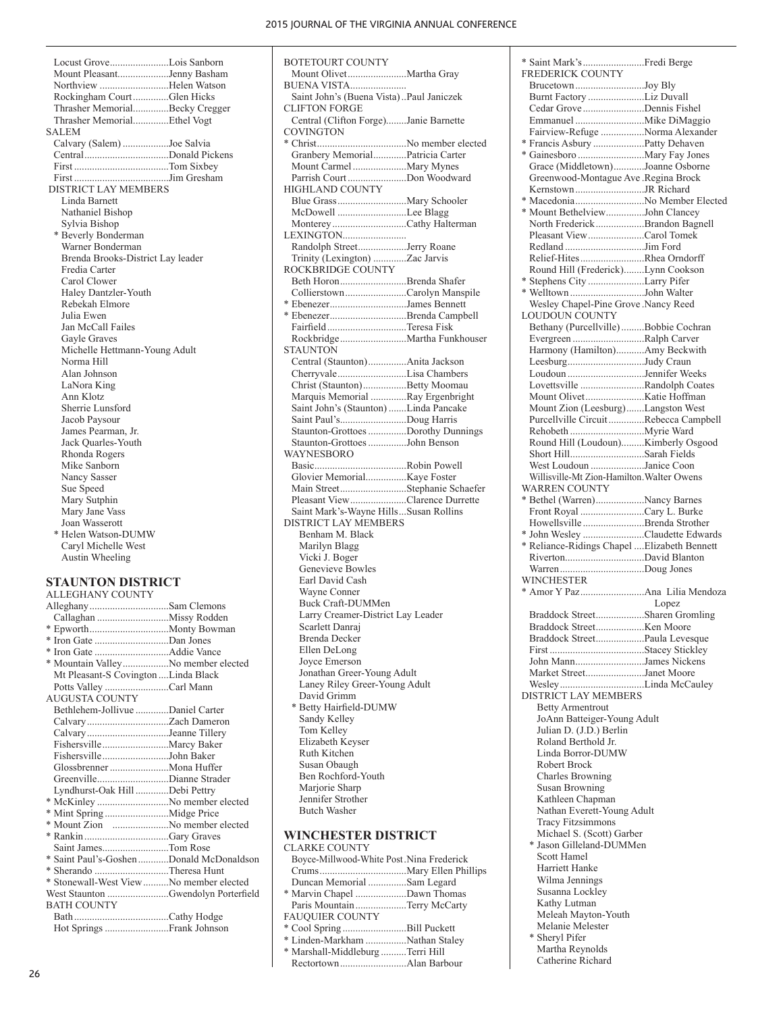Locust Grove.......................Lois Sanborn Mount Pleasant....................Jenny Basham Northview ...........................Helen Watson Rockingham Court..............Glen Hicks Thrasher Memorial..............Becky Cregger Thrasher Memorial..............Ethel Vogt SALEM Calvary (Salem) ..................Joe Salvia Central.................................Donald Pickens First .....................................Tom Sixbey First .....................................Jim Gresham DISTRICT LAY MEMBERS Linda Barnett Nathaniel Bishop Sylvia Bishop \* Beverly Bonderman Warner Bonderman Brenda Brooks-District Lay leader Fredia Carter Carol Clower Haley Dantzler-Youth Rebekah Elmore Julia Ewen Jan McCall Failes Gayle Graves Michelle Hettmann-Young Adult Norma Hill Alan Johnson LaNora King Ann Klotz Sherrie Lunsford Jacob Paysour James Pearman, Jr. Jack Quarles-Youth Rhonda Rogers Mike Sanborn Nancy Sasser Sue Speed Mary Sutphin Mary Jane Vass Joan Wasserott \* Helen Watson-DUMW Caryl Michelle West Austin Wheeling

**STAUNTON DISTRICT**  ALLEGHANY COUNTY Alleghany...............................Sam Clemons Callaghan ............................Missy Rodden \* Epworth...............................Monty Bowman \* Iron Gate .............................Dan Jones \* Iron Gate .............................Addie Vance \* Mountain Valley..................No member elected Mt Pleasant-S Covington ....Linda Black Potts Valley .........................Carl Mann AUGUSTA COUNTY Bethlehem-Jollivue .............Daniel Carter Calvary................................Zach Dameron Calvary................................Jeanne Tillery Fishersville..........................Marcy Baker Fishersville..........................John Baker Glossbrenner .......................Mona Huffer Greenville............................Dianne Strader Lyndhurst-Oak Hill .............Debi Pettry \* McKinley ............................No member elected \* Mint Spring .........................Midge Price \* Mount Zion ......................No member elected \* Rankin.................................Gary Graves Saint James..........................Tom Rose \* Saint Paul's-Goshen............Donald McDonaldson \* Sherando .............................Theresa Hunt \* Stonewall-West View..........No member elected West Staunton ........................Gwendolyn Porterfield BATH COUNTY Bath.....................................Cathy Hodge Hot Springs.........................Frank Johnson

BOTETOURT COUNTY Mount Olivet.......................Martha Gray BUENA VISTA...................... Saint John's (Buena Vista)..Paul Janiczek CLIFTON FORGE Central (Clifton Forge)........Janie Barnette COVINGTON \* Christ...................................No member elected Granbery Memorial.............Patricia Carter Mount Carmel.....................Mary Mynes Parrish Court.......................Don Woodward HIGHLAND COUNTY Blue Grass...........................Mary Schooler McDowell ...........................Lee Blagg Monterey.............................Cathy Halterman LEXINGTON......................... Randolph Street...................Jerry Roane Trinity (Lexington) .............Zac Jarvis ROCKBRIDGE COUNTY Beth Horon..........................Brenda Shafer Collierstown........................Carolyn Manspile \* Ebenezer..............................James Bennett \* Ebenezer..............................Brenda Campbell Fairfield...............................Teresa Fisk Rockbridge..........................Martha Funkhouser **STAUNTON** Central (Staunton)...............Anita Jackson Cherryvale...........................Lisa Chambers Christ (Staunton).................Betty Moomau Marquis Memorial ..............Ray Ergenbright Saint John's (Staunton).......Linda Pancake Saint Paul's..........................Doug Harris Staunton-Grottoes...............Dorothy Dunnings Staunton-Grottoes...............John Benson WAYNESBORO Basic....................................Robin Powell Glovier Memorial................Kaye Foster Main Street..........................Stephanie Schaefer Pleasant View......................Clarence Durrette Saint Mark's-Wayne Hills...Susan Rollins DISTRICT LAY MEMBERS Benham M. Black Marilyn Blagg Vicki J. Boger Genevieve Bowles Earl David Cash Wayne Conner Buck Craft-DUMMen Larry Creamer-District Lay Leader Scarlett Danraj Brenda Decker Ellen DeLong Joyce Emerson Jonathan Greer-Young Adult Laney Riley Greer-Young Adult David Grimm \* Betty Hairfield-DUMW Sandy Kelley Tom Kelley Elizabeth Keyser Ruth Kitchen Susan Obaugh Ben Rochford-Youth Mariorie Sharp Jennifer Strother Butch Washer **WINCHESTER DISTRICT** 

| CLARKE COUNTY                            |  |
|------------------------------------------|--|
| Boyce-Millwood-White Post Nina Frederick |  |
|                                          |  |
| Duncan Memorial Sam Legard               |  |
| * Marvin Chapel Dawn Thomas              |  |
| Paris Mountain Terry McCarty             |  |
| FAUQUIER COUNTY                          |  |
| * Cool Spring Bill Puckett               |  |
| * Linden-Markham Nathan Staley           |  |
| * Marshall-Middleburg Terri Hill         |  |
|                                          |  |
|                                          |  |

| * Saint Mark's Fredi Berge                   |       |
|----------------------------------------------|-------|
| FREDERICK COUNTY                             |       |
| BrucetownJoy Bly                             |       |
| Burnt Factory Liz Duvall                     |       |
| Cedar Grove Dennis Fishel                    |       |
| Fairview-Refuge Norma Alexander              |       |
|                                              |       |
| * Francis Asbury Patty Dehaven               |       |
| Grace (Middletown)Joanne Osborne             |       |
| Greenwood-Montague Ave .Regina Brock         |       |
|                                              |       |
| * MacedoniaNo Member Elected                 |       |
| * Mount BethelviewJohn Clancey               |       |
| North Frederick Brandon Bagnell              |       |
| Pleasant View Carol Tomek                    |       |
|                                              |       |
| Relief-Hites Rhea Orndorff                   |       |
| Round Hill (Frederick)Lynn Cookson           |       |
| * Stephens City Larry Pifer                  |       |
| * Welltown John Walter                       |       |
| Wesley Chapel-Pine Grove .Nancy Reed         |       |
| <b>LOUDOUN COUNTY</b>                        |       |
| Bethany (Purcellville) Bobbie Cochran        |       |
| Evergreen Ralph Carver                       |       |
| Harmony (Hamilton)Amy Beckwith               |       |
| LeesburgJudy Craun                           |       |
| Loudoun Jennifer Weeks                       |       |
| Lovettsville Randolph Coates                 |       |
|                                              |       |
| Mount Zion (Leesburg)Langston West           |       |
| Purcellville CircuitRebecca Campbell         |       |
|                                              |       |
| Round Hill (Loudoun)Kimberly Osgood          |       |
| Short HillSarah Fields                       |       |
| West Loudoun Janice Coon                     |       |
| Willisville-Mt Zion-Hamilton. Walter Owens   |       |
| <b>WARREN COUNTY</b>                         |       |
| * Bethel (Warren)Nancy Barnes                |       |
|                                              |       |
|                                              |       |
| Front Royal Cary L. Burke                    |       |
| Howellsville Brenda Strother                 |       |
| * John Wesley Claudette Edwards              |       |
| * Reliance-Ridings Chapel  Elizabeth Bennett |       |
|                                              |       |
|                                              |       |
| WINCHESTER                                   |       |
|                                              |       |
|                                              | Lopez |
| Braddock StreetSharen Gromling               |       |
|                                              |       |
| Braddock StreetPaula Levesque                |       |
|                                              |       |
| John MannJames Nickens                       |       |
| Market StreetJanet Moore                     |       |
|                                              |       |
| <b>DISTRICT LAY MEMBERS</b>                  |       |
| <b>Betty Armentrout</b>                      |       |
| JoAnn Batteiger-Young Adult                  |       |
| Julian D. (J.D.) Berlin                      |       |
| Roland Berthold Jr.                          |       |
| Linda Borror-DUMW                            |       |
| Robert Brock                                 |       |
| Charles Browning                             |       |
| Susan Browning                               |       |
| Kathleen Chapman                             |       |
| Nathan Everett-Young Adult                   |       |
| <b>Tracy Fitzsimmons</b>                     |       |
| Michael S. (Scott) Garber                    |       |
| * Jason Gilleland-DUMMen                     |       |
| Scott Hamel                                  |       |
| Harriett Hanke                               |       |
|                                              |       |
| Wilma Jennings                               |       |
| Susanna Lockley                              |       |
| Kathy Lutman                                 |       |
| Meleah Mayton-Youth                          |       |
| Melanie Melester                             |       |
| * Sheryl Pifer                               |       |
| Martha Reynolds                              |       |
| Catherine Richard                            |       |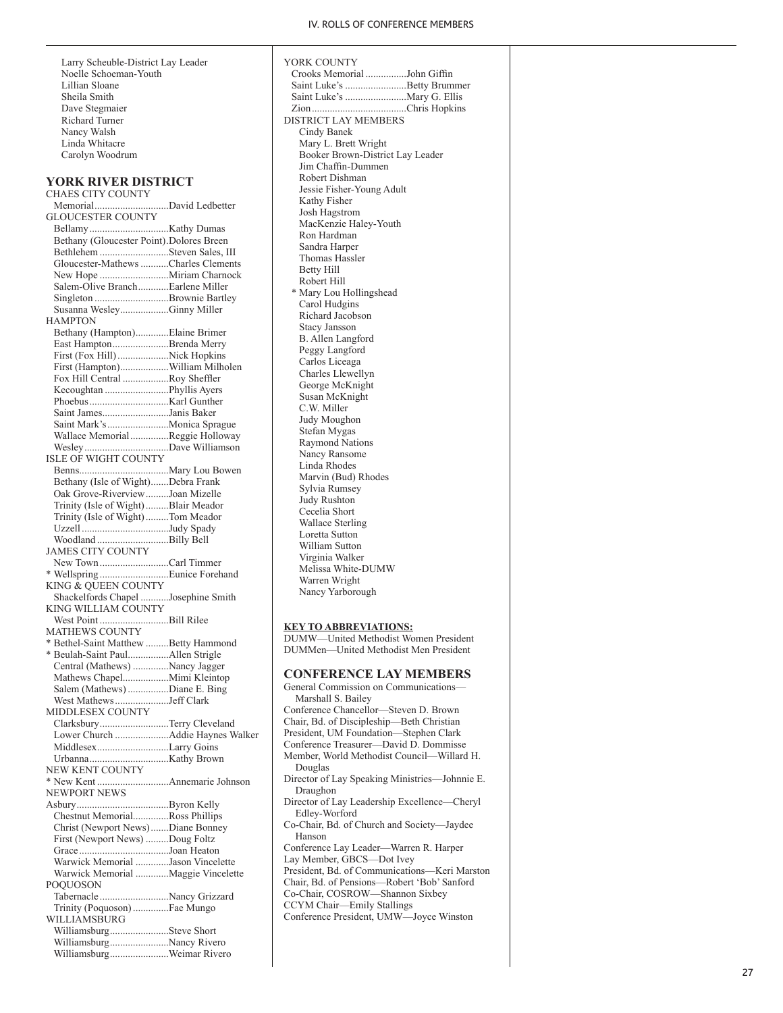Larry Scheuble-District Lay Leader Noelle Schoeman-Youth Lillian Sloane Sheila Smith Dave Stegmaier Richard Turner Nancy Walsh Linda Whitacre Carolyn Woodrum

### **YORK RIVER DISTRICT**

CHAES CITY COUNTY Memorial.............................David Ledbetter GLOUCESTER COUNTY Bellamy...............................Kathy Dumas Bethany (Gloucester Point) .Dolores Breen Bethlehem ...........................Steven Sales, III Gloucester-Mathews...........Charles Clements New Hope ...........................Miriam Charnock Salem-Olive Branch............Earlene Miller Singleton .............................Brownie Bartley Susanna Wesley...................Ginny Miller HAMPTON Bethany (Hampton).............Elaine Brimer East Hampton......................Brenda Merry First (Fox Hill)....................Nick Hopkins First (Hampton)...................William Milholen Fox Hill Central ..................Roy Sheffler Kecoughtan .........................Phyllis Ayers Phoebus...............................Karl Gunther Saint James..........................Janis Baker Saint Mark's........................Monica Sprague Wallace Memorial...............Reggie Holloway Wesley.................................Dave Williamson ISLE OF WIGHT COUNTY Benns...................................Mary Lou Bowen Bethany (Isle of Wight).......Debra Frank Oak Grove-Riverview.........Joan Mizelle Trinity (Isle of Wight).........Blair Meador Trinity (Isle of Wight).........Tom Meador Uzzell ..................................Judy Spady Woodland ............................Billy Bell JAMES CITY COUNTY New Town...........................Carl Timmer \* Wellspring ...........................Eunice Forehand KING & QUEEN COUNTY Shackelfords Chapel ...........Josephine Smith KING WILLIAM COUNTY West Point ...........................Bill Rilee MATHEWS COUNTY \* Bethel-Saint Matthew .........Betty Hammond \* Beulah-Saint Paul................Allen Strigle Central (Mathews) ..............Nancy Jagger Mathews Chapel..................Mimi Kleintop Salem (Mathews) ................Diane E. Bing West Mathews.....................Jeff Clark MIDDLESEX COUNTY Clarksbury...........................Terry Cleveland Lower Church .....................Addie Haynes Walker Middlesex............................Larry Goins Urbanna...............................Kathy Brown NEW KENT COUNTY \* New Kent ............................Annemarie Johnson NEWPORT NEWS Asbury....................................Byron Kelly Chestnut Memorial..............Ross Phillips Christ (Newport News).......Diane Bonney First (Newport News) .........Doug Foltz Grace ...................................Joan Heaton Warwick Memorial .............Jason Vincelette Warwick Memorial .............Maggie Vincelette POQUOSON Tabernacle ...........................Nancy Grizzard Trinity (Poquoson)..............Fae Mungo WILLIAMSBURG Williamsburg.......................Steve Short Williamsburg.......................Nancy Rivero Williamsburg.......................Weimar Rivero

| YORK COUNTY                           |
|---------------------------------------|
| Crooks Memorial John Giffin           |
|                                       |
| Saint Luke's Betty Brummer            |
| Saint Luke's  Mary G. Ellis           |
|                                       |
| <b>DISTRICT LAY MEMBERS</b>           |
| Cindy Banek                           |
| Mary L. Brett Wright                  |
| Booker Brown-District Lay Leader      |
| Jim Chaffin-Dummen                    |
| Robert Dishman                        |
| Jessie Fisher-Young Adult             |
| Kathy Fisher                          |
| Josh Hagstrom                         |
| MacKenzie Haley-Youth                 |
| Ron Hardman                           |
| Sandra Harper                         |
| Thomas Hassler                        |
| Betty Hill                            |
| Robert Hill                           |
| * Mary Lou Hollingshead               |
| Carol Hudgins                         |
| Richard Jacobson                      |
| <b>Stacy Jansson</b>                  |
| <b>B.</b> Allen Langford              |
| Peggy Langford                        |
|                                       |
| Carlos Liceaga                        |
| Charles Llewellyn                     |
| George McKnight                       |
| Susan McKnight                        |
| C.W. Miller                           |
| Judy Moughon                          |
| Stefan Mygas                          |
| <b>Raymond Nations</b>                |
| Nancy Ransome                         |
| Linda Rhodes                          |
| Marvin (Bud) Rhodes                   |
| Sylvia Rumsey                         |
| <b>Judy Rushton</b>                   |
| Cecelia Short                         |
| <b>Wallace Sterling</b>               |
| Loretta Sutton                        |
| William Sutton                        |
| Virginia Walker                       |
| Melissa White-DUMW                    |
| Warren Wright                         |
| Nancy Yarborough                      |
|                                       |
| <b>KEY TO ABBREVIATIONS:</b>          |
| DUMW-United Methodist Women President |
| DUMMen-United Methodist Men President |
|                                       |
| <b>CONFERENCE LAY MEMBERS</b>         |
| General Commission on Communications- |
| $M_{\text{2}}$ = 1. $-11$ C D = 1     |

Marshall S. Bailey Conference Chancellor—Steven D. Brown Chair, Bd. of Discipleship—Beth Christian President, UM Foundation—Stephen Clark Conference Treasurer—David D. Dommisse Member, World Methodist Council—Willard H. Douglas Director of Lay Speaking Ministries—Johnnie E. Draughon Director of Lay Leadership Excellence—Cheryl Edley-Worford Co-Chair, Bd. of Church and Society—Jaydee Hanson Conference Lay Leader—Warren R. Harper Lay Member, GBCS—Dot Ivey President, Bd. of Communications—Keri Marston Chair, Bd. of Pensions—Robert 'Bob' Sanford Co-Chair, COSROW—Shannon Sixbey CCYM Chair—Emily Stallings

Conference President, UMW—Joyce Winston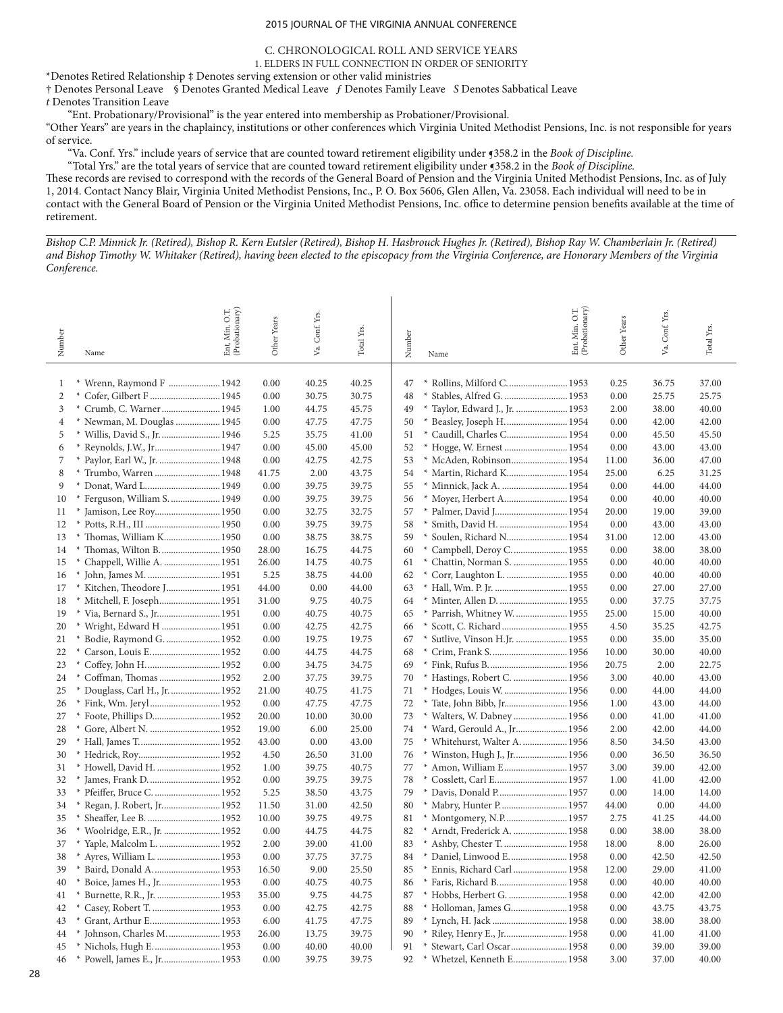### C. CHRONOLOGICAL ROLL AND SERVICE YEARS

1. ELDERS IN FULL CONNECTION IN ORDER OF SENIORITY

\*Denotes Retired Relationship ‡ Denotes serving extension or other valid ministries

† Denotes Personal Leave § Denotes Granted Medical Leave ƒ Denotes Family Leave *S* Denotes Sabbatical Leave *t* Denotes Transition Leave

"Ent. Probationary/Provisional" is the year entered into membership as Probationer/Provisional.

"Other Years" are years in the chaplaincy, institutions or other conferences which Virginia United Methodist Pensions, Inc. is not responsible for years of service.

"Va. Conf. Yrs." include years of service that are counted toward retirement eligibility under ¶358.2 in the *Book of Discipline.*

"Total Yrs." are the total years of service that are counted toward retirement eligibility under ¶358.2 in the *Book of Discipline.*

These records are revised to correspond with the records of the General Board of Pension and the Virginia United Methodist Pensions, Inc. as of July 1, 2014. Contact Nancy Blair, Virginia United Methodist Pensions, Inc., P. O. Box 5606, Glen Allen, Va. 23058. Each individual will need to be in contact with the General Board of Pension or the Virginia United Methodist Pensions, Inc. office to determine pension benefits available at the time of retirement.

*Bishop C.P. Minnick Jr. (Retired), Bishop R. Kern Eutsler (Retired), Bishop H. Hasbrouck Hughes Jr. (Retired), Bishop Ray W. Chamberlain Jr. (Retired) and Bishop Timothy W. Whitaker (Retired), having been elected to the episcopacy from the Virginia Conference, are Honorary Members of the Virginia Conference.*

| Number              | Ent. Min. O.T.<br>(Probationary)<br>Name | Other Years  | Va. Conf. Yrs. | Total Yrs.     | Number   | Name                                | Ent. Min. O.T.<br>(Probationary) | Other Years  | Conf. Yrs.<br>Va. | Total Yrs.     |
|---------------------|------------------------------------------|--------------|----------------|----------------|----------|-------------------------------------|----------------------------------|--------------|-------------------|----------------|
|                     |                                          |              |                |                |          |                                     |                                  |              |                   |                |
| 1                   | * Wrenn, Raymond F  1942                 | 0.00         | 40.25          | 40.25          | 47       | Rollins, Milford C.  1953           |                                  | 0.25         | 36.75             | 37.00          |
| 2                   | $\ast$                                   | 0.00         | 30.75          | 30.75          | 48       | Stables, Alfred G.  1953            |                                  | 0.00         | 25.75             | 25.75          |
| 3                   | * Crumb, C. Warner 1945                  | 1.00         | 44.75          | 45.75          | 49       | Taylor, Edward J., Jr.  1953        |                                  | 2.00         | 38.00             | 40.00          |
| $\overline{4}$<br>5 | * Newman, M. Douglas  1945               | 0.00         | 47.75          | 47.75          | 50<br>51 | Beasley, Joseph H.  1954            |                                  | 0.00         | 42.00             | 42.00          |
| 6                   | * Willis, David S., Jr.  1946            | 5.25<br>0.00 | 35.75<br>45.00 | 41.00<br>45.00 | 52       | * Caudill, Charles C 1954<br>$\ast$ |                                  | 0.00<br>0.00 | 45.50<br>43.00    | 45.50<br>43.00 |
| 7                   |                                          | 0.00         | 42.75          | 42.75          | 53       | McAden, Robinson 1954               |                                  | 11.00        | 36.00             | 47.00          |
| 8                   | * Paylor, Earl W., Jr.  1948             | 41.75        | 2.00           | 43.75          | 54       | Martin, Richard K 1954              |                                  | 25.00        | 6.25              | 31.25          |
| 9                   | * Donat, Ward L 1949                     | 0.00         | 39.75          | 39.75          | 55       | Minnick, Jack A.  1954              |                                  | 0.00         | 44.00             | 44.00          |
| 10                  | * Ferguson, William S.  1949             | 0.00         | 39.75          | 39.75          | 56       | * Moyer, Herbert A 1954             |                                  | 0.00         | 40.00             | 40.00          |
| 11                  |                                          | 0.00         | 32.75          | 32.75          | 57       |                                     |                                  | 20.00        | 19.00             | 39.00          |
| 12                  |                                          | 0.00         | 39.75          | 39.75          | 58       | * Smith, David H.  1954             |                                  | 0.00         | 43.00             | 43.00          |
| 13                  | * Thomas, William K 1950                 | 0.00         | 38.75          | 38.75          | 59       | Soulen, Richard N 1954<br>$\ast$    |                                  | 31.00        | 12.00             | 43.00          |
| 14                  | * Thomas, Wilton B.  1950                | 28.00        | 16.75          | 44.75          | 60       | * Campbell, Deroy C.  1955          |                                  | 0.00         | 38.00             | 38.00          |
| 15                  |                                          | 26.00        | 14.75          | 40.75          | 61       | * Chattin, Norman S.  1955          |                                  | 0.00         | 40.00             | 40.00          |
| 16                  |                                          | 5.25         | 38.75          | 44.00          | 62       | $\ast$<br>Corr, Laughton L.  1955   |                                  | 0.00         | 40.00             | 40.00          |
| 17                  | * Kitchen, Theodore J 1951               | 44.00        | 0.00           | 44.00          | 63       |                                     |                                  | 0.00         | 27.00             | 27.00          |
| 18                  | * Mitchell, F. Joseph 1951               | 31.00        | 9.75           | 40.75          | 64       | * Minter, Allen D.  1955            |                                  | 0.00         | 37.75             | 37.75          |
| 19                  |                                          | 0.00         | 40.75          | 40.75          | 65       | * Parrish, Whitney W.  1955         |                                  | 25.00        | 15.00             | 40.00          |
| 20                  | * Wright, Edward H  1951                 | 0.00         | 42.75          | 42.75          | 66       | * Scott, C. Richard  1955           |                                  | 4.50         | 35.25             | 42.75          |
| 21                  | Bodie, Raymond G.  1952                  | 0.00         | 19.75          | 19.75          | 67       | * Sutlive, Vinson H.Jr.  1955       |                                  | 0.00         | 35.00             | 35.00          |
| 22                  | Carson, Louis E 1952                     | 0.00         | 44.75          | 44.75          | 68       | $\ast$                              |                                  | 10.00        | 30.00             | 40.00          |
| 23                  |                                          | 0.00         | 34.75          | 34.75          | 69       | $*$                                 |                                  | 20.75        | 2.00              | 22.75          |
| 24                  | Coffman, Thomas  1952                    | 2.00         | 37.75          | 39.75          | 70       | * Hastings, Robert C.  1956         |                                  | 3.00         | 40.00             | 43.00          |
| 25                  | Douglass, Carl H., Jr.  1952             | 21.00        | 40.75          | 41.75          | 71       | Hodges, Louis W.  1956              |                                  | 0.00         | 44.00             | 44.00          |
| 26                  |                                          | 0.00         | 47.75          | 47.75          | 72       | * Tate, John Bibb, Jr 1956          |                                  | 1.00         | 43.00             | 44.00          |
| 27                  |                                          | 20.00        | 10.00          | 30.00          | 73       | * Walters, W. Dabney  1956          |                                  | 0.00         | 41.00             | 41.00          |
| 28                  |                                          | 19.00        | 6.00           | 25.00          | 74       | * Ward, Gerould A., Jr 1956         |                                  | 2.00         | 42.00             | 44.00          |
| 29                  |                                          | 43.00        | 0.00           | 43.00          | 75       | * Whitehurst, Walter A.  1956       |                                  | 8.50         | 34.50             | 43.00          |
| 30                  |                                          | 4.50         | 26.50          | 31.00          | 76       | * Winston, Hugh J., Jr 1956         |                                  | 0.00         | 36.50             | 36.50          |
| 31                  | Howell, David H.  1952                   | 1.00         | 39.75          | 40.75          | 77       | * Amon, William E 1957              |                                  | 3.00         | 39.00             | 42.00          |
| 32                  |                                          | 0.00         | 39.75          | 39.75          | 78       | Cosslett, Carl E 1957               |                                  | 1.00         | 41.00             | 42.00          |
| 33                  |                                          | 5.25         | 38.50          | 43.75          | 79       |                                     |                                  | 0.00         | 14.00             | 14.00          |
| 34                  | Regan, J. Robert, Jr 1952                | 11.50        | 31.00          | 42.50          | 80       | * Mabry, Hunter P 1957              |                                  | 44.00        | 0.00              | 44.00          |
| 35                  |                                          | 10.00        | 39.75          | 49.75          | 81       |                                     |                                  | 2.75         | 41.25             | 44.00          |
| 36                  | * Woolridge, E.R., Jr.  1952             | 0.00         | 44.75          | 44.75          | 82       | * Arndt, Frederick A.  1958         |                                  | 0.00         | 38.00             | 38.00          |
| 37                  |                                          | 2.00         | 39.00          | 41.00          | 83       |                                     |                                  | 18.00        | 8.00              | 26.00          |
| 38                  | Ayres, William L.  1953                  | 0.00         | 37.75          | 37.75          | 84       | * Daniel, Linwood E.  1958          |                                  | 0.00         | 42.50             | 42.50          |
| 39                  | Baird, Donald A.  1953                   | 16.50        | 9.00           | 25.50          | 85       | * Ennis, Richard Carl  1958         |                                  | 12.00        | 29.00             | 41.00          |
| 40                  |                                          | 0.00         | 40.75          | 40.75          | 86       | * Faris, Richard B 1958             |                                  | 0.00         | 40.00             | 40.00          |
| 41                  |                                          | 35.00        | 9.75           | 44.75          | 87       |                                     |                                  | 0.00         | 42.00             | 42.00          |
| 42                  | * Casey, Robert T.  1953                 | 0.00         | 42.75          | 42.75          | 88       | * Holloman, James G 1958            |                                  | 0.00         | 43.75             | 43.75          |
| 43                  | $\ast$                                   | 6.00         | 41.75          | 47.75          | 89       |                                     |                                  | 0.00         | 38.00             | 38.00          |
| 44                  | * Johnson, Charles M.  1953              | 26.00        | 13.75          | 39.75          | 90       | * Riley, Henry E., Jr 1958          |                                  | 0.00         | 41.00             | 41.00          |
| 45                  | * Nichols, Hugh E 1953                   | 0.00         | 40.00          | 40.00          | 91       | * Stewart, Carl Oscar 1958          |                                  | 0.00         | 39.00             | 39.00          |
| 46                  | * Powell, James E., Jr 1953              | 0.00         | 39.75          | 39.75          | 92       | * Whetzel, Kenneth E 1958           |                                  | 3.00         | 37.00             | 40.00          |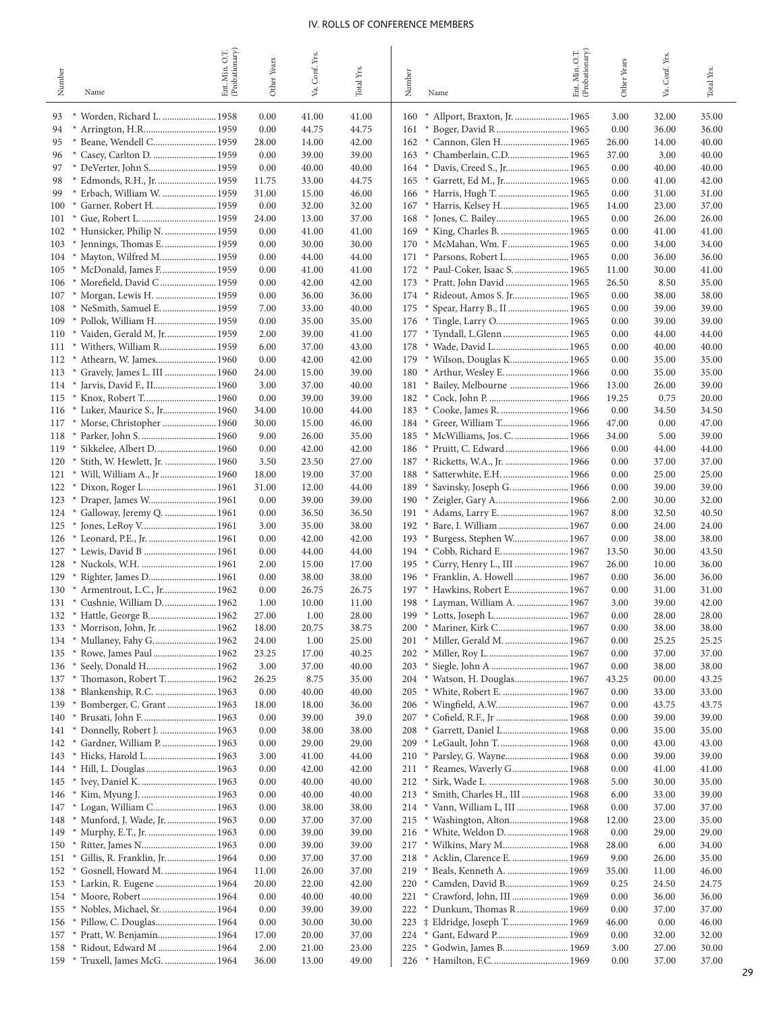|                                            | Min. O.T.      |                |                |                |                                                    | Min. O.T.      |              |                |                |
|--------------------------------------------|----------------|----------------|----------------|----------------|----------------------------------------------------|----------------|--------------|----------------|----------------|
| Number                                     | (Probationary) | Other Years    | Va. Conf. Yrs. | Total Yrs.     | Number                                             | (Probationary) | Other Years  | Va. Conf. Yrs  | Total Yrs.     |
| Name                                       | Ent.           |                |                |                | Name                                               | Ent.           |              |                |                |
| 93                                         |                |                |                |                |                                                    |                |              |                | 35.00          |
| * Worden, Richard L.  1958<br>94           |                | 0.00<br>0.00   | 41.00<br>44.75 | 41.00<br>44.75 | 160<br>161<br>$\ast$                               |                | 3.00<br>0.00 | 32.00<br>36.00 | 36.00          |
| 95                                         |                | 28.00          | 14.00          | 42.00          | Cannon, Glen H 1965<br>162<br>$\rightarrow$        |                | 26.00        | 14.00          | 40.00          |
| 96                                         |                | 0.00           | 39.00          | 39.00          | Chamberlain, C.D 1965<br>163                       |                | 37.00        | 3.00           | 40.00          |
| 97                                         |                | 0.00           | 40.00          | 40.00          | Davis, Creed S., Jr 1965<br>164<br>$\rightarrow$   |                | 0.00         | 40.00          | 40.00          |
| 98<br>* Edmonds, R.H., Jr.  1959           |                | 11.75          | 33.00          | 44.75          | 165<br>$\rightarrow$                               |                | 0.00         | 41.00          | 42.00          |
| 99<br>* Erbach, William W.  1959           |                | 31.00          | 15.00          | 46.00          | 166                                                |                | 0.00         | 31.00          | 31.00          |
| * Garner, Robert H.  1959<br>100           |                | 0.00           | 32.00          | 32.00          | Harris, Kelsey H 1965<br>167<br>$\rightarrow$      |                | 14.00        | 23.00          | 37.00          |
| 101                                        |                | 24.00          | 13.00          | 37.00          | 168                                                |                | 0.00         | 26.00          | 26.00          |
| * Hunsicker, Philip N.  1959<br>102        |                | 0.00           | 41.00          | 41.00          | 169                                                |                | 0.00         | 41.00          | 41.00          |
| Jennings, Thomas E.  1959<br>103<br>$*$    |                | 0.00           | 30.00          | 30.00          | McMahan, Wm. F 1965<br>170<br>$\ast$               |                | 0.00         | 34.00          | 34.00          |
| * Mayton, Wilfred M 1959<br>104            |                | 0.00           | 44.00          | 44.00          | 171                                                |                | 0.00         | 36.00          | 36.00          |
| * McDonald, James F 1959<br>105            |                | 0.00           | 41.00          | 41.00          | * Paul-Coker, Isaac S.  1965<br>172                |                | 11.00        | 30.00          | 41.00          |
| * Morefield, David C  1959<br>106          |                | 0.00           | 42.00          | 42.00          | Pratt, John David  1965<br>173<br>$\rightarrow$    |                | 26.50        | 8.50           | 35.00          |
| 107                                        |                | 0.00           | 36.00          | 36.00          |                                                    |                | 0.00         | 38.00          | 38.00          |
| 108                                        |                | 7.00           | 33.00          | 40.00          | Spear, Harry B., II  1965<br>175<br>×              |                | 0.00         | 39.00          | 39.00          |
| * Pollok, William H.  1959<br>109          |                | 0.00           | 35.00          | 35.00          | Tingle, Larry O 1965<br>176<br>$*$                 |                | 0.00         | 39.00          | 39.00          |
| * Vaiden, Gerald M, Jr 1959<br>110         |                | 2.00           | 39.00          | 41.00          | Tyndall, L.Glenn  1965<br>177<br>$\ast$            |                | 0.00         | 44.00          | 44.00          |
| * Withers, William R 1959<br>111           |                | 6.00           | 37.00          | 43.00          | 178                                                |                | 0.00         | 40.00          | 40.00          |
| * Athearn, W. James 1960<br>112            |                | 0.00           | 42.00          | 42.00          | Wilson, Douglas K 1965<br>179<br>$\ast$            |                | 0.00         | 35.00          | 35.00          |
| * Gravely, James L. III  1960<br>113       |                | 24.00          | 15.00          | 39.00          | * Arthur, Wesley E.  1966<br>180                   |                | 0.00         | 35.00          | 35.00          |
| 114                                        |                | 3.00           | 37.00          | 40.00          | * Bailey, Melbourne  1966<br>181                   |                | 13.00        | 26.00          | 39.00          |
| * Knox, Robert T 1960<br>115               |                | 0.00           | 39.00          | 39.00          | 182<br>$\rightarrow$                               |                | 19.25        | 0.75           | 20.00          |
| * Luker, Maurice S., Jr 1960<br>116        |                | 34.00          | 10.00          | 44.00          | 183<br>$\rightarrow$                               |                | 0.00         | 34.50          | 34.50          |
| * Morse, Christopher  1960<br>117          |                | 30.00          | 15.00          | 46.00          |                                                    |                | 47.00        | 0.00           | 47.00          |
| 118                                        |                | 9.00           | 26.00          | 35.00          | 185                                                |                | 34.00        | 5.00           | 39.00          |
| * Stith, W. Hewlett, Jr.  1960<br>120      |                | 0.00<br>3.50   | 42.00<br>23.50 | 42.00<br>27.00 | 186<br>187                                         |                | 0.00<br>0.00 | 44.00<br>37.00 | 44.00<br>37.00 |
| 121                                        |                | 18.00          | 19.00          | 37.00          | 188<br>$\ast$                                      |                | 0.00         | 25.00          | 25.00          |
| 122                                        |                | 31.00          | 12.00          | 44.00          | * Savinsky, Joseph G.  1966<br>189                 |                | 0.00         | 39.00          | 39.00          |
| 123                                        |                | 0.00           | 39.00          | 39.00          |                                                    |                | 2.00         | 30.00          | 32.00          |
| 124<br>* Galloway, Jeremy Q.  1961         |                | 0.00           | 36.50          | 36.50          | Adams, Larry E.  1967<br>191<br>$\rightarrow$      |                | 8.00         | 32.50          | 40.50          |
| * Jones, LeRoy V 1961<br>125               |                | 3.00           | 35.00          | 38.00          |                                                    |                | 0.00         | 24.00          | 24.00          |
| 126                                        |                | 0.00           | 42.00          | 42.00          | 193                                                |                | 0.00         | 38.00          | 38.00          |
| * Lewis, David B  1961<br>127              |                | 0.00           | 44.00          | 44.00          | $194$ *                                            |                | 13.50        | 30.00          | 43.50          |
| 128                                        |                | 2.00           | 15.00          | 17.00          | Curry, Henry L., III  1967<br>195<br>$\rightarrow$ |                | 26.00        | 10.00          | 36.00          |
| 129<br>$*$                                 |                | 0.00           | 38.00          | 38.00          | * Franklin, A. Howell  1967<br>196                 |                | 0.00         | 36.00          | 36.00          |
| * Armentrout, L.C., Jr 1962<br>130         |                | 0.00           | 26.75          | 26.75          | Hawkins, Robert E 1967<br>197<br>$\rightarrow$     |                | 0.00         | 31.00          | 31.00          |
| * Cushnie, William D.  1962<br>131         |                | 1.00           | 10.00          | 11.00          | * Layman, William A.  1967<br>198                  |                | 3.00<br>0.00 | 39.00<br>28.00 | 42.00          |
|                                            |                | 27.00<br>18.00 | 1.00<br>20.75  | 28.00<br>38.75 | 200 * Mariner, Kirk C 1967                         |                | 0.00         | 38.00          | 28.00<br>38.00 |
| * Mullaney, Fahy G.  1962<br>134           |                | 24.00          | 1.00           | 25.00          | * Miller, Gerald M.  1967<br>201                   |                | 0.00         | 25.25          | 25.25          |
| 135                                        |                | 23.25          | 17.00          | 40.25          |                                                    |                | 0.00         | 37.00          | 37.00          |
| * Seely, Donald H 1962<br>136              |                | 3.00           | 37.00          | 40.00          | 203<br>$\rightarrow$                               |                | 0.00         | 38.00          | 38.00          |
| 137 * Thomason, Robert T 1962              |                | 26.25          | 8.75           | 35.00          | 204 * Watson, H. Douglas 1967                      |                | 43.25        | 00.00          | 43.25          |
| Blankenship, R.C.  1963<br>138<br>$\ast$   |                | 0.00           | 40.00          | 40.00          |                                                    |                | 0.00         | 33.00          | 33.00          |
| Bomberger, C. Grant  1963<br>139<br>$\ast$ |                | 18.00          | 18.00          | 36.00          |                                                    |                | 0.00         | 43.75          | 43.75          |
| 140                                        |                | 0.00           | 39.00          | 39.0           | 207                                                |                | 0.00         | 39.00          | 39.00          |
| 141                                        |                | 0.00           | 38.00          | 38.00          |                                                    |                | 0.00         | 35.00          | 35.00          |
| * Gardner, William P.  1963<br>142         |                | 0.00           | 29.00          | 29.00          | * LeGault, John T.  1968<br>209                    |                | 0.00         | 43.00          | 43.00          |
| 143                                        |                | 3.00           | 41.00          | 44.00          | 210 * Parsley, G. Wayne 1968                       |                | 0.00         | 39.00          | 39.00          |
|                                            |                | 0.00           | 42.00          | 42.00          | 211 * Reames, Waverly G 1968                       |                | 0.00         | 41.00          | 41.00          |
| 145<br>×                                   |                | 0.00           | 40.00          | 40.00          | 212                                                |                | 5.00         | 30.00          | 35.00          |
| 146                                        |                | 0.00           | 40.00          | 40.00          | 213 * Smith, Charles H., III  1968                 |                | 6.00         | 33.00          | 39.00          |
| 147                                        |                | 0.00           | 38.00          | 38.00          | 214 * Vann, William L, III  1968                   |                | 0.00         | 37.00          | 37.00          |
| * Munford, J. Wade, Jr.  1963<br>148       |                | 0.00           | 37.00          | 37.00          | * Washington, Alton 1968<br>215                    |                | 12.00        | 23.00          | 35.00          |
| 149 * Murphy, E.T., Jr.  1963              |                | 0.00           | 39.00          | 39.00          |                                                    |                | 0.00         | 29.00          | 29.00          |
| 150                                        |                | 0.00           | 39.00          | 39.00          |                                                    |                | 28.00        | 6.00           | 34.00          |
| * Gillis, R. Franklin, Jr.  1964<br>151    |                | 0.00           | 37.00          | 37.00          | * Acklin, Clarence E.  1969<br>218                 |                | 9.00         | 26.00          | 35.00          |
| 152 * Gosnell, Howard M.  1964             |                | 11.00          | 26.00          | 37.00          | 219 * Beals, Kenneth A.  1969                      |                | 35.00        | 11.00          | 46.00          |
| 154                                        |                | 20.00<br>0.00  | 22.00<br>40.00 | 42.00<br>40.00 | 221                                                |                | 0.25<br>0.00 | 24.50<br>36.00 | 24.75<br>36.00 |
|                                            |                | 0.00           | 39.00          | 39.00          | 222 * Dunkum, Thomas R 1969                        |                | 0.00         | 37.00          | 37.00          |
|                                            |                | 0.00           | 30.00          | 30.00          |                                                    |                | 46.00        | 0.00           | 46.00          |
| * Pratt, W. Benjamin 1964<br>157           |                | 17.00          | 20.00          | 37.00          | 224                                                |                | 0.00         | 32.00          | 32.00          |
| 158                                        |                | 2.00           | 21.00          | 23.00          | * Godwin, James B 1969<br>225                      |                | 3.00         | 27.00          | 30.00          |
| 159 * Truxell, James McG.  1964            |                | 36.00          | 13.00          | 49.00          |                                                    |                | 0.00         | 37.00          | 37.00          |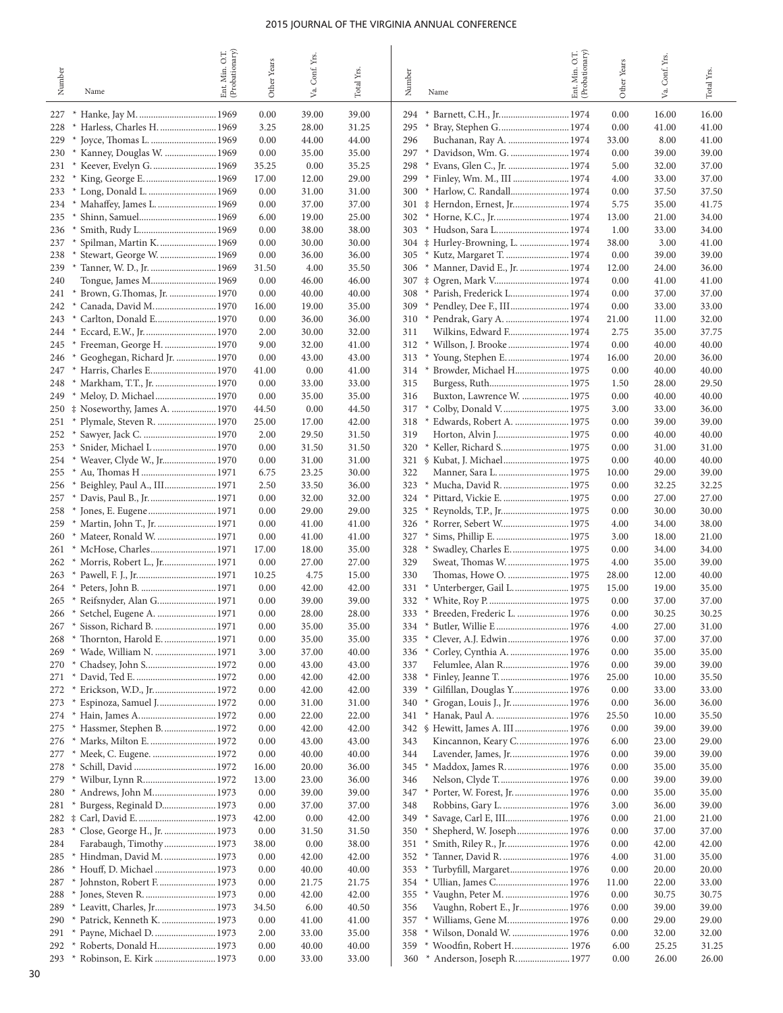| Number     | Name                                                                | Ent. Min. O.T.<br>(Probationary) | Other Years   | Conf. Yrs<br>Va. | Total Yrs.     | Number     | Name                                                         | Ent. Min. O.T.<br>(Probationary) | Other Years    | Conf. Yrs.<br>Уa. | Total Yrs      |
|------------|---------------------------------------------------------------------|----------------------------------|---------------|------------------|----------------|------------|--------------------------------------------------------------|----------------------------------|----------------|-------------------|----------------|
| 227        |                                                                     |                                  | 0.00          | 39.00            | 39.00          | 294        |                                                              |                                  | 0.00           | 16.00             | 16.00          |
| 228        | Harless, Charles H.  1969                                           |                                  | 3.25          | 28.00            | 31.25          | 295        |                                                              |                                  | 0.00           | 41.00             | 41.00          |
| 229        |                                                                     |                                  | 0.00          | 44.00            | 44.00          | 296        | Buchanan, Ray A.  1974                                       |                                  | 33.00          | 8.00              | 41.00          |
| 230        | Kanney, Douglas W.  1969<br>$\ast$                                  |                                  | 0.00          | 35.00            | 35.00          | 297        |                                                              |                                  | 0.00           | 39.00             | 39.00          |
| 231        | Keever, Evelyn G.  1969                                             |                                  | 35.25         | 0.00             | 35.25          | 298        |                                                              |                                  | 5.00           | 32.00             | 37.00          |
| 232<br>233 | King, George E.  1969<br>Long, Donald L.  1969                      |                                  | 17.00<br>0.00 | 12.00<br>31.00   | 29.00<br>31.00 | 299<br>300 | * Finley, Wm. M., III  1974<br>* Harlow, C. Randall 1974     |                                  | 4.00<br>0.00   | 33.00<br>37.50    | 37.00<br>37.50 |
| 234        |                                                                     |                                  | 0.00          | 37.00            | 37.00          | 301        | # Herndon, Ernest, Jr 1974                                   |                                  | 5.75           | 35.00             | 41.75          |
| 235        |                                                                     |                                  | 6.00          | 19.00            | 25.00          | 302        |                                                              |                                  | 13.00          | 21.00             | 34.00          |
| 236        | Smith, Rudy L 1969<br>$\ast$                                        |                                  | 0.00          | 38.00            | 38.00          | 303        | * Hudson, Sara L 1974                                        |                                  | 1.00           | 33.00             | 34.00          |
| 237        | Spilman, Martin K.  1969                                            |                                  | 0.00          | 30.00            | 30.00          |            |                                                              |                                  | 38.00          | 3.00              | 41.00          |
| 238        | Stewart, George W.  1969                                            |                                  | 0.00          | 36.00            | 36.00          | 305        | * Kutz, Margaret T.  1974                                    |                                  | 0.00           | 39.00             | 39.00          |
| 239        | $\ast$                                                              |                                  | 31.50         | 4.00             | 35.50          | 306        | * Manner, David E., Jr.  1974                                |                                  | 12.00          | 24.00             | 36.00          |
| 240<br>241 | Brown, G.Thomas, Jr.  1970<br>$*$                                   |                                  | 0.00<br>0.00  | 46.00<br>40.00   | 46.00<br>40.00 | 307<br>308 | ‡ Ogren, Mark V 1974<br>* Parish, Frederick L 1974           |                                  | 0.00<br>0.00   | 41.00<br>37.00    | 41.00<br>37.00 |
| 242        | Canada, David M 1970<br>$\ast$                                      |                                  | 16.00         | 19.00            | 35.00          | 309        | * Pendley, Dee F., III 1974                                  |                                  | 0.00           | 33.00             | 33.00          |
| 243        | Carlton, Donald E 1970<br>$\ast$                                    |                                  | 0.00          | 36.00            | 36.00          | 310        |                                                              |                                  | 21.00          | 11.00             | 32.00          |
| 244        | $*$                                                                 |                                  | 2.00          | 30.00            | 32.00          | 311        | Wilkins, Edward F 1974                                       |                                  | 2.75           | 35.00             | 37.75          |
| 245        | Freeman, George H.  1970<br>$^{\ast}$                               |                                  | 9.00          | 32.00            | 41.00          | 312        | * Willson, J. Brooke  1974                                   |                                  | 0.00           | 40.00             | 40.00          |
| 246        | Geoghegan, Richard Jr.  1970                                        |                                  | 0.00          | 43.00            | 43.00          | 313        | * Young, Stephen E.  1974                                    |                                  | 16.00          | 20.00             | 36.00          |
| 247<br>248 | Harris, Charles E 1970<br>$*$<br>Markham, T.T., Jr.  1970<br>$\ast$ |                                  | 41.00<br>0.00 | 0.00<br>33.00    | 41.00<br>33.00 | 314<br>315 | * Browder, Michael H 1975                                    |                                  | 0.00<br>1.50   | 40.00<br>28.00    | 40.00<br>29.50 |
| 249        | Meloy, D. Michael 1970                                              |                                  | 0.00          | 35.00            | 35.00          | 316        | Buxton, Lawrence W.  1975                                    |                                  | 0.00           | 40.00             | 40.00          |
| 250        | ‡ Noseworthy, James A.  1970                                        |                                  | 44.50         | 0.00             | 44.50          | 317        | Colby, Donald V 1975<br>×                                    |                                  | 3.00           | 33.00             | 36.00          |
| 251        | Plymale, Steven R.  1970                                            |                                  | 25.00         | 17.00            | 42.00          | 318        | Edwards, Robert A.  1975<br>$\ast$                           |                                  | 0.00           | 39.00             | 39.00          |
| 252        | Sawyer, Jack C.  1970<br>×                                          |                                  | 2.00          | 29.50            | 31.50          | 319        |                                                              |                                  | 0.00           | 40.00             | 40.00          |
| 253        | Snider, Michael L 1970                                              |                                  | 0.00          | 31.50            | 31.50          | 320        | * Keller, Richard S 1975                                     |                                  | 0.00           | 31.00             | 31.00          |
| 254        | Weaver, Clyde W., Jr 1970<br>$*$                                    |                                  | 0.00          | 31.00            | 31.00          |            | 321 § Kubat, J. Michael 1975                                 |                                  | 0.00           | 40.00             | 40.00          |
| 255        | Au, Thomas H  1971                                                  |                                  | 6.75          | 23.25            | 30.00          | 322        |                                                              |                                  | 10.00          | 29.00             | 39.00          |
| 256<br>257 | Beighley, Paul A., III 1971<br>$\ast$                               |                                  | 2.50<br>0.00  | 33.50<br>32.00   | 36.00<br>32.00 | 323<br>324 | * Mucha, David R.  1975<br>$\ast$                            |                                  | 0.00<br>0.00   | 32.25<br>27.00    | 32.25<br>27.00 |
| 258        |                                                                     |                                  | 0.00          | 29.00            | 29.00          | 325        | Reynolds, T.P., Jr 1975<br>×                                 |                                  | 0.00           | 30.00             | 30.00          |
| 259        | Martin, John T., Jr.  1971<br>×                                     |                                  | 0.00          | 41.00            | 41.00          | 326        |                                                              |                                  | 4.00           | 34.00             | 38.00          |
| 260        | Mateer, Ronald W.  1971<br>$*$                                      |                                  | 0.00          | 41.00            | 41.00          | 327        | Sims, Phillip E.  1975                                       |                                  | 3.00           | 18.00             | 21.00          |
| 261        | * McHose, Charles 1971                                              |                                  | 17.00         | 18.00            | 35.00          | 328        | Swadley, Charles E.  1975                                    |                                  | 0.00           | 34.00             | 34.00          |
| 262        | * Morris, Robert L., Jr 1971                                        |                                  | 0.00          | 27.00            | 27.00          | 329        | Sweat, Thomas W.  1975                                       |                                  | 4.00           | 35.00             | 39.00          |
| 263<br>264 | $\ast$                                                              |                                  | 10.25<br>0.00 | 4.75<br>42.00    | 15.00<br>42.00 | 330<br>331 | Unterberger, Gail L 1975<br>$\ast$                           |                                  | 28.00<br>15.00 | 12.00             | 40.00<br>35.00 |
| 265        | * Reifsnyder, Alan G 1971                                           |                                  | 0.00          | 39.00            | 39.00          |            |                                                              |                                  | 0.00           | 19.00<br>37.00    | 37.00          |
|            | 266 * Setchel, Eugene A.  1971                                      |                                  | 0.00          | 28.00            | 28.00          |            | 333 * Breeden, Frederic L.  1976                             |                                  | 0.00           | 30.25             | 30.25          |
| 267        | Sisson, Richard B.  1971<br>$\ast$                                  |                                  | 0.00          | 35.00            | 35.00          | 334        | ×                                                            |                                  | 4.00           | 27.00             | 31.00          |
| 268        |                                                                     |                                  | 0.00          | 35.00            | 35.00          | 335        | Clever, A.J. Edwin 1976<br>×                                 |                                  | 0.00           | 37.00             | 37.00          |
| 269        | Wade, William N.  1971<br>$\ast$                                    |                                  | 3.00          | 37.00            | 40.00          | 336        | * Corley, Cynthia A.  1976                                   |                                  | 0.00           | 35.00             | 35.00          |
| 270        | Chadsey, John S 1972<br>$*$<br>$*$                                  |                                  | 0.00          | 43.00            | 43.00          | 337        | Felumlee, Alan R 1976                                        |                                  | 0.00           | 39.00             | 39.00          |
| 271<br>272 | Erickson, W.D., Jr 1972                                             |                                  | 0.00<br>0.00  | 42.00<br>42.00   | 42.00<br>42.00 | 338        | * Finley, Jeanne T.  1976<br>339 * Gilfillan, Douglas Y 1976 |                                  | 25.00<br>0.00  | 10.00<br>33.00    | 35.50<br>33.00 |
| 273        | Espinoza, Samuel J 1972                                             |                                  | 0.00          | 31.00            | 31.00          | 340        | * Grogan, Louis J., Jr.  1976                                |                                  | 0.00           | 36.00             | 36.00          |
| 274        | ×                                                                   |                                  | 0.00          | 22.00            | 22.00          | 341        | * Hanak, Paul A.  1976                                       |                                  | 25.50          | 10.00             | 35.50          |
| 275        | Hassmer, Stephen B.  1972                                           |                                  | 0.00          | 42.00            | 42.00          | 342        | § Hewitt, James A. III  1976                                 |                                  | 0.00           | 39.00             | 39.00          |
| 276        | Marks, Milton E.  1972<br>×                                         |                                  | 0.00          | 43.00            | 43.00          | 343        | Kincannon, Keary C 1976                                      |                                  | 6.00           | 23.00             | 29.00          |
| 277        | * Meek, C. Eugene.  1972                                            |                                  | 0.00          | 40.00            | 40.00          | 344        | Lavender, James, Jr 1976                                     |                                  | 0.00           | 39.00             | 39.00          |
| 278<br>279 |                                                                     |                                  | 16.00         | 20.00            | 36.00          | 345        | * Maddox, James R.  1976                                     |                                  | 0.00           | 35.00<br>39.00    | 35.00<br>39.00 |
| 280        | * Wilbur, Lynn R 1972<br>Andrews, John M 1973<br>×                  |                                  | 13.00<br>0.00 | 23.00<br>39.00   | 36.00<br>39.00 | 346<br>347 | Nelson, Clyde T.  1976<br>* Porter, W. Forest, Jr.  1976     |                                  | 0.00<br>0.00   | 35.00             | 35.00          |
| 281        | Burgess, Reginald D 1973<br>×                                       |                                  | 0.00          | 37.00            | 37.00          | 348        | Robbins, Gary L.  1976                                       |                                  | 3.00           | 36.00             | 39.00          |
| 282        |                                                                     |                                  | 42.00         | 0.00             | 42.00          | 349        | Savage, Carl E, III 1976<br>×                                |                                  | 0.00           | 21.00             | 21.00          |
| 283        | * Close, George H., Jr.  1973                                       |                                  | 0.00          | 31.50            | 31.50          | 350        | * Shepherd, W. Joseph 1976                                   |                                  | 0.00           | 37.00             | 37.00          |
| 284        | Farabaugh, Timothy 1973                                             |                                  | 38.00         | 0.00             | 38.00          | 351        |                                                              |                                  | 0.00           | 42.00             | 42.00          |
| 285        | Hindman, David M.  1973<br>$\ast$                                   |                                  | 0.00          | 42.00            | 42.00          | 352        | * Tanner, David R.  1976                                     |                                  | 4.00           | 31.00             | 35.00          |
| 286<br>287 | Houff, D. Michael  1973<br>Johnston, Robert F.  1973<br>$\ast$      |                                  | 0.00<br>0.00  | 40.00<br>21.75   | 40.00<br>21.75 | 353        | * Turbyfill, Margaret 1976                                   |                                  | 0.00           | 20.00<br>22.00    | 20.00<br>33.00 |
| 288        |                                                                     |                                  | 0.00          | 42.00            | 42.00          | 355        | * Vaughn, Peter M.  1976                                     |                                  | 11.00<br>0.00  | 30.75             | 30.75          |
| 289        | * Leavitt, Charles, Jr 1973                                         |                                  | 34.50         | 6.00             | 40.50          | 356        | Vaughn, Robert E., Jr 1976                                   |                                  | 0.00           | 39.00             | 39.00          |
| 290        | * Patrick, Kenneth K.  1973                                         |                                  | 0.00          | 41.00            | 41.00          |            |                                                              |                                  | 0.00           | 29.00             | 29.00          |
| 291        | * Payne, Michael D.  1973                                           |                                  | 2.00          | 33.00            | 35.00          | 358        | * Wilson, Donald W.  1976                                    |                                  | 0.00           | 32.00             | 32.00          |
| 292        |                                                                     |                                  | 0.00          | 40.00            | 40.00          | 359        | * Woodfin, Robert H 1976                                     |                                  | 6.00           | 25.25             | 31.25          |
|            | 293 * Robinson, E. Kirk  1973                                       |                                  | 0.00          | 33.00            | 33.00          | 360        | * Anderson, Joseph R 1977                                    |                                  | 0.00           | 26.00             | 26.00          |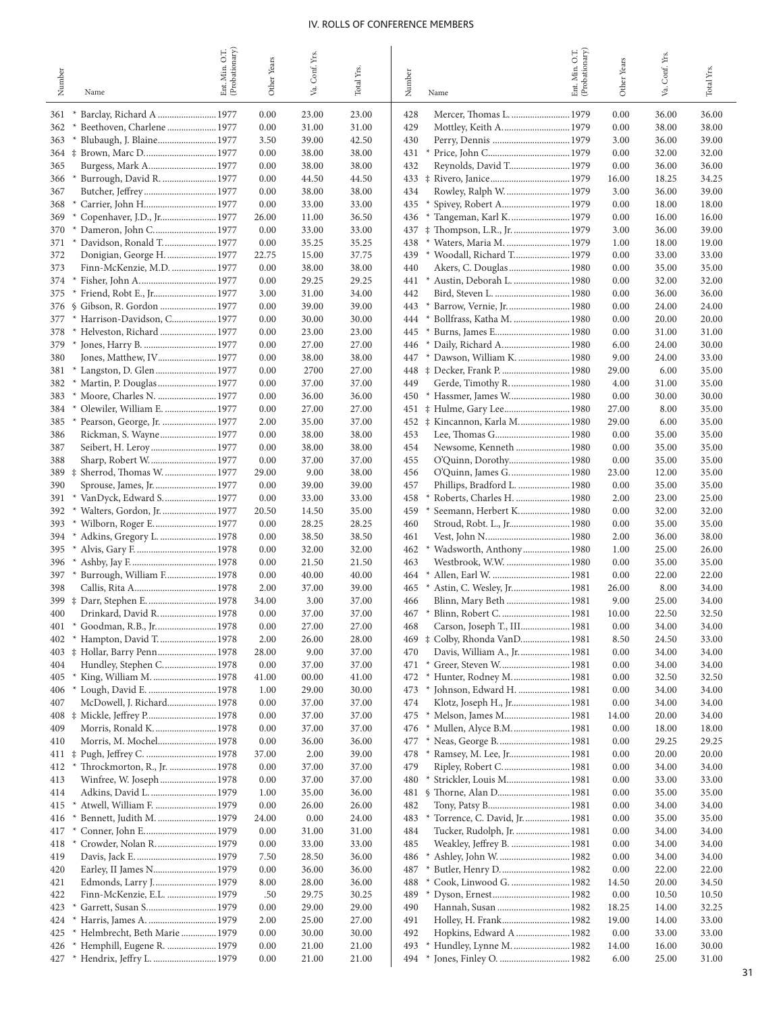|            |                                                    | Ent. Min. O.T.<br>(Probationary) | Other Years   | Conf. Yrs.     |                |                                                                       | Ent. Min. O.T.<br>(Probationary) | Other Years   | Conf. Yrs.     |                |
|------------|----------------------------------------------------|----------------------------------|---------------|----------------|----------------|-----------------------------------------------------------------------|----------------------------------|---------------|----------------|----------------|
| Number     | Name                                               |                                  |               | Уa.            | Total Yrs.     | Number<br>Name                                                        |                                  |               | Š.             | Total Yrs.     |
| 361        | Barclay, Richard A  1977                           |                                  | 0.00          | 23.00          | 23.00          | 428<br>Mercer, Thomas L.  1979                                        |                                  | 0.00          | 36.00          | 36.00          |
| 362        | Beethoven, Charlene  1977<br>∗                     |                                  | 0.00          | 31.00          | 31.00          | 429<br>Mottley, Keith A 1979                                          |                                  | 0.00          | 38.00          | 38.00          |
| 363        | Blubaugh, J. Blaine 1977                           |                                  | 3.50          | 39.00          | 42.50          | 430                                                                   |                                  | 3.00          | 36.00          | 39.00          |
| $364 \pm$  | Brown, Marc D 1977                                 |                                  | 0.00          | 38.00          | 38.00          | 431<br>×                                                              |                                  | 0.00          | 32.00          | 32.00          |
| 365<br>366 | Burgess, Mark A 1977<br>Burrough, David R.  1977   |                                  | 0.00<br>0.00  | 38.00<br>44.50 | 38.00<br>44.50 | Reynolds, David T 1979<br>432                                         |                                  | 0.00<br>16.00 | 36.00<br>18.25 | 36.00<br>34.25 |
| 367        | Butcher, Jeffrey 1977                              |                                  | 0.00          | 38.00          | 38.00          | 434<br>Rowley, Ralph W.  1979                                         |                                  | 3.00          | 36.00          | 39.00          |
| 368        | $^{\ast}$                                          |                                  | 0.00          | 33.00          | 33.00          | 435<br>Spivey, Robert A 1979                                          |                                  | 0.00          | 18.00          | 18.00          |
| 369        | Copenhaver, J.D., Jr 1977                          |                                  | 26.00         | 11.00          | 36.50          | * Tangeman, Karl K.  1979<br>436                                      |                                  | 0.00          | 16.00          | 16.00          |
| 370        | Dameron, John C 1977<br>$*$                        |                                  | 0.00          | 33.00          | 33.00          | # Thompson, L.R., Jr.  1979<br>437                                    |                                  | 3.00          | 36.00          | 39.00          |
| 371        | Davidson, Ronald T 1977                            |                                  | 0.00          | 35.25          | 35.25          | 438<br>Waters, Maria M.  1979<br>$*$                                  |                                  | 1.00          | 18.00          | 19.00          |
| 372        | Donigian, George H.  1977                          |                                  | 22.75         | 15.00          | 37.75          | 439<br>* Woodall, Richard T 1979                                      |                                  | 0.00          | 33.00          | 33.00          |
| 373<br>374 | Finn-McKenzie, M.D.  1977<br>$\ast$                |                                  | 0.00<br>0.00  | 38.00<br>29.25 | 38.00<br>29.25 | 440<br>* Austin, Deborah L.  1980<br>441                              |                                  | 0.00<br>0.00  | 35.00<br>32.00 | 35.00<br>32.00 |
| 375        |                                                    |                                  | 3.00          | 31.00          | 34.00          | 442                                                                   |                                  | 0.00          | 36.00          | 36.00          |
| 376        | Gibson, R. Gordon  1977<br><sup>S</sup>            |                                  | 0.00          | 39.00          | 39.00          | 443<br>* Barrow, Vernie, Jr.  1980                                    |                                  | 0.00          | 24.00          | 24.00          |
| 377        | $\ast$<br>Harrison-Davidson, C 1977                |                                  | 0.00          | 30.00          | 30.00          | 444<br>* Bollfrass, Katha M.  1980                                    |                                  | 0.00          | 20.00          | 20.00          |
| 378        | Helveston, Richard  1977                           |                                  | 0.00          | 23.00          | 23.00          | 445                                                                   |                                  | 0.00          | 31.00          | 31.00          |
| 379        | Jones, Harry B.  1977<br>$*$                       |                                  | 0.00          | 27.00          | 27.00          | Daily, Richard A 1980<br>446<br>$\ast$                                |                                  | 6.00          | 24.00          | 30.00          |
| 380        | Jones, Matthew, IV 1977                            |                                  | 0.00<br>0.00  | 38.00<br>2700  | 38.00<br>27.00 | 447<br>* Dawson, William K.  1980<br>448<br>‡ Decker, Frank P.  1980  |                                  | 9.00<br>29.00 | 24.00<br>6.00  | 33.00<br>35.00 |
| 381<br>382 | Martin, P. Douglas  1977<br>$*$                    |                                  | 0.00          | 37.00          | 37.00          | 449<br>Gerde, Timothy R.  1980                                        |                                  | 4.00          | 31.00          | 35.00          |
| 383        | Moore, Charles N.  1977<br>$*$                     |                                  | 0.00          | 36.00          | 36.00          | 450<br>* Hassmer, James W 1980                                        |                                  | 0.00          | 30.00          | 30.00          |
| 384        | Olewiler, William E.  1977                         |                                  | 0.00          | 27.00          | 27.00          | 451 # Hulme, Gary Lee 1980                                            |                                  | 27.00         | 8.00           | 35.00          |
| 385        | Pearson, George, Jr.  1977<br>$*$                  |                                  | 2.00          | 35.00          | 37.00          | 452 ‡ Kincannon, Karla M 1980                                         |                                  | 29.00         | 6.00           | 35.00          |
| 386        | Rickman, S. Wayne 1977                             |                                  | 0.00          | 38.00          | 38.00          | 453                                                                   |                                  | 0.00          | 35.00          | 35.00          |
| 387        |                                                    |                                  | 0.00          | 38.00          | 38.00          | 454<br>Newsome, Kenneth  1980                                         |                                  | 0.00          | 35.00          | 35.00          |
| 388<br>389 | Sharp, Robert W 1977<br>‡ Sherrod, Thomas W.  1977 |                                  | 0.00<br>29.00 | 37.00<br>9.00  | 37.00<br>38.00 | 455<br>456<br>O'Quinn, James G.  1980                                 |                                  | 0.00<br>23.00 | 35.00<br>12.00 | 35.00<br>35.00 |
| 390        |                                                    |                                  | 0.00          | 39.00          | 39.00          | 457<br>Phillips, Bradford L.  1980                                    |                                  | 0.00          | 35.00          | 35.00          |
| 391        | $\ast$<br>VanDyck, Edward S 1977                   |                                  | 0.00          | 33.00          | 33.00          | 458<br>Roberts, Charles H.  1980                                      |                                  | 2.00          | 23.00          | 25.00          |
| 392        | Walters, Gordon, Jr.  1977<br>$*$                  |                                  | 20.50         | 14.50          | 35.00          | 459<br>Seemann, Herbert K 1980                                        |                                  | 0.00          | 32.00          | 32.00          |
| 393        |                                                    |                                  | 0.00          | 28.25          | 28.25          | 460                                                                   |                                  | 0.00          | 35.00          | 35.00          |
| 394        | Adkins, Gregory L.  1978<br>$*$                    |                                  | 0.00          | 38.50          | 38.50          | 461                                                                   |                                  | 2.00          | 36.00          | 38.00          |
| 395        | $*$                                                |                                  | 0.00          | 32.00          | 32.00          | 462<br>*                                                              |                                  | 1.00          | 25.00          | 26.00          |
| 396<br>397 | Burrough, William F 1978<br>$*$                    |                                  | 0.00<br>0.00  | 21.50<br>40.00 | 21.50<br>40.00 | 463<br>Westbrook, W.W.  1980<br>Allen, Earl W.  1981<br>464<br>$\ast$ |                                  | 0.00<br>0.00  | 35.00<br>22.00 | 35.00<br>22.00 |
| 398        |                                                    |                                  | 2.00          | 37.00          | 39.00          | 465<br>* Astin, C. Wesley, Jr 1981                                    |                                  | 26.00         | 8.00           | 34.00          |
| 399        |                                                    |                                  | 34.00         | 3.00           | 37.00          | Blinn, Mary Beth  1981<br>466                                         |                                  | 9.00          | 25.00          | 34.00          |
| 400        | Drinkard, David R 1978                             |                                  | 0.00          | 37.00          | 37.00          | 467<br>* Blinn, Robert C.  1981                                       |                                  | 10.00         | 22.50          | 32.50          |
| 401        | * Goodman, R.B., Jr.  1978                         |                                  | 0.00          | 27.00          | 27.00          | Carson, Joseph T., III 1981<br>468                                    |                                  | 0.00          | 34.00          | 34.00          |
| 402        | Hampton, David T.  1978                            |                                  | 2.00          | 26.00          | 28.00          | 469 $\ddagger$ Colby, Rhonda VanD 1981                                |                                  | 8.50          | 24.50          | 33.00          |
|            | 403 # Hollar, Barry Penn 1978                      |                                  | 28.00         | 9.00           | 37.00          | Davis, William A., Jr.  1981<br>470<br>* Greer, Steven W 1981         |                                  | 0.00          | 34.00          | 34.00          |
| 404<br>405 | Hundley, Stephen C 1978<br>King, William M.  1978  |                                  | 0.00<br>41.00 | 37.00<br>00.00 | 37.00<br>41.00 | 471<br>472                                                            |                                  | 0.00<br>0.00  | 34.00<br>32.50 | 34.00<br>32.50 |
| 406        | * Lough, David E.  1978                            |                                  | 1.00          | 29.00          | 30.00          | * Johnson, Edward H.  1981<br>473                                     |                                  | 0.00          | 34.00          | 34.00          |
| 407        | McDowell, J. Richard 1978                          |                                  | 0.00          | 37.00          | 37.00          | 474<br>Klotz, Joseph H., Jr 1981                                      |                                  | 0.00          | 34.00          | 34.00          |
|            | 408 # Mickle, Jeffrey P 1978                       |                                  | 0.00          | 37.00          | 37.00          | 475                                                                   |                                  | 14.00         | 20.00          | 34.00          |
| 409        | Morris, Ronald K.  1978                            |                                  | 0.00          | 37.00          | 37.00          | * Mullen, Alyce B.M 1981<br>476                                       |                                  | 0.00          | 18.00          | 18.00          |
| 410        | Morris, M. Mochel 1978                             |                                  | 0.00          | 36.00          | 36.00          | * Neas, George B.  1981<br>477                                        |                                  | 0.00          | 29.25          | 29.25          |
| 411<br>412 | Throckmorton, R., Jr.  1978<br>×                   |                                  | 37.00<br>0.00 | 2.00<br>37.00  | 39.00<br>37.00 | * Ramsey, M. Lee, Jr 1981<br>478<br>479<br>Ripley, Robert C 1981      |                                  | 0.00<br>0.00  | 20.00<br>34.00 | 20.00<br>34.00 |
| 413        | Winfree, W. Joseph  1978                           |                                  | 0.00          | 37.00          | 37.00          | * Strickler, Louis M 1981<br>480                                      |                                  | 0.00          | 33.00          | 33.00          |
| 414        | Adkins, David L.  1979                             |                                  | 1.00          | 35.00          | 36.00          |                                                                       |                                  | 0.00          | 35.00          | 35.00          |
| 415        | Atwell, William F.  1979<br>×                      |                                  | 0.00          | 26.00          | 26.00          | 482                                                                   |                                  | 0.00          | 34.00          | 34.00          |
| 416        | Bennett, Judith M.  1979<br>×                      |                                  | 24.00         | 0.00           | 24.00          | * Torrence, C. David, Jr.  1981<br>483                                |                                  | 0.00          | 35.00          | 35.00          |
| 417        | Conner, John E 1979                                |                                  | 0.00          | 31.00          | 31.00          | Tucker, Rudolph, Jr.  1981<br>484                                     |                                  | 0.00          | 34.00          | 34.00          |
| 418        | Crowder, Nolan R.  1979<br>$\ast$                  |                                  | 0.00          | 33.00          | 33.00          | Weakley, Jeffrey B.  1981<br>485                                      |                                  | 0.00          | 34.00          | 34.00          |
| 419<br>420 | Earley, II James N 1979                            |                                  | 7.50<br>0.00  | 28.50<br>36.00 | 36.00<br>36.00 | * Ashley, John W.  1982<br>486<br>* Butler, Henry D 1982<br>487       |                                  | 0.00<br>0.00  | 34.00<br>22.00 | 34.00<br>22.00 |
| 421        | Edmonds, Larry J 1979                              |                                  | 8.00          | 28.00          | 36.00          | * Cook, Linwood G.  1982<br>488                                       |                                  | 14.50         | 20.00          | 34.50          |
| 422        | Finn-McKenzie, E.L.  1979                          |                                  | .50           | 29.75          | 30.25          | 489                                                                   |                                  | 0.00          | 10.50          | 10.50          |
| 423        | Garrett, Susan S 1979                              |                                  | 0.00          | 29.00          | 29.00          | Hannah, Susan  1982<br>490                                            |                                  | 18.25         | 14.00          | 32.25          |
| 424        | Harris, James A.  1979                             |                                  | 2.00          | 25.00          | 27.00          | Holley, H. Frank 1982<br>491                                          |                                  | 19.00         | 14.00          | 33.00          |
| 425        | Helmbrecht, Beth Marie  1979<br>×                  |                                  | 0.00          | 30.00          | 30.00          | Hopkins, Edward A  1982<br>492                                        |                                  | 0.00          | 33.00          | 33.00          |
| 426        | Hemphill, Eugene R.  1979<br>$*$                   |                                  | 0.00          | 21.00          | 21.00          | * Hundley, Lynne M.  1982<br>493                                      |                                  | 14.00         | 16.00          | 30.00          |
| 427        | Hendrix, Jeffry L.  1979                           |                                  | 0.00          | 21.00          | 21.00          | * Jones, Finley O.  1982<br>494                                       |                                  | 6.00          | 25.00          | 31.00          |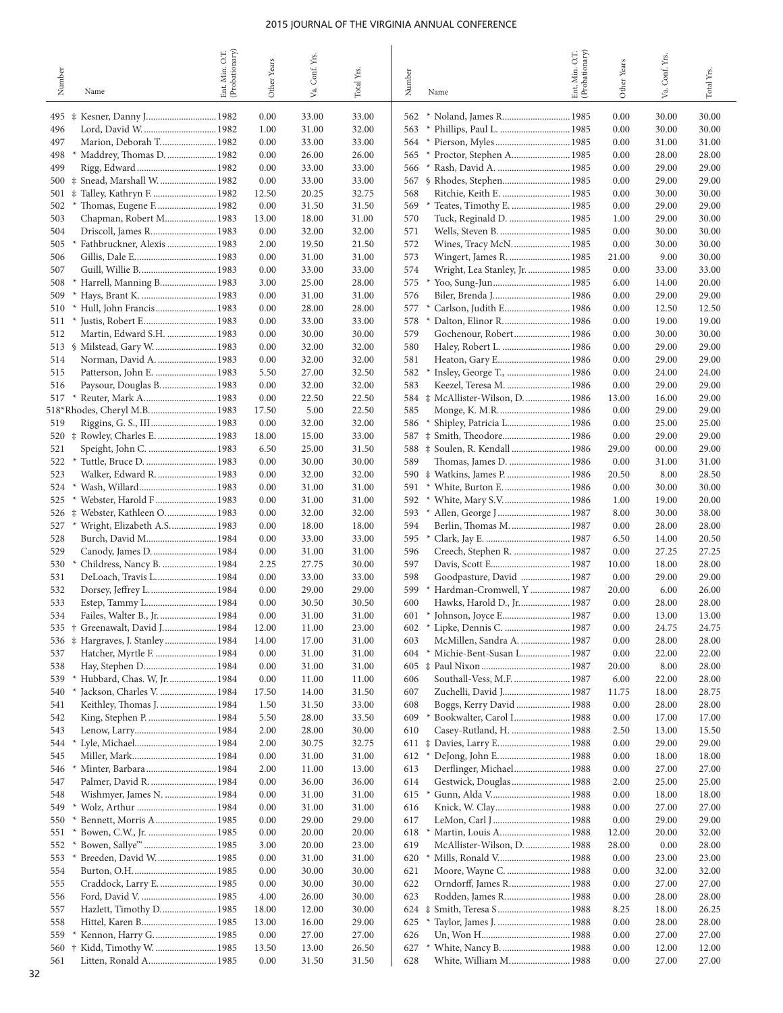| Number     | Name                                                         | (Probationary)<br>O.T.<br>Min.<br>Ent. | Other Years   | Conf. Yrs.<br>Va. | Total Yrs.     | Number<br>Name                                                    | Ent. Min. O.T.<br>(Probationary) | Other Years  | Va. Conf. Yrs. | Total Yrs.     |
|------------|--------------------------------------------------------------|----------------------------------------|---------------|-------------------|----------------|-------------------------------------------------------------------|----------------------------------|--------------|----------------|----------------|
| 495        | # Kesner, Danny J 1982                                       |                                        | 0.00          | 33.00             | 33.00          | * Noland, James R 1985<br>562                                     |                                  | 0.00         | 30.00          | 30.00          |
| 496        |                                                              |                                        | 1.00          | 31.00             | 32.00          | 563                                                               |                                  | 0.00         | 30.00          | 30.00          |
| 497        | Marion, Deborah T 1982                                       |                                        | 0.00          | 33.00             | 33.00          | * Pierson, Myles  1985<br>564                                     |                                  | 0.00         | 31.00          | 31.00          |
| 498        | Maddrey, Thomas D.  1982                                     |                                        | 0.00          | 26.00             | 26.00          | * Proctor, Stephen A 1985<br>565                                  |                                  | 0.00         | 28.00          | 28.00          |
| 499        |                                                              |                                        | 0.00          | 33.00             | 33.00          | 566<br>$*$                                                        |                                  | 0.00         | 29.00          | 29.00          |
| 500        | ‡ Snead, Marshall W.  1982                                   |                                        | 0.00          | 33.00             | 33.00          | 567                                                               |                                  | 0.00         | 29.00          | 29.00          |
| 501        | # Talley, Kathryn F.  1982                                   |                                        | 12.50         | 20.25             | 32.75          | 568<br>Ritchie, Keith E.  1985                                    |                                  | 0.00         | 30.00          | 30.00          |
| 502        | $\ast$                                                       |                                        | 0.00          | 31.50             | 31.50          | 569<br>Teates, Timothy E.  1985                                   |                                  | 0.00         | 29.00          | 29.00          |
| 503        | Chapman, Robert M 1983                                       |                                        | 13.00         | 18.00             | 31.00          | 570<br>Tuck, Reginald D.  1985                                    |                                  | 1.00         | 29.00          | 30.00          |
| 504<br>505 | Driscoll, James R 1983<br>Fathbruckner, Alexis  1983         |                                        | 0.00<br>2.00  | 32.00<br>19.50    | 32.00<br>21.50 | 571<br>572                                                        |                                  | 0.00<br>0.00 | 30.00<br>30.00 | 30.00<br>30.00 |
| 506        |                                                              |                                        | 0.00          | 31.00             | 31.00          | 573<br>Wingert, James R.  1985                                    |                                  | 21.00        | 9.00           | 30.00          |
| 507        |                                                              |                                        | 0.00          | 33.00             | 33.00          | Wright, Lea Stanley, Jr.  1985<br>574                             |                                  | 0.00         | 33.00          | 33.00          |
| 508        | Harrell, Manning B 1983                                      |                                        | 3.00          | 25.00             | 28.00          | 575                                                               |                                  | 6.00         | 14.00          | 20.00          |
| 509        |                                                              |                                        | 0.00          | 31.00             | 31.00          | 576<br>Biler, Brenda J 1986                                       |                                  | 0.00         | 29.00          | 29.00          |
| 510        |                                                              |                                        | 0.00          | 28.00             | 28.00          | 577<br>$*$                                                        |                                  | 0.00         | 12.50          | 12.50          |
| 511        |                                                              |                                        | 0.00          | 33.00             | 33.00          | 578<br>* Dalton, Elinor R 1986                                    |                                  | 0.00         | 19.00          | 19.00          |
| 512        | Martin, Edward S.H.  1983                                    |                                        | 0.00          | 30.00             | 30.00          | 579<br>Gochenour, Robert 1986                                     |                                  | 0.00         | 30.00          | 30.00          |
| 513        | § Milstead, Gary W.  1983                                    |                                        | 0.00          | 32.00             | 32.00          | 580<br>Haley, Robert L.  1986                                     |                                  | 0.00         | 29.00          | 29.00          |
| 514<br>515 | Norman, David A.  1983<br>Patterson, John E.  1983           |                                        | 0.00<br>5.50  | 32.00<br>27.00    | 32.00<br>32.50 | 581<br>582<br>Insley, George T.,  1986                            |                                  | 0.00<br>0.00 | 29.00<br>24.00 | 29.00<br>24.00 |
| 516        | Paysour, Douglas B.  1983                                    |                                        | 0.00          | 32.00             | 32.00          | 583<br>Keezel, Teresa M.  1986                                    |                                  | 0.00         | 29.00          | 29.00          |
| 517        | * Reuter, Mark A 1983                                        |                                        | 0.00          | 22.50             | 22.50          | 584<br># McAllister-Wilson, D.  1986                              |                                  | 13.00        | 16.00          | 29.00          |
|            | 518*Rhodes, Cheryl M.B 1983                                  |                                        | 17.50         | 5.00              | 22.50          | 585                                                               |                                  | 0.00         | 29.00          | 29.00          |
| 519        | Riggins, G. S., III 1983                                     |                                        | 0.00          | 32.00             | 32.00          | 586<br>Shipley, Patricia L 1986<br>$*$                            |                                  | 0.00         | 25.00          | 25.00          |
| 520        | # Rowley, Charles E.  1983                                   |                                        | 18.00         | 15.00             | 33.00          | 587<br># Smith, Theodore 1986                                     |                                  | 0.00         | 29.00          | 29.00          |
| 521        |                                                              |                                        | 6.50          | 25.00             | 31.50          |                                                                   |                                  | 29.00        | 00.00          | 29.00          |
| 522        |                                                              |                                        | 0.00          | 30.00             | 30.00          | 589                                                               |                                  | 0.00         | 31.00          | 31.00          |
| 523        | Walker, Edward R.  1983                                      |                                        | 0.00          | 32.00             | 32.00          | 590<br># Watkins, James P.  1986                                  |                                  | 20.50        | 8.00           | 28.50          |
| 524        |                                                              |                                        | 0.00          | 31.00             | 31.00          | 591                                                               |                                  | 0.00         | 30.00          | 30.00          |
| 525<br>526 | Webster, Harold F 1983<br># Webster, Kathleen O 1983         |                                        | 0.00<br>0.00  | 31.00<br>32.00    | 31.00<br>32.00 | 592<br>* White, Mary S.V 1986<br>593                              |                                  | 1.00<br>8.00 | 19.00<br>30.00 | 20.00<br>38.00 |
| 527        | * Wright, Elizabeth A.S 1983                                 |                                        | 0.00          | 18.00             | 18.00          | 594<br>Berlin, Thomas M.  1987                                    |                                  | 0.00         | 28.00          | 28.00          |
| 528        |                                                              |                                        | 0.00          | 33.00             | 33.00          | 595<br>$*$                                                        |                                  | 6.50         | 14.00          | 20.50          |
| 529        |                                                              |                                        | 0.00          | 31.00             | 31.00          | 596<br>Creech, Stephen R.  1987                                   |                                  | 0.00         | 27.25          | 27.25          |
| 530        | Childress, Nancy B.  1984                                    |                                        | 2.25          | 27.75             | 30.00          | 597                                                               |                                  | 10.00        | 18.00          | 28.00          |
| 531        | DeLoach, Travis L.  1984                                     |                                        | 0.00          | 33.00             | 33.00          | 598<br>Goodpasture, David  1987                                   |                                  | 0.00         | 29.00          | 29.00          |
| 532        |                                                              |                                        | 0.00          | 29.00             | 29.00          | 599<br>Hardman-Cromwell, Y  1987                                  |                                  | 20.00        | 6.00           | 26.00          |
| 533        |                                                              |                                        | 0.00          | 30.50             | 30.50          | Hawks, Harold D., Jr 1987<br>600                                  |                                  | 0.00         | 28.00          | 28.00          |
| 534<br>535 | Failes, Walter B., Jr.  1984<br>† Greenawalt, David J.  1984 |                                        | 0.00<br>12.00 | 31.00<br>11.00    | 31.00<br>23.00 | * Johnson, Joyce E 1987<br>601<br>* Lipke, Dennis C.  1987<br>602 |                                  | 0.00<br>0.00 | 13.00<br>24.75 | 13.00<br>24.75 |
| 536        | # Hargraves, J. Stanley 1984                                 |                                        | 14.00         | 17.00             | 31.00          | McMillen, Sandra A.  1987<br>603                                  |                                  | 0.00         | 28.00          | 28.00          |
| 537        | Hatcher, Myrtle F.  1984                                     |                                        | 0.00          | 31.00             | 31.00          | * Michie-Bent-Susan L 1987<br>604                                 |                                  | 0.00         | 22.00          | 22.00          |
| 538        | Hay, Stephen D 1984                                          |                                        | 0.00          | 31.00             | 31.00          |                                                                   |                                  | 20.00        | 8.00           | 28.00          |
| 539        | Hubbard, Chas. W, Jr.  1984                                  |                                        | 0.00          | 11.00             | 11.00          | Southall-Vess, M.F.  1987<br>606                                  |                                  | 6.00         | 22.00          | 28.00          |
| 540        | Jackson, Charles V.  1984                                    |                                        | 17.50         | 14.00             | 31.50          | 607<br>Zuchelli, David J  1987                                    |                                  | 11.75        | 18.00          | 28.75          |
| 541        | Keithley, Thomas J.  1984                                    |                                        | 1.50          | 31.50             | 33.00          | Boggs, Kerry David  1988<br>608                                   |                                  | 0.00         | 28.00          | 28.00          |
| 542        | King, Stephen P.  1984                                       |                                        | 5.50          | 28.00             | 33.50          | * Bookwalter, Carol I 1988<br>609                                 |                                  | 0.00         | 17.00          | 17.00          |
| 543<br>544 |                                                              |                                        | 2.00<br>2.00  | 28.00<br>30.75    | 30.00<br>32.75 | Casey-Rutland, H.  1988<br>610                                    |                                  | 2.50<br>0.00 | 13.00<br>29.00 | 15.50<br>29.00 |
| 545        |                                                              |                                        | 0.00          | 31.00             | 31.00          |                                                                   |                                  | 0.00         | 18.00          | 18.00          |
| 546        | Minter, Barbara 1984                                         |                                        | 2.00          | 11.00             | 13.00          | Derflinger, Michael 1988<br>613                                   |                                  | 0.00         | 27.00          | 27.00          |
| 547        | Palmer, David R.  1984                                       |                                        | 0.00          | 36.00             | 36.00          | Gestwick, Douglas  1988<br>614                                    |                                  | 2.00         | 25.00          | 25.00          |
| 548        | Wishmyer, James N.  1984                                     |                                        | 0.00          | 31.00             | 31.00          | 615<br>×                                                          |                                  | 0.00         | 18.00          | 18.00          |
| 549        |                                                              |                                        | 0.00          | 31.00             | 31.00          | Knick, W. Clay 1988<br>616                                        |                                  | 0.00         | 27.00          | 27.00          |
| 550        | Bennett, Morris A 1985<br>×                                  |                                        | 0.00          | 29.00             | 29.00          | 617                                                               |                                  | 0.00         | 29.00          | 29.00          |
| 551        |                                                              |                                        | 0.00          | 20.00             | 20.00          | 618                                                               |                                  | 12.00        | 20.00          | 32.00          |
| 552        | Bowen, Sallye"  1985<br>$*$                                  |                                        | 3.00          | 20.00             | 23.00          | McAllister-Wilson, D.  1988<br>619                                |                                  | 28.00        | 0.00           | 28.00          |
| 553        | Breeden, David W.  1985                                      |                                        | 0.00<br>0.00  | 31.00<br>30.00    | 31.00          | 620<br>* Mills, Ronald V 1988                                     |                                  | 0.00<br>0.00 | 23.00          | 23.00<br>32.00 |
| 554<br>555 | Craddock, Larry E.  1985                                     |                                        | 0.00          | 30.00             | 30.00<br>30.00 | 621<br>Moore, Wayne C.  1988<br>622<br>Orndorff, James R 1988     |                                  | 0.00         | 32.00<br>27.00 | 27.00          |
| 556        |                                                              |                                        | 4.00          | 26.00             | 30.00          | 623<br>Rodden, James R 1988                                       |                                  | 0.00         | 28.00          | 28.00          |
| 557        |                                                              |                                        | 18.00         | 12.00             | 30.00          | 624 $\ddagger$ Smith, Teresa S 1988                               |                                  | 8.25         | 18.00          | 26.25          |
| 558        |                                                              |                                        | 13.00         | 16.00             | 29.00          |                                                                   |                                  | 0.00         | 28.00          | 28.00          |
| 559        | Kennon, Harry G.  1985<br>$\ast$                             |                                        | 0.00          | 27.00             | 27.00          | 626                                                               |                                  | 0.00         | 27.00          | 27.00          |
| 560        | † Kidd, Timothy W.  1985                                     |                                        | 13.50         | 13.00             | 26.50          | * White, Nancy B.  1988<br>627                                    |                                  | 0.00         | 12.00          | 12.00          |
| 561        | Litten, Ronald A 1985                                        |                                        | 0.00          | 31.50             | 31.50          | White, William M 1988<br>628                                      |                                  | 0.00         | 27.00          | 27.00          |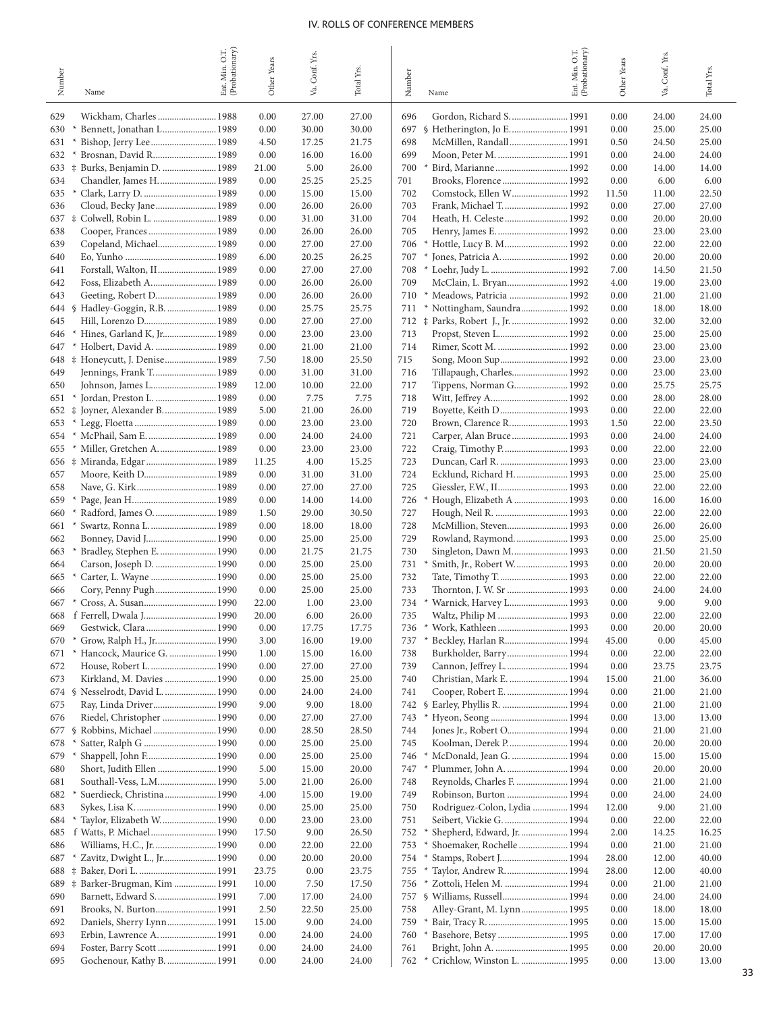|            |                                                            | Ent. Min. O.T.<br>(Probationary) |              | Conf. Yrs.     |                |            |                                                                      | Ent. Min. O.T.<br>(Probationary) |              |                |                |
|------------|------------------------------------------------------------|----------------------------------|--------------|----------------|----------------|------------|----------------------------------------------------------------------|----------------------------------|--------------|----------------|----------------|
| Number     | Name                                                       |                                  | Other Years  | ya.            | Total Yrs.     | Number     | Name                                                                 |                                  | Other Years  | Va. Conf. Yrs. | Total Yrs.     |
| 629        | Wickham, Charles 1988                                      |                                  | 0.00         | 27.00          | 27.00          | 696        | Gordon, Richard S.  1991                                             |                                  | 0.00         | 24.00          | 24.00          |
| 630        | Bennett, Jonathan L 1989<br>$\ast$                         |                                  | 0.00         | 30.00          | 30.00          | 697        | § Hetherington, Jo E 1991                                            |                                  | 0.00         | 25.00          | 25.00          |
| 631        | Bishop, Jerry Lee 1989<br>$\ast$                           |                                  | 4.50         | 17.25          | 21.75          | 698        | McMillen, Randall 1991                                               |                                  | 0.50         | 24.50          | 25.00          |
| 632        | Brosnan, David R 1989                                      |                                  | 0.00         | 16.00          | 16.00          | 699        | Moon, Peter M.  1991                                                 |                                  | 0.00         | 24.00          | 24.00          |
|            | 633 ‡ Burks, Benjamin D.  1989                             |                                  | 21.00        | 5.00           | 26.00          | 700        | Bird, Marianne 1992<br>$\ast$                                        |                                  | 0.00         | 14.00          | 14.00          |
| 634        | Chandler, James H.  1989                                   |                                  | 0.00         | 25.25          | 25.25          | 701        |                                                                      |                                  | 0.00         | 6.00           | 6.00           |
| 635        |                                                            |                                  | 0.00         | 15.00          | 15.00          | 702        | Comstock, Ellen W 1992                                               |                                  | 11.50        | 11.00          | 22.50          |
| 636        | Cloud, Becky Jane 1989                                     |                                  | 0.00         | 26.00          | 26.00          | 703        | Frank, Michael T.  1992                                              |                                  | 0.00         | 27.00          | 27.00          |
|            | 637 ‡ Colwell, Robin L.  1989                              |                                  | 0.00         | 31.00          | 31.00          | 704        | Heath, H. Celeste  1992                                              |                                  | 0.00         | 20.00          | 20.00          |
| 638        | Cooper, Frances  1989                                      |                                  | 0.00         | 26.00          | 26.00          | 705        |                                                                      |                                  | 0.00         | 23.00          | 23.00          |
| 639        | Copeland, Michael 1989                                     |                                  | 0.00         | 27.00          | 27.00          | 706        | Hottle, Lucy B. M 1992<br>$\ast$<br>$\ast$                           |                                  | 0.00         | 22.00          | 22.00          |
| 640<br>641 | Forstall, Walton, II 1989                                  |                                  | 6.00<br>0.00 | 20.25<br>27.00 | 26.25<br>27.00 | 707<br>708 | Jones, Patricia A 1992                                               |                                  | 0.00<br>7.00 | 20.00<br>14.50 | 20.00<br>21.50 |
| 642        |                                                            |                                  | 0.00         | 26.00          | 26.00          | 709        | McClain, L. Bryan 1992                                               |                                  | 4.00         | 19.00          | 23.00          |
| 643        | Geeting, Robert D 1989                                     |                                  | 0.00         | 26.00          | 26.00          | 710        | * Meadows, Patricia  1992                                            |                                  | 0.00         | 21.00          | 21.00          |
| 644 \$     | Hadley-Goggin, R.B.  1989                                  |                                  | 0.00         | 25.75          | 25.75          | 711        | * Nottingham, Saundra 1992                                           |                                  | 0.00         | 18.00          | 18.00          |
| 645        | Hill, Lorenzo D 1989                                       |                                  | 0.00         | 27.00          | 27.00          | 712        | $\ddagger$<br>Parks, Robert J., Jr.  1992                            |                                  | 0.00         | 32.00          | 32.00          |
| 646        | Hines, Garland K, Jr 1989                                  |                                  | 0.00         | 23.00          | 23.00          | 713        |                                                                      |                                  | 0.00         | 25.00          | 25.00          |
| 647        | Holbert, David A.  1989                                    |                                  | 0.00         | 21.00          | 21.00          | 714        |                                                                      |                                  | 0.00         | 23.00          | 23.00          |
|            | 648 $\ddagger$ Honeycutt, J. Denise 1989                   |                                  | 7.50         | 18.00          | 25.50          | 715        | Song, Moon Sup 1992                                                  |                                  | 0.00         | 23.00          | 23.00          |
| 649        | Jennings, Frank T 1989                                     |                                  | 0.00         | 31.00          | 31.00          | 716        | Tillapaugh, Charles 1992                                             |                                  | 0.00         | 23.00          | 23.00          |
| 650        | Johnson, James L 1989                                      |                                  | 12.00        | 10.00          | 22.00          | 717        | Tippens, Norman G 1992                                               |                                  | 0.00         | 25.75          | 25.75          |
| 651        | Jordan, Preston L.  1989<br>$\ast$                         |                                  | 0.00         | 7.75           | 7.75           | 718        | Witt, Jeffrey A 1992                                                 |                                  | 0.00         | 28.00          | 28.00          |
| 653        | 652 $\ddagger$ Joyner, Alexander B.  1989                  |                                  | 5.00<br>0.00 | 21.00<br>23.00 | 26.00<br>23.00 | 719<br>720 | Boyette, Keith D 1993<br>Brown, Clarence R 1993                      |                                  | 0.00<br>1.50 | 22.00<br>22.00 | 22.00<br>23.50 |
| 654        | McPhail, Sam E.  1989                                      |                                  | 0.00         | 24.00          | 24.00          | 721        | Carper, Alan Bruce 1993                                              |                                  | 0.00         | 24.00          | 24.00          |
| 655        | Miller, Gretchen A.  1989                                  |                                  | 0.00         | 23.00          | 23.00          | 722        | Craig, Timothy P 1993                                                |                                  | 0.00         | 22.00          | 22.00          |
|            |                                                            |                                  | 11.25        | 4.00           | 15.25          | 723        | Duncan, Carl R.  1993                                                |                                  | 0.00         | 23.00          | 23.00          |
| 657        |                                                            |                                  | 0.00         | 31.00          | 31.00          | 724        | Ecklund, Richard H 1993                                              |                                  | 0.00         | 25.00          | 25.00          |
| 658        |                                                            |                                  | 0.00         | 27.00          | 27.00          | 725        |                                                                      |                                  | 0.00         | 22.00          | 22.00          |
| 659        |                                                            |                                  | 0.00         | 14.00          | 14.00          | 726        | Hough, Elizabeth A  1993                                             |                                  | 0.00         | 16.00          | 16.00          |
| 660        | Radford, James O.  1989                                    |                                  | 1.50         | 29.00          | 30.50          | 727        | Hough, Neil R.  1993                                                 |                                  | 0.00         | 22.00          | 22.00          |
| 661        | Swartz, Ronna L.  1989<br>$\ast$                           |                                  | 0.00         | 18.00          | 18.00          | 728        | McMillion, Steven 1993                                               |                                  | 0.00         | 26.00          | 26.00          |
| 662        | Bonney, David J 1990                                       |                                  | 0.00         | 25.00          | 25.00          | 729        | Rowland, Raymond.  1993                                              |                                  | 0.00         | 25.00          | 25.00          |
| 663<br>664 | Bradley, Stephen E.  1990                                  |                                  | 0.00<br>0.00 | 21.75<br>25.00 | 21.75<br>25.00 | 730<br>731 | Singleton, Dawn M 1993<br>×                                          |                                  | 0.00<br>0.00 | 21.50<br>20.00 | 21.50<br>20.00 |
| 665        | Carson, Joseph D.  1990<br>Carter, L. Wayne  1990          |                                  | 0.00         | 25.00          | 25.00          | 732        |                                                                      |                                  | 0.00         | 22.00          | 22.00          |
| 666        | Cory, Penny Pugh 1990                                      |                                  | 0.00         | 25.00          | 25.00          | 733        |                                                                      |                                  | 0.00         | 24.00          | 24.00          |
| 667        |                                                            |                                  | 22.00        | 1.00           | 23.00          | 734        | Warnick, Harvey L 1993                                               |                                  | 0.00         | 9.00           | 9.00           |
| 668        | f Ferrell, Dwala J 1990                                    |                                  | 20.00        | 6.00           | 26.00          | 735        |                                                                      |                                  | 0.00         | 22.00          | 22.00          |
| 669        | Gestwick, Clara 1990                                       |                                  | 0.00         | 17.75          | 17.75          | 736        |                                                                      |                                  | 0.00         | 20.00          | 20.00          |
| 670        | Grow, Ralph H., Jr 1990                                    |                                  | 3.00         | 16.00          | 19.00          | 737        | Beckley, Harlan R 1994<br>×                                          |                                  | 45.00        | 0.00           | 45.00          |
| 671        | Hancock, Maurice G.  1990                                  |                                  | 1.00         | 15.00          | 16.00          | 738        | Burkholder, Barry 1994                                               |                                  | 0.00         | 22.00          | 22.00          |
| 672        | House, Robert L.  1990                                     |                                  | 0.00         | 27.00          | 27.00          | 739        | Cannon, Jeffrey L.  1994                                             |                                  | 0.00         | 23.75          | 23.75          |
| 673        | Kirkland, M. Davies  1990                                  |                                  | 0.00         | 25.00          | 25.00          | 740        | Christian, Mark E.  1994<br>Cooper, Robert E.  1994                  |                                  | 15.00        | 21.00          | 36.00          |
| 675        | 674 § Nesselrodt, David L.  1990<br>Ray, Linda Driver 1990 |                                  | 0.00<br>9.00 | 24.00<br>9.00  | 24.00<br>18.00 | 741        | 742 § Earley, Phyllis R.  1994                                       |                                  | 0.00<br>0.00 | 21.00<br>21.00 | 21.00<br>21.00 |
| 676        | Riedel, Christopher  1990                                  |                                  | 0.00         | 27.00          | 27.00          | 743        | Hyeon, Seong  1994<br>$*$                                            |                                  | 0.00         | 13.00          | 13.00          |
|            | 677 § Robbins, Michael  1990                               |                                  | 0.00         | 28.50          | 28.50          | 744        | Jones Jr., Robert O 1994                                             |                                  | 0.00         | 21.00          | 21.00          |
| 678        | Satter, Ralph G  1990                                      |                                  | 0.00         | 25.00          | 25.00          | 745        | Koolman, Derek P 1994                                                |                                  | 0.00         | 20.00          | 20.00          |
| 679        | Shappell, John F 1990<br>$\ast$                            |                                  | 0.00         | 25.00          | 25.00          | 746        | McDonald, Jean G.  1994<br>×                                         |                                  | 0.00         | 15.00          | 15.00          |
| 680        | Short, Judith Ellen  1990                                  |                                  | 5.00         | 15.00          | 20.00          | 747        | Plummer, John A.  1994<br>×                                          |                                  | 0.00         | 20.00          | 20.00          |
| 681        |                                                            |                                  | 5.00         | 21.00          | 26.00          | 748        | Reynolds, Charles F.  1994                                           |                                  | 0.00         | 21.00          | 21.00          |
| 682        | Suerdieck, Christina 1990                                  |                                  | 4.00         | 15.00          | 19.00          | 749        | Robinson, Burton  1994                                               |                                  | 0.00         | 24.00          | 24.00          |
| 683        |                                                            |                                  | 0.00         | 25.00          | 25.00          | 750        | Rodriguez-Colon, Lydia  1994                                         |                                  | 12.00        | 9.00           | 21.00          |
| 684        | Taylor, Elizabeth W 1990                                   |                                  | 0.00         | 23.00          | 23.00          | 751        | Seibert, Vickie G.  1994                                             |                                  | 0.00         | 22.00          | 22.00          |
| 685        | Williams, H.C., Jr.  1990                                  |                                  | 17.50        | 9.00<br>22.00  | 26.50<br>22.00 | 752<br>753 | Shepherd, Edward, Jr.  1994<br>×<br>Shoemaker, Rochelle  1994<br>$*$ |                                  | 2.00<br>0.00 | 14.25<br>21.00 | 16.25<br>21.00 |
| 686<br>687 | Zavitz, Dwight L., Jr 1990<br>$\overline{a}$               |                                  | 0.00<br>0.00 | 20.00          | 20.00          | 754        | Stamps, Robert J 1994<br>×                                           |                                  | 28.00        | 12.00          | 40.00          |
|            |                                                            |                                  | 23.75        | 0.00           | 23.75          | 755        | Taylor, Andrew R.  1994                                              |                                  | 28.00        | 12.00          | 40.00          |
|            | 689 $\ddagger$ Barker-Brugman, Kim  1991                   |                                  | 10.00        | 7.50           | 17.50          | 756        |                                                                      |                                  | 0.00         | 21.00          | 21.00          |
| 690        | Barnett, Edward S.  1991                                   |                                  | 7.00         | 17.00          | 24.00          |            | 757 § Williams, Russell 1994                                         |                                  | 0.00         | 24.00          | 24.00          |
| 691        |                                                            |                                  | 2.50         | 22.50          | 25.00          | 758        | Alley-Grant, M. Lynn 1995                                            |                                  | 0.00         | 18.00          | 18.00          |
| 692        | Daniels, Sherry Lynn 1991                                  |                                  | 15.00        | 9.00           | 24.00          | 759        |                                                                      |                                  | 0.00         | 15.00          | 15.00          |
| 693        | Erbin, Lawrence A.  1991                                   |                                  | 0.00         | 24.00          | 24.00          | 760        | Basehore, Betsy  1995<br>$^{\ast}$                                   |                                  | 0.00         | 17.00          | 17.00          |
| 694        | Foster, Barry Scott  1991                                  |                                  | 0.00         | 24.00          | 24.00          | 761        | Bright, John A.  1995                                                |                                  | 0.00         | 20.00          | 20.00          |
| 695        | Gochenour, Kathy B.  1991                                  |                                  | 0.00         | 24.00          | 24.00          | 762        | Crichlow, Winston L.  1995                                           |                                  | 0.00         | 13.00          | 13.00          |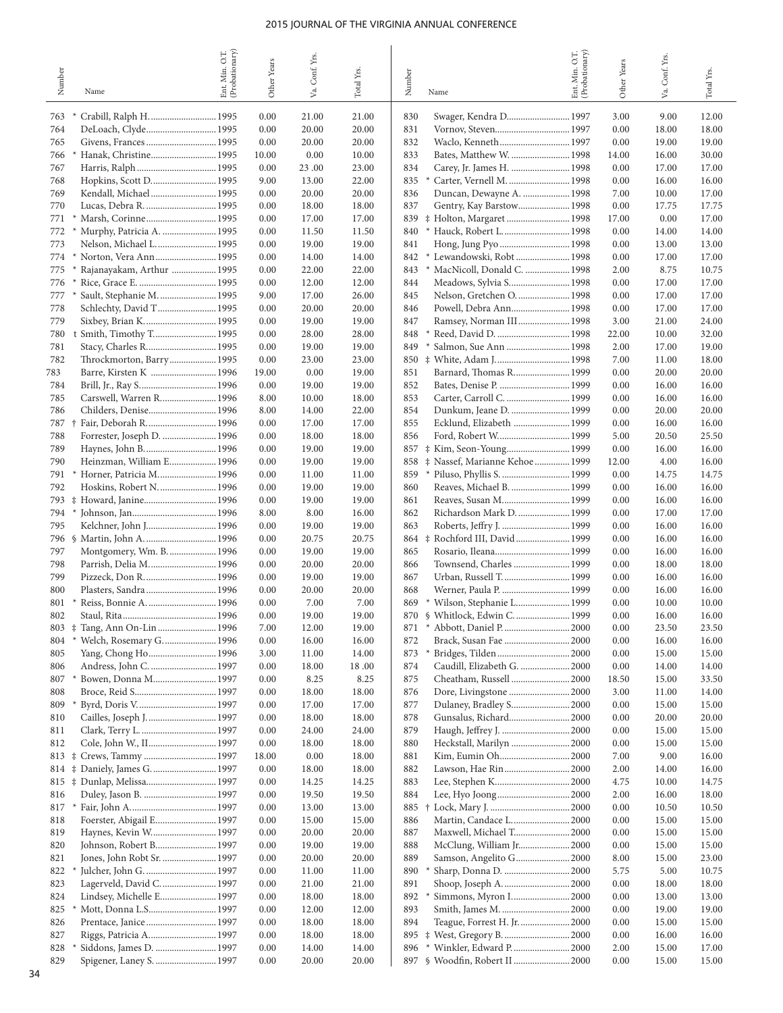| Number     | Name                                                 | (Probationary)<br>O.T.<br>Min.<br>Ent. | <b>Other Years</b> | Va. Conf. Yrs. | Total Yrs.     | Number     | Name                                                             | Ent. Min. O.T.<br>(Probationary) | Other Years  | Va. Conf. Yrs. | $_{\rm Total}$ $_{\rm Yrs.}$ |
|------------|------------------------------------------------------|----------------------------------------|--------------------|----------------|----------------|------------|------------------------------------------------------------------|----------------------------------|--------------|----------------|------------------------------|
| 763        |                                                      |                                        | 0.00               | 21.00          | 21.00          | 830        | Swager, Kendra D 1997                                            |                                  | 3.00         | 9.00           | 12.00                        |
| 764        |                                                      |                                        | 0.00               | 20.00          | 20.00          | 831        |                                                                  |                                  | 0.00         | 18.00          | 18.00                        |
| 765        |                                                      |                                        | 0.00               | 20.00          | 20.00          | 832        |                                                                  |                                  | 0.00         | 19.00          | 19.00                        |
| 766        | Hanak, Christine 1995                                |                                        | 10.00              | 0.00           | 10.00          | 833        | Bates, Matthew W.  1998                                          |                                  | 14.00        | 16.00          | 30.00                        |
| 767        |                                                      |                                        | 0.00               | 23.00          | 23.00          | 834        | Carey, Jr. James H.  1998                                        |                                  | 0.00         | 17.00          | 17.00                        |
| 768        | Hopkins, Scott D 1995                                |                                        | 9.00               | 13.00          | 22.00          | 835        |                                                                  |                                  | 0.00         | 16.00          | 16.00                        |
| 769<br>770 | Kendall, Michael 1995<br>Lucas, Debra R.  1995       |                                        | 0.00<br>0.00       | 20.00<br>18.00 | 20.00<br>18.00 | 836<br>837 | Duncan, Dewayne A.  1998<br>Gentry, Kay Barstow 1998             |                                  | 7.00<br>0.00 | 10.00<br>17.75 | 17.00<br>17.75               |
| 771        |                                                      |                                        | 0.00               | 17.00          | 17.00          | 839        | # Holton, Margaret  1998                                         |                                  | 17.00        | 0.00           | 17.00                        |
| 772        | Murphy, Patricia A.  1995                            |                                        | 0.00               | 11.50          | 11.50          | 840        | * Hauck, Robert L 1998                                           |                                  | 0.00         | 14.00          | 14.00                        |
| 773        | Nelson, Michael L.  1995                             |                                        | 0.00               | 19.00          | 19.00          | 841        |                                                                  |                                  | 0.00         | 13.00          | 13.00                        |
| 774        |                                                      |                                        | 0.00               | 14.00          | 14.00          | 842        | Lewandowski, Robt  1998                                          |                                  | 0.00         | 17.00          | 17.00                        |
| 775        | Rajanayakam, Arthur  1995                            |                                        | 0.00               | 22.00          | 22.00          | 843        | * MacNicoll, Donald C.  1998                                     |                                  | 2.00         | 8.75           | 10.75                        |
| 776        |                                                      |                                        | 0.00               | 12.00          | 12.00          | 844        | Meadows, Sylvia S 1998                                           |                                  | 0.00         | 17.00          | 17.00                        |
| 777<br>778 | Sault, Stephanie M.  1995<br>Schlechty, David T 1995 |                                        | 9.00<br>0.00       | 17.00<br>20.00 | 26.00<br>20.00 | 845<br>846 | Nelson, Gretchen O.  1998<br>Powell, Debra Ann 1998              |                                  | 0.00<br>0.00 | 17.00<br>17.00 | 17.00<br>17.00               |
| 779        | Sixbey, Brian K 1995                                 |                                        | 0.00               | 19.00          | 19.00          | 847        | Ramsey, Norman III 1998                                          |                                  | 3.00         | 21.00          | 24.00                        |
| 780        | Smith, Timothy T 1995                                |                                        | 0.00               | 28.00          | 28.00          | 848        |                                                                  |                                  | 22.00        | 10.00          | 32.00                        |
| 781        | Stacy, Charles R 1995                                |                                        | 0.00               | 19.00          | 19.00          | 849<br>$*$ | Salmon, Sue Ann  1998                                            |                                  | 2.00         | 17.00          | 19.00                        |
| 782        | Throckmorton, Barry 1995                             |                                        | 0.00               | 23.00          | 23.00          | 850        |                                                                  |                                  | 7.00         | 11.00          | 18.00                        |
| 783        | Barre, Kirsten K  1996                               |                                        | 19.00              | 0.00           | 19.00          | 851        | Barnard, Thomas R 1999                                           |                                  | 0.00         | 20.00          | 20.00                        |
| 784        |                                                      |                                        | 0.00               | 19.00          | 19.00          | 852        | Bates, Denise P.  1999                                           |                                  | 0.00         | 16.00          | 16.00                        |
| 785<br>786 | Carswell, Warren R 1996<br>Childers, Denise 1996     |                                        | 8.00<br>8.00       | 10.00<br>14.00 | 18.00<br>22.00 | 853<br>854 | Carter, Carroll C.  1999<br>Dunkum, Jeane D.  1999               |                                  | 0.00<br>0.00 | 16.00<br>20.00 | 16.00<br>20.00               |
| 787        | Fair, Deborah R 1996<br>$\ddot{\ }$                  |                                        | 0.00               | 17.00          | 17.00          | 855        | Ecklund, Elizabeth  1999                                         |                                  | 0.00         | 16.00          | 16.00                        |
| 788        | Forrester, Joseph D.  1996                           |                                        | 0.00               | 18.00          | 18.00          | 856        |                                                                  |                                  | 5.00         | 20.50          | 25.50                        |
| 789        |                                                      |                                        | 0.00               | 19.00          | 19.00          | 857        |                                                                  |                                  | 0.00         | 16.00          | 16.00                        |
| 790        | Heinzman, William E 1996                             |                                        | 0.00               | 19.00          | 19.00          |            | 858 $\ddagger$ Nassef, Marianne Kehoe  1999                      |                                  | 12.00        | 4.00           | 16.00                        |
| 791        | Horner, Patricia M 1996                              |                                        | 0.00               | 11.00          | 11.00          | 859        | Piluso, Phyllis S.  1999                                         |                                  | 0.00         | 14.75          | 14.75                        |
| 792        | Hoskins, Robert N.  1996                             |                                        | 0.00               | 19.00          | 19.00          | 860        | Reaves, Michael B.  1999                                         |                                  | 0.00         | 16.00          | 16.00                        |
| 793<br>794 | # Howard, Janine 1996<br>$\ast$                      |                                        | 0.00               | 19.00          | 19.00          | 861<br>862 | Reaves, Susan M 1999<br>Richardson Mark D.  1999                 |                                  | 0.00         | 16.00          | 16.00                        |
| 795        | Kelchner, John J 1996                                |                                        | 8.00<br>0.00       | 8.00<br>19.00  | 16.00<br>19.00 | 863        | Roberts, Jeffry J.  1999                                         |                                  | 0.00<br>0.00 | 17.00<br>16.00 | 17.00<br>16.00               |
| 796        |                                                      |                                        | 0.00               | 20.75          | 20.75          |            | 864 $\ddagger$ Rochford III, David  1999                         |                                  | 0.00         | 16.00          | 16.00                        |
| 797        | Montgomery, Wm. B.  1996                             |                                        | 0.00               | 19.00          | 19.00          | 865        |                                                                  |                                  | 0.00         | 16.00          | 16.00                        |
| 798        | Parrish, Delia M 1996                                |                                        | 0.00               | 20.00          | 20.00          | 866        | Townsend, Charles  1999                                          |                                  | 0.00         | 18.00          | 18.00                        |
| 799        |                                                      |                                        | 0.00               | 19.00          | 19.00          | 867        | Urban, Russell T.  1999                                          |                                  | 0.00         | 16.00          | 16.00                        |
| 800        | Plasters, Sandra  1996                               |                                        | 0.00               | 20.00          | 20.00          | 868        | Werner, Paula P.  1999                                           |                                  | 0.00         | 16.00          | 16.00                        |
| 801<br>802 | Reiss, Bonnie A.  1996                               |                                        | 0.00<br>$0.00\,$   | 7.00<br>19.00  | 7.00<br>19.00  |            | 869 * Wilson, Stephanie L 1999<br>870 § Whitlock, Edwin C.  1999 |                                  | 0.00<br>0.00 | 10.00<br>16.00 | 10.00<br>16.00               |
| 803        | # Tang, Ann On-Lin  1996                             |                                        | 7.00               | 12.00          | 19.00          | 871        | * Abbott, Daniel P.  2000                                        |                                  | 0.00         | 23.50          | 23.50                        |
| 804        | * Welch, Rosemary G.  1996                           |                                        | 0.00               | 16.00          | 16.00          | 872        | Brack, Susan Fae  2000                                           |                                  | 0.00         | 16.00          | 16.00                        |
| 805        |                                                      |                                        | 3.00               | 11.00          | 14.00          | 873<br>$*$ |                                                                  |                                  | 0.00         | 15.00          | 15.00                        |
| 806        | Andress, John C.  1997                               |                                        | 0.00               | 18.00          | 18.00          | 874        | Caudill, Elizabeth G.  2000                                      |                                  | 0.00         | 14.00          | 14.00                        |
| 807        | Bowen, Donna M 1997                                  |                                        | 0.00               | 8.25           | 8.25           | 875        | Cheatham, Russell  2000                                          |                                  | 18.50        | 15.00          | 33.50                        |
| 808        |                                                      |                                        | 0.00               | 18.00          | 18.00          | 876        | Dore, Livingstone  2000                                          |                                  | 3.00         | 11.00          | 14.00                        |
| 809<br>810 | Cailles, Joseph J.  1997                             |                                        | 0.00<br>0.00       | 17.00<br>18.00 | 17.00<br>18.00 | 877<br>878 | Dulaney, Bradley S 2000<br>Gunsalus, Richard 2000                |                                  | 0.00<br>0.00 | 15.00<br>20.00 | 15.00<br>20.00               |
| 811        |                                                      |                                        | 0.00               | 24.00          | 24.00          | 879        |                                                                  |                                  | 0.00         | 15.00          | 15.00                        |
| 812        | Cole, John W., II 1997                               |                                        | 0.00               | 18.00          | 18.00          | 880        | Heckstall, Marilyn  2000                                         |                                  | 0.00         | 15.00          | 15.00                        |
|            | 813 $\ddagger$ Crews, Tammy  1997                    |                                        | 18.00              | 0.00           | 18.00          | 881        | Kim, Eumin Oh2000                                                |                                  | 7.00         | 9.00           | 16.00                        |
|            | 814 $\ddagger$ Daniely, James G.  1997               |                                        | 0.00               | 18.00          | 18.00          | 882        | Lawson, Hae Rin2000                                              |                                  | 2.00         | 14.00          | 16.00                        |
|            | 815 $\ddagger$ Dunlap, Melissa 1997                  |                                        | 0.00               | 14.25          | 14.25          | 883        |                                                                  |                                  | 4.75         | 10.00          | 14.75                        |
| 816        |                                                      |                                        | 0.00               | 19.50          | 19.50          | 884        |                                                                  |                                  | 2.00         | 16.00          | 18.00                        |
| 817<br>818 | $\ast$<br>Foerster, Abigail E 1997                   |                                        | 0.00<br>0.00       | 13.00<br>15.00 | 13.00<br>15.00 | 885<br>886 | Martin, Candace L 2000                                           |                                  | 0.00<br>0.00 | 10.50<br>15.00 | 10.50<br>15.00               |
| 819        | Haynes, Kevin W 1997                                 |                                        | 0.00               | 20.00          | 20.00          | 887        | Maxwell, Michael T 2000                                          |                                  | 0.00         | 15.00          | 15.00                        |
| 820        | Johnson, Robert B 1997                               |                                        | 0.00               | 19.00          | 19.00          | 888        | McClung, William Jr 2000                                         |                                  | 0.00         | 15.00          | 15.00                        |
| 821        | Jones, John Robt Sr.  1997                           |                                        | 0.00               | 20.00          | 20.00          | 889        | Samson, Angelito G 2000                                          |                                  | 8.00         | 15.00          | 23.00                        |
| 822        |                                                      |                                        | 0.00               | 11.00          | 11.00          | 890        | Sharp, Donna D.  2000                                            |                                  | 5.75         | 5.00           | 10.75                        |
| 823        | Lagerveld, David C.  1997                            |                                        | 0.00               | 21.00          | 21.00          | 891        | Shoop, Joseph A. 2000                                            |                                  | 0.00         | 18.00          | 18.00                        |
| 824        | Lindsey, Michelle E 1997                             |                                        | 0.00               | 18.00          | 18.00          | 892        | Simmons, Myron I 2000                                            |                                  | 0.00         | 13.00          | 13.00                        |
| 825        | Mott, Donna L.S 1997                                 |                                        | 0.00               | 12.00          | 12.00          | 893        | Smith, James M.  2000                                            |                                  | 0.00         | 19.00          | 19.00                        |
| 826<br>827 | Prentace, Janice  1997<br>Riggs, Patricia A 1997     |                                        | 0.00<br>0.00       | 18.00<br>18.00 | 18.00<br>18.00 | 894        | Teague, Forrest H. Jr.  2000<br>895 # West, Gregory B.  2000     |                                  | 0.00<br>0.00 | 15.00<br>16.00 | 15.00<br>16.00               |
| 828        | Siddons, James D.  1997                              |                                        | 0.00               | 14.00          | 14.00          | 896        | * Winkler, Edward P                                              | .2000                            | 2.00         | 15.00          | 17.00                        |
| 829        | Spigener, Laney S.  1997                             |                                        | 0.00               | 20.00          | 20.00          |            | 897 § Woodfin, Robert II  2000                                   |                                  | 0.00         | 15.00          | 15.00                        |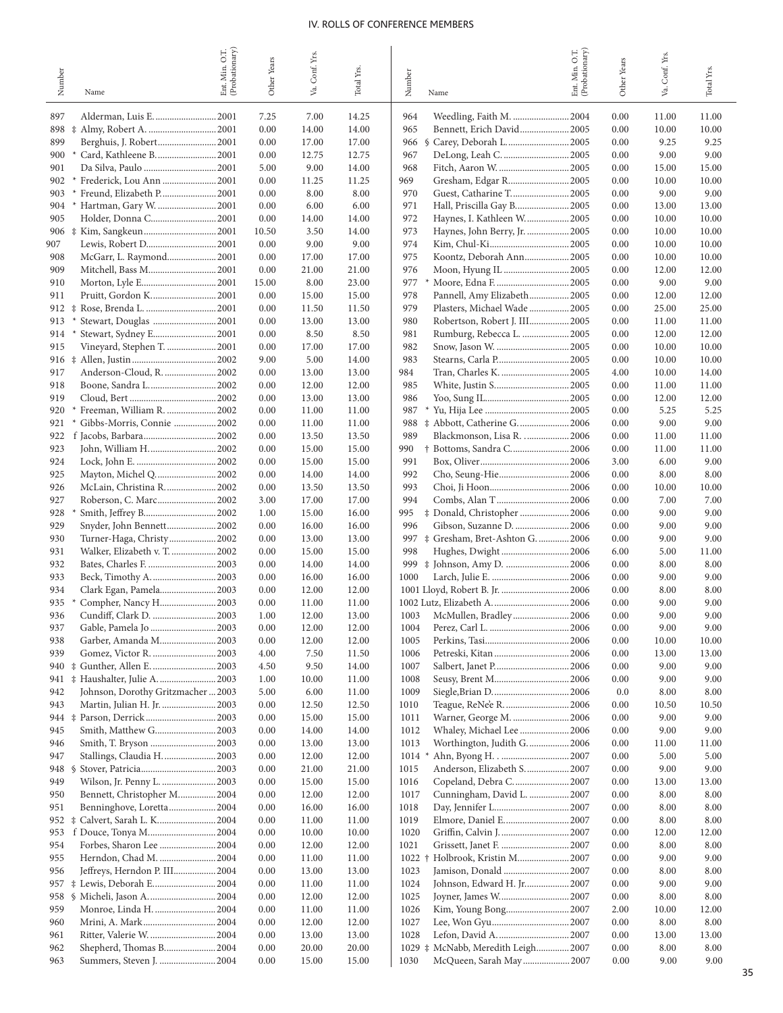|            |                                                           | (Probationary)<br>O.T. |               | Conf. Yrs.    |                |              |                                              | Ent. Min. O.T.<br>(Probationary) |              | Conf. Yrs.     |                |
|------------|-----------------------------------------------------------|------------------------|---------------|---------------|----------------|--------------|----------------------------------------------|----------------------------------|--------------|----------------|----------------|
| Number     |                                                           | Min.                   | Other Years   |               | Total Yrs.     | Number       |                                              |                                  | Other Years  |                | Total Yrs.     |
|            | Name                                                      | Ent.                   |               | Va.           |                |              | Name                                         |                                  |              | Уa.            |                |
| 897        | Alderman, Luis E.  2001                                   |                        | 7.25          | 7.00          | 14.25          | 964          |                                              |                                  | 0.00         | 11.00          | 11.00          |
| 898        |                                                           |                        | 0.00          | 14.00         | 14.00          | 965          | Bennett, Erich David 2005                    |                                  | 0.00         | 10.00          | 10.00          |
| 899        | Berghuis, J. Robert2001                                   |                        | 0.00          | 17.00         | 17.00          | 966          | § Carey, Deborah L.  2005                    |                                  | 0.00         | 9.25           | 9.25           |
| 900        | Card, Kathleene B.  2001<br>$\ast$                        |                        | 0.00          | 12.75         | 12.75          | 967          | DeLong, Leah C. 2005                         |                                  | 0.00         | 9.00           | 9.00           |
| 901        |                                                           |                        | 5.00          | 9.00          | 14.00          | 968          | Fitch, Aaron W. 2005                         |                                  | 0.00         | 15.00          | 15.00          |
| 902        | Frederick, Lou Ann  2001<br>$*$                           |                        | 0.00          | 11.25         | 11.25          | 969          | Gresham, Edgar R 2005                        |                                  | 0.00         | 10.00          | 10.00          |
| 903        | Freund, Elizabeth P 2001                                  |                        | 0.00          | 8.00          | 8.00           | 970          | Guest, Catharine T2005                       |                                  | 0.00         | 9.00           | 9.00           |
| 904        | Hartman, Gary W.  2001<br>$\ast$                          |                        | 0.00          | 6.00          | 6.00           | 971          | Hall, Priscilla Gay B 2005                   |                                  | 0.00         | 13.00          | 13.00          |
| 905        | Holder, Donna C2001                                       |                        | 0.00          | 14.00         | 14.00          | 972          | Haynes, I. Kathleen W 2005                   |                                  | 0.00         | 10.00          | 10.00          |
| 907        |                                                           |                        | 10.50<br>0.00 | 3.50<br>9.00  | 14.00<br>9.00  | 973<br>974   | Haynes, John Berry, Jr.  2005                |                                  | 0.00<br>0.00 | 10.00<br>10.00 | 10.00<br>10.00 |
| 908        | McGarr, L. Raymond 2001                                   |                        | 0.00          | 17.00         | 17.00          | 975          | Koontz, Deborah Ann2005                      |                                  | 0.00         | 10.00          | 10.00          |
| 909        |                                                           |                        | 0.00          | 21.00         | 21.00          | 976          |                                              |                                  | 0.00         | 12.00          | 12.00          |
| 910        |                                                           |                        | 15.00         | 8.00          | 23.00          | 977          |                                              |                                  | 0.00         | 9.00           | 9.00           |
| 911        |                                                           |                        | 0.00          | 15.00         | 15.00          | 978          | Pannell, Amy Elizabeth 2005                  |                                  | 0.00         | 12.00          | 12.00          |
| 912        | $\ddagger$                                                |                        | 0.00          | 11.50         | 11.50          | 979          | Plasters, Michael Wade  2005                 |                                  | 0.00         | 25.00          | 25.00          |
| 913        | Stewart, Douglas  2001<br>$\ast$                          |                        | 0.00          | 13.00         | 13.00          | 980          | Robertson, Robert J. III 2005                |                                  | 0.00         | 11.00          | 11.00          |
| 914        | Stewart, Sydney E2001<br>$\ast$                           |                        | 0.00          | 8.50          | 8.50           | 981          | Rumburg, Rebecca L.  2005                    |                                  | 0.00         | 12.00          | 12.00          |
| 915        | Vineyard, Stephen T.  2001                                |                        | 0.00          | 17.00         | 17.00          | 982          |                                              |                                  | 0.00         | 10.00          | 10.00          |
| 916        |                                                           |                        | 9.00          | 5.00          | 14.00          | 983          | Stearns, Carla P 2005                        |                                  | 0.00         | 10.00          | 10.00          |
| 917        | Anderson-Cloud, R.  2002                                  |                        | 0.00          | 13.00         | 13.00          | 984          | Tran, Charles K.  2005                       |                                  | 4.00         | 10.00          | 14.00          |
| 918        | Boone, Sandra L 2002                                      |                        | 0.00          | 12.00         | 12.00          | 985          |                                              |                                  | 0.00         | 11.00          | 11.00          |
| 919        |                                                           |                        | 0.00          | 13.00         | 13.00          | 986          |                                              |                                  | 0.00         | 12.00          | 12.00          |
| 920        | Freeman, William R.  2002                                 |                        | 0.00          | 11.00         | 11.00          | 987          |                                              |                                  | 0.00         | 5.25           | 5.25           |
| 921        | Gibbs-Morris, Connie  2002                                |                        | 0.00          | 11.00         | 11.00          |              |                                              |                                  | 0.00         | 9.00           | 9.00           |
| 922        |                                                           |                        | 0.00          | 13.50         | 13.50          | 989          | Blackmonson, Lisa R.  2006                   |                                  | 0.00         | 11.00          | 11.00          |
| 923        |                                                           |                        | 0.00          | 15.00         | 15.00          | 990          | † Bottoms, Sandra C 2006                     |                                  | 0.00         | 11.00          | 11.00          |
| 924        |                                                           |                        | 0.00          | 15.00         | 15.00          | 991          |                                              |                                  | 3.00         | 6.00           | 9.00           |
| 925        | Mayton, Michel Q 2002                                     |                        | 0.00          | 14.00         | 14.00          | 992          | Cho, Seung-Hie 2006                          |                                  | 0.00         | 8.00           | 8.00           |
| 926        | McLain, Christina R 2002                                  |                        | 0.00          | 13.50         | 13.50          | 993          |                                              |                                  | 0.00         | 10.00          | 10.00          |
| 927        | Roberson, C. Marc 2002                                    |                        | 3.00          | 17.00         | 17.00          | 994          | Combs, Alan T2006                            |                                  | 0.00         | 7.00           | 7.00           |
| 928        |                                                           |                        | 1.00          | 15.00         | 16.00          | 995          | # Donald, Christopher  2006                  |                                  | 0.00         | 9.00           | 9.00           |
| 929        | Snyder, John Bennett 2002                                 |                        | 0.00          | 16.00         | 16.00          | 996          | Gibson, Suzanne D.  2006                     |                                  | 0.00         | 9.00           | 9.00           |
| 930        | Turner-Haga, Christy2002                                  |                        | 0.00          | 13.00         | 13.00          |              | 997 $\ddagger$ Gresham, Bret-Ashton G.  2006 |                                  | 0.00         | 9.00           | 9.00           |
| 931        | Walker, Elizabeth v. T.  2002                             |                        | 0.00          | 15.00         | 15.00          | 998          | Hughes, Dwight2006                           |                                  | 6.00         | 5.00           | 11.00          |
| 932        |                                                           |                        | 0.00          | 14.00         | 14.00          |              |                                              |                                  | 0.00         | 8.00           | 8.00           |
| 933        |                                                           |                        | 0.00          | 16.00         | 16.00          | 1000         |                                              |                                  | 0.00         | 9.00           | 9.00           |
| 934        | Clark Egan, Pamela 2003                                   |                        | 0.00          | 12.00         | 12.00          |              | 1001 Lloyd, Robert B. Jr.  2006              |                                  | 0.00         | 8.00           | 8.00           |
| 935        | Compher, Nancy H2003                                      |                        | 0.00          | 11.00         | 11.00          |              |                                              |                                  | 0.00         | 9.00           | 9.00           |
| 936        |                                                           |                        | 1.00          | 12.00         | 13.00          | 1003         | McMullen, Bradley2006                        |                                  | 0.00         | 9.00           | 9.00           |
| 937        | Gable, Pamela Jo  2003                                    |                        | 0.00          | 12.00         | 12.00          | 1004         |                                              |                                  | 0.00         | 9.00           | 9.00           |
| 938        | Garber, Amanda M 2003                                     |                        | 0.00          | 12.00         | 12.00          | 1005         |                                              |                                  | 0.00         | 10.00          | 10.00          |
| 939        | Gomez, Victor R.  2003                                    |                        | 4.00          | 7.50          | 11.50          | 1006         |                                              |                                  | 0.00         | 13.00          | 13.00          |
| 940<br>941 | # Gunther, Allen E.  2003<br># Haushalter, Julie A.  2003 |                        | 4.50<br>1.00  | 9.50<br>10.00 | 14.00<br>11.00 | 1007<br>1008 |                                              |                                  | 0.00<br>0.00 | 9.00<br>9.00   | 9.00<br>9.00   |
| 942        | Johnson, Dorothy Gritzmacher  2003                        |                        | 5.00          | 6.00          | 11.00          | 1009         |                                              |                                  | 0.0          | 8.00           | 8.00           |
| 943        | Martin, Julian H. Jr.  2003                               |                        | 0.00          | 12.50         | 12.50          | 1010         | Teague, ReNe'e R.  2006                      |                                  | 0.00         | 10.50          | 10.50          |
|            |                                                           |                        | 0.00          | 15.00         | 15.00          | 1011         | Warner, George M.  2006                      |                                  | 0.00         | 9.00           | 9.00           |
| 945        | Smith, Matthew G 2003                                     |                        | 0.00          | 14.00         | 14.00          | 1012         | Whaley, Michael Lee  2006                    |                                  | 0.00         | 9.00           | 9.00           |
| 946        |                                                           |                        | 0.00          | 13.00         | 13.00          | 1013         | Worthington, Judith G.  2006                 |                                  | 0.00         | 11.00          | 11.00          |
| 947        | Stallings, Claudia H 2003                                 |                        | 0.00          | 12.00         | 12.00          | 1014         |                                              |                                  | 0.00         | 5.00           | 5.00           |
| 948        | <sup>S</sup>                                              |                        | 0.00          | 21.00         | 21.00          | 1015         | Anderson, Elizabeth S.  2007                 |                                  | 0.00         | 9.00           | 9.00           |
| 949        | Wilson, Jr. Penny L.  2003                                |                        | 0.00          | 15.00         | 15.00          | 1016         | Copeland, Debra C.  2007                     |                                  | 0.00         | 13.00          | 13.00          |
| 950        | Bennett, Christopher M 2004                               |                        | 0.00          | 12.00         | 12.00          | 1017         | Cunningham, David L.  2007                   |                                  | 0.00         | 8.00           | 8.00           |
| 951        | Benninghove, Loretta 2004                                 |                        | 0.00          | 16.00         | 16.00          | 1018         |                                              |                                  | 0.00         | 8.00           | 8.00           |
| 952        | ‡ Calvert, Sarah L. K2004                                 |                        | 0.00          | 11.00         | 11.00          | 1019         | Elmore, Daniel E 2007                        |                                  | 0.00         | 8.00           | 8.00           |
| 953        | f Douce, Tonya M2004                                      |                        | 0.00          | 10.00         | 10.00          | 1020         |                                              |                                  | 0.00         | 12.00          | 12.00          |
| 954        | Forbes, Sharon Lee  2004                                  |                        | 0.00          | 12.00         | 12.00          | 1021         |                                              |                                  | 0.00         | 8.00           | 8.00           |
| 955        | Herndon, Chad M.  2004                                    |                        | 0.00          | 11.00         | 11.00          |              | 1022 † Holbrook, Kristin M 2007              |                                  | 0.00         | 9.00           | 9.00           |
| 956        | Jeffreys, Herndon P. III 2004                             |                        | 0.00          | 13.00         | 13.00          | 1023         | Jamison, Donald 2007                         |                                  | 0.00         | 8.00           | 8.00           |
| 957        | # Lewis, Deborah E 2004                                   |                        | 0.00          | 11.00         | 11.00          | 1024         | Johnson, Edward H. Jr 2007                   |                                  | 0.00         | 9.00           | 9.00           |
| 958        | § Micheli, Jason A.  2004                                 |                        | 0.00          | 12.00         | 12.00          | 1025         | Joyner, James W2007                          |                                  | 0.00         | 8.00           | 8.00           |
| 959        | Monroe, Linda H.  2004                                    |                        | 0.00          | 11.00         | 11.00          | 1026         | Kim, Young Bong2007                          |                                  | 2.00         | 10.00          | 12.00          |
| 960        | Mrini, A. Mark2004                                        |                        | 0.00          | 12.00         | 12.00          | 1027         |                                              |                                  | 0.00         | 8.00           | 8.00           |
| 961        | Ritter, Valerie W.  2004                                  |                        | 0.00          | 13.00         | 13.00          | 1028         |                                              |                                  | 0.00         | 13.00          | 13.00          |
| 962        | Shepherd, Thomas B 2004                                   |                        | 0.00          | 20.00         | 20.00          |              | 1029 # McNabb, Meredith Leigh 2007           |                                  | 0.00         | 8.00           | 8.00           |
| 963        | Summers, Steven J.  2004                                  |                        | 0.00          | 15.00         | 15.00          | 1030         | McQueen, Sarah May2007                       |                                  | 0.00         | 9.00           | 9.00           |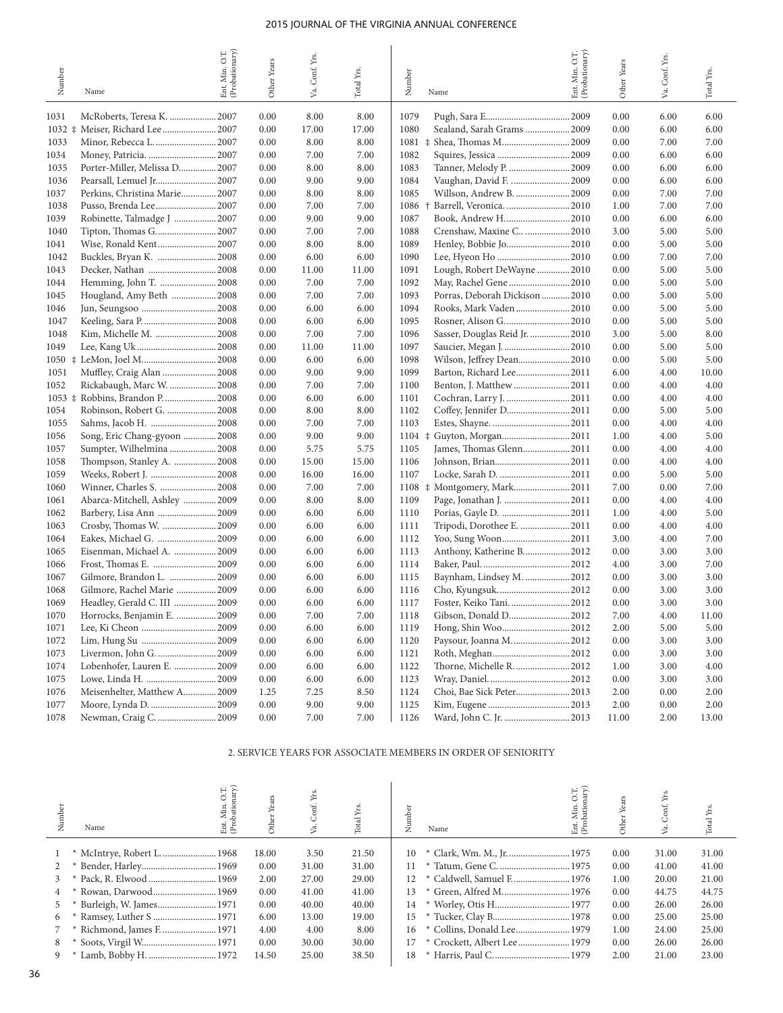| Number     | Name                          | Ent. Min. O.T.<br>(Probationary) | Other Years | Va. Conf. Yrs. | Total Yrs. | Number | Name                             | Ent. Min. O.T.<br>(Probationary) | Other Years | Va. Conf. Yrs. | Total Yrs. |
|------------|-------------------------------|----------------------------------|-------------|----------------|------------|--------|----------------------------------|----------------------------------|-------------|----------------|------------|
| 1031       | McRoberts, Teresa K. 2007     |                                  | 0.00        | 8.00           | 8.00       | 1079   |                                  | .2009                            | 0.00        | 6.00           | 6.00       |
| $1032 \pm$ | Meiser, Richard Lee  2007     |                                  | 0.00        | 17.00          | 17.00      | 1080   | Sealand, Sarah Grams  2009       |                                  | 0.00        | 6.00           | 6.00       |
| 1033       |                               |                                  | 0.00        | 8.00           | 8.00       | 1081   | Shea, Thomas M2009<br>$\ddagger$ |                                  | 0.00        | 7.00           | 7.00       |
| 1034       |                               |                                  | 0.00        | 7.00           | 7.00       | 1082   |                                  |                                  | 0.00        | 6.00           | 6.00       |
| 1035       | Porter-Miller, Melissa D 2007 |                                  | 0.00        | 8.00           | 8.00       | 1083   | Tanner, Melody P.  2009          |                                  | 0.00        | 6.00           | 6.00       |
| 1036       |                               |                                  | 0.00        | 9.00           | 9.00       | 1084   | Vaughan, David F.  2009          |                                  | 0.00        | 6.00           | 6.00       |
| 1037       | Perkins, Christina Marie 2007 |                                  | 0.00        | 8.00           | 8.00       | 1085   | Willson, Andrew B.               | .2009                            | 0.00        | 7.00           | 7.00       |
| 1038       |                               |                                  | 0.00        | 7.00           | 7.00       | 1086   | Barrell, Veronica.  2010<br>÷    |                                  | 1.00        | 7.00           | 7.00       |
| 1039       | Robinette, Talmadge J  2007   |                                  | 0.00        | 9.00           | 9.00       | 1087   | Book, Andrew H2010               |                                  | 0.00        | 6.00           | 6.00       |
| 1040       |                               |                                  | 0.00        | 7.00           | 7.00       | 1088   | Crenshaw, Maxine C  2010         |                                  | 3.00        | 5.00           | 5.00       |
| 1041       |                               |                                  | 0.00        | 8.00           | 8.00       | 1089   |                                  |                                  | 0.00        | 5.00           | 5.00       |
| 1042       | Buckles, Bryan K.  2008       |                                  | 0.00        | 6.00           | 6.00       | 1090   |                                  |                                  | 0.00        | 7.00           | 7.00       |
| 1043       |                               |                                  | 0.00        | 11.00          | 11.00      | 1091   | Lough, Robert DeWayne  2010      |                                  | 0.00        | 5.00           | 5.00       |
| 1044       | Hemming, John T. 2008         |                                  | 0.00        | 7.00           | 7.00       | 1092   |                                  |                                  | 0.00        | 5.00           | 5.00       |
| 1045       | Hougland, Amy Beth  2008      |                                  | 0.00        | 7.00           | 7.00       | 1093   | Porras, Deborah Dickison2010     |                                  | 0.00        | 5.00           | 5.00       |
| 1046       |                               |                                  | 0.00        | 6.00           | 6.00       | 1094   | Rooks, Mark Vaden                | .2010                            | 0.00        | 5.00           | 5.00       |
| 1047       |                               |                                  | 0.00        | 6.00           | 6.00       | 1095   |                                  |                                  | 0.00        | 5.00           | 5.00       |
| 1048       | Kim, Michelle M.  2008        |                                  | 0.00        | 7.00           | 7.00       | 1096   | Sasser, Douglas Reid Jr.  2010   |                                  | 3.00        | 5.00           | 8.00       |
| 1049       |                               |                                  | 0.00        | 11.00          | 11.00      | 1097   | Saucier, Megan J2010             |                                  | 0.00        | 5.00           | 5.00       |
|            |                               |                                  | 0.00        | 6.00           | 6.00       | 1098   | Wilson, Jeffrey Dean2010         |                                  | 0.00        | 5.00           | 5.00       |
| 1051       |                               |                                  | 0.00        | 9.00           | 9.00       | 1099   | Barton, Richard Lee2011          |                                  | 6.00        | 4.00           | 10.00      |
| 1052       | Rickabaugh, Marc W.  2008     |                                  | 0.00        | 7.00           | 7.00       | 1100   | Benton, J. Matthew  2011         |                                  | 0.00        | 4.00           | 4.00       |
| $1053 \pm$ |                               |                                  | 0.00        | 6.00           | 6.00       | 1101   | Cochran, Larry J. 2011           |                                  | 0.00        | 4.00           | 4.00       |
| 1054       | Robinson, Robert G.  2008     |                                  | 0.00        | 8.00           | 8.00       | 1102   | Coffey, Jennifer D 2011          |                                  | 0.00        | 5.00           | 5.00       |
| 1055       |                               |                                  | 0.00        | 7.00           | 7.00       | 1103   |                                  |                                  | 0.00        | 4.00           | 4.00       |
| 1056       | Song, Eric Chang-gyoon  2008  |                                  | 0.00        | 9.00           | 9.00       |        |                                  |                                  | 1.00        | 4.00           | 5.00       |
| 1057       | Sumpter, Wilhelmina  2008     |                                  | 0.00        | 5.75           | 5.75       | 1105   |                                  |                                  | 0.00        | 4.00           | 4.00       |
| 1058       | Thompson, Stanley A.  2008    |                                  | 0.00        | 15.00          | 15.00      | 1106   |                                  |                                  | 0.00        | 4.00           | 4.00       |
| 1059       |                               |                                  | 0.00        | 16.00          | 16.00      | 1107   |                                  |                                  | 0.00        | 5.00           | 5.00       |
| 1060       |                               |                                  | 0.00        | 7.00           | 7.00       |        |                                  |                                  | 7.00        | 0.00           | 7.00       |
| 1061       | Abarca-Mitchell, Ashley  2009 |                                  | 0.00        | 8.00           | 8.00       | 1109   |                                  | .2011                            | 0.00        | 4.00           | 4.00       |
| 1062       | Barbery, Lisa Ann  2009       |                                  | 0.00        | 6.00           | 6.00       | 1110   |                                  |                                  | 1.00        | 4.00           | 5.00       |
| 1063       | Crosby, Thomas W.  2009       |                                  | 0.00        | 6.00           | 6.00       | 1111   | Tripodi, Dorothee E.  2011       |                                  | 0.00        | 4.00           | 4.00       |
| 1064       | Eakes, Michael G.  2009       |                                  | 0.00        | 6.00           | 6.00       | 1112   | Yoo, Sung Woon2011               |                                  | 3.00        | 4.00           | 7.00       |
| 1065       | Eisenman, Michael A.  2009    |                                  | 0.00        | 6.00           | 6.00       | 1113   | Anthony, Katherine B2012         |                                  | 0.00        | 3.00           | 3.00       |
| 1066       | Frost, Thomas E.  2009        |                                  | 0.00        | 6.00           | 6.00       | 1114   |                                  |                                  | 4.00        | 3.00           | 7.00       |
| 1067       | Gilmore, Brandon L.  2009     |                                  | 0.00        | 6.00           | 6.00       | 1115   | Baynham, Lindsey M.  2012        |                                  | 0.00        | 3.00           | 3.00       |
| 1068       | Gilmore, Rachel Marie  2009   |                                  | 0.00        | 6.00           | 6.00       | 1116   |                                  |                                  | 0.00        | 3.00           | 3.00       |
| 1069       | Headley, Gerald C. III  2009  |                                  | 0.00        | 6.00           | 6.00       | 1117   | Foster, Keiko Tani.  2012        |                                  | 0.00        | 3.00           | 3.00       |
| 1070       | Horrocks, Benjamin E.  2009   |                                  | 0.00        | 7.00           | $7.00\,$   | 1118   | Gibson, Donald D                 | 2012                             | 7.00        | 4.00           | 11.00      |
| 1071       | Lee, Ki Cheon  2009           |                                  | 0.00        | 6.00           | 6.00       | 1119   |                                  |                                  | 2.00        | 5.00           | 5.00       |
| 1072       |                               |                                  | 0.00        | 6.00           | 6.00       | 1120   | Paysour, Joanna M 2012           |                                  | 0.00        | 3.00           | 3.00       |
| 1073       | Livermon, John G.  2009       |                                  | 0.00        | 6.00           | 6.00       | 1121   |                                  |                                  | 0.00        | 3.00           | 3.00       |
| 1074       | Lobenhofer, Lauren E.  2009   |                                  | 0.00        | 6.00           | 6.00       | 1122   | Thorne, Michelle R.  2012        |                                  | 1.00        | 3.00           | 4.00       |
| 1075       | Lowe, Linda H.  2009          |                                  | 0.00        | 6.00           | 6.00       | 1123   |                                  |                                  | 0.00        | 3.00           | 3.00       |
| 1076       | Meisenhelter, Matthew A 2009  |                                  | 1.25        | 7.25           | 8.50       | 1124   | Choi, Bae Sick Peter 2013        |                                  | 2.00        | 0.00           | 2.00       |
| 1077       | Moore, Lynda D.  2009         |                                  | 0.00        | 9.00           | 9.00       | 1125   |                                  |                                  | 2.00        | $0.00\,$       | 2.00       |
| 1078       | Newman, Craig C.  2009        |                                  | 0.00        | 7.00           | 7.00       | 1126   | Ward, John C. Jr. 2013           |                                  | 11.00       | 2.00           | 13.00      |

# 2. SERVICE YEARS FOR ASSOCIATE MEMBERS IN ORDER OF SENIORITY

| Number         | Ent. Min<br>(Probatio<br>Name      | Years<br>Other <sup>1</sup> | Yrs.<br>Conf.<br>S | ⊭     | mber<br>ј<br>Z | C.C<br>Ent. Min.<br>(Probation<br>Name | Other <sup>1</sup> |       | Yrs.<br>Total <sup>:</sup> |
|----------------|------------------------------------|-----------------------------|--------------------|-------|----------------|----------------------------------------|--------------------|-------|----------------------------|
|                |                                    | 18.00                       | 3.50               | 21.50 |                |                                        | 0.00               | 31.00 | 31.00                      |
|                |                                    | 0.00                        | 31.00              | 31.00 | 11             |                                        | 0.00               | 41.00 | 41.00                      |
| $\mathbf{3}$   |                                    | 2.00                        | 27.00              | 29.00 | 12             |                                        | 1.00               | 20.00 | 21.00                      |
| $\overline{4}$ | Rowan, Darwood 1969                | 0.00                        | 41.00              | 41.00 | 13             | * Green, Alfred M 1976                 | 0.00               | 44.75 | 44.75                      |
| 5              | Burleigh, W. James 1971            | 0.00                        | 40.00              | 40.00 | 14             |                                        | 0.00               | 26.00 | 26.00                      |
| 6              | Ramsey, Luther S  1971             | 6.00                        | 13.00              | 19.00 | 15             |                                        | 0.00               | 25.00 | 25.00                      |
|                | Richmond, James F.  1971<br>$\ast$ | 4.00                        | 4.00               | 8.00  | 16             | * Collins, Donald Lee 1979             | 1.00               | 24.00 | 25.00                      |
| 8              |                                    | 0.00                        | 30.00              | 30.00 | 17             | * Crockett, Albert Lee 1979            | 0.00               | 26.00 | 26.00                      |
| 9              |                                    | 14.50                       | 25.00              | 38.50 | 18             |                                        | 2.00               | 21.00 | 23.00                      |
|                |                                    |                             |                    |       |                |                                        |                    |       |                            |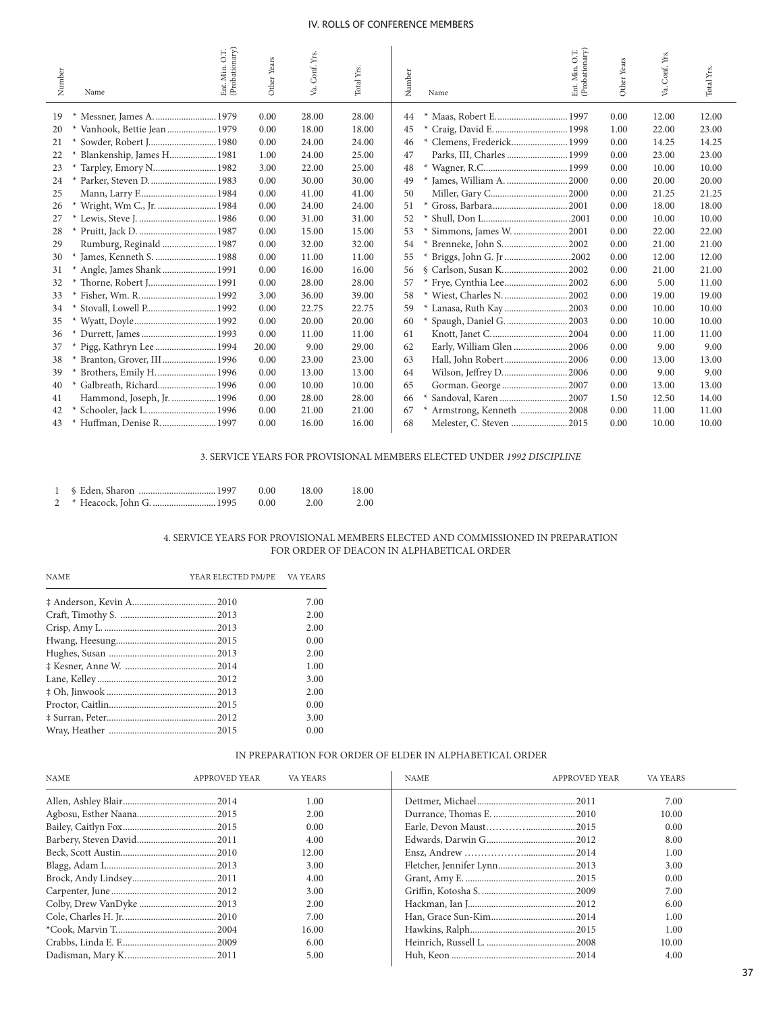| Number | Ent. Min. O.T.<br>(Probationary)<br>Name | Other Years | Conf. Yrs.<br>Va. | Total Yrs. | Ent. Min. O.T.<br>(Probationary)<br>Conf. Yrs.<br>Other Years<br>Number<br>Va.<br>Name | Total Yrs. |
|--------|------------------------------------------|-------------|-------------------|------------|----------------------------------------------------------------------------------------|------------|
| 19     |                                          | 0.00        | 28.00             | 28.00      | Maas, Robert E.  1997<br>0.00<br>12.00<br>44                                           | 12.00      |
| 20     | Vanhook, Bettie Jean 1979                | 0.00        | 18.00             | 18.00      | 45<br>1.00<br>22.00                                                                    | 23.00      |
| 21     | Sowder, Robert J 1980                    | 0.00        | 24.00             | 24.00      | Clemens, Frederick 1999<br>0.00<br>46<br>14.25                                         | 14.25      |
| 22     | Blankenship, James H 1981                | 1.00        | 24.00             | 25.00      | Parks, III, Charles  1999<br>47<br>0.00<br>23.00                                       | 23.00      |
| 23     | Tarpley, Emory N 1982                    | 3.00        | 22.00             | 25.00      | 48<br>0.00<br>10.00                                                                    | 10.00      |
| 24     | Parker, Steven D.  1983                  | 0.00        | 30.00             | 30.00      | 49<br>0.00<br>20.00                                                                    | 20.00      |
| 25     | Mann, Larry F 1984                       | 0.00        | 41.00             | 41.00      | 50<br>0.00<br>21.25                                                                    | 21.25      |
| 26     | * Wright, Wm C., Jr.  1984               | 0.00        | 24.00             | 24.00      | 51<br>0.00<br>18.00                                                                    | 18.00      |
| 27     |                                          | 0.00        | 31.00             | 31.00      | 52<br>0.00<br>10.00                                                                    | 10.00      |
| 28     |                                          | 0.00        | 15.00             | 15.00      | Simmons, James W.  2001<br>53<br>0.00<br>22.00                                         | 22.00      |
| 29     | Rumburg, Reginald  1987                  | 0.00        | 32.00             | 32.00      | 54<br>Brenneke, John S 2002<br>0.00<br>21.00                                           | 21.00      |
| 30     | James, Kenneth S.  1988                  | 0.00        | 11.00             | 11.00      | Briggs, John G. Jr 2002<br>55<br>0.00<br>12.00                                         | 12.00      |
| 31     | Angle, James Shank 1991                  | 0.00        | 16.00             | 16.00      | § Carlson, Susan K 2002<br>0.00<br>56<br>21.00                                         | 21.00      |
| 32     | Thorne, Robert J 1991                    | 0.00        | 28.00             | 28.00      | 57<br>Frye, Cynthia Lee2002<br>6.00<br>5.00                                            | 11.00      |
| 33     |                                          | 3.00        | 36.00             | 39.00      | 58<br>Wiest, Charles N.  2002<br>0.00<br>19.00                                         | 19.00      |
| 34     | Stovall, Lowell P 1992                   | 0.00        | 22.75             | 22.75      | * Lanasa, Ruth Kay  2003<br>59<br>0.00<br>10.00                                        | 10.00      |
| 35     |                                          | 0.00        | 20.00             | 20.00      | 60<br>Spaugh, Daniel G.  2003<br>0.00<br>10.00                                         | 10.00      |
| 36     | * Durrett, James  1993                   | 0.00        | 11.00             | 11.00      | 0.00<br>61<br>11.00                                                                    | 11.00      |
| 37     | Pigg, Kathryn Lee  1994                  | 20.00       | 9.00              | 29.00      | Early, William Glen  2006<br>0.00<br>62<br>9.00                                        | 9.00       |
| 38     | Branton, Grover, III 1996                | 0.00        | 23.00             | 23.00      | Hall, John Robert 2006<br>63<br>0.00<br>13.00                                          | 13.00      |
| 39     | Brothers, Emily H.  1996                 | 0.00        | 13.00             | 13.00      | Wilson, Jeffrey D2006<br>9.00<br>64<br>0.00                                            | 9.00       |
| 40     | Galbreath, Richard 1996                  | 0.00        | 10.00             | 10.00      | Gorman. George  2007<br>65<br>0.00<br>13.00                                            | 13.00      |
| 41     | Hammond, Joseph, Jr.  1996               | 0.00        | 28.00             | 28.00      | Sandoval, Karen  2007<br>66<br>1.50<br>12.50                                           | 14.00      |
| 42     | Schooler, Jack L.  1996                  | 0.00        | 21.00             | 21.00      | 67<br>0.00<br>11.00                                                                    | 11.00      |
| 43     | Huffman, Denise R.  1997                 | 0.00        | 16.00             | 16.00      | 68<br>0.00<br>10.00                                                                    | 10.00      |

# 3. SERVICE YEARS FOR PROVISIONAL MEMBERS ELECTED UNDER *1992 DISCIPLINE*

|  | 0.00 | 18.00 | 18.00 |
|--|------|-------|-------|
|  | 0.00 | 2.00  | 2.00  |

# 4. SERVICE YEARS FOR PROVISIONAL MEMBERS ELECTED AND COMMISSIONED IN PREPARATION FOR ORDER OF DEACON IN ALPHABETICAL ORDER

| <b>NAME</b> | YEAR ELECTED PM/PE VA YEARS |      |
|-------------|-----------------------------|------|
|             |                             | 7.00 |
|             |                             | 2.00 |
|             |                             | 2.00 |
|             |                             | 0.00 |
|             |                             | 2.00 |
|             |                             | 1.00 |
|             |                             | 3.00 |
|             |                             | 2.00 |
|             |                             | 0.00 |
|             |                             | 3.00 |
|             |                             | 0.00 |

# IN PREPARATION FOR ORDER OF ELDER IN ALPHABETICAL ORDER

| <b>NAME</b> | APPROVED YEAR | VA YEARS | <b>NAME</b> | <b>APPROVED YEAR</b> | VA YEARS |  |
|-------------|---------------|----------|-------------|----------------------|----------|--|
|             |               | 1.00     |             |                      | 7.00     |  |
|             |               | 2.00     |             |                      | 10.00    |  |
|             |               | 0.00     |             |                      | 0.00     |  |
|             |               | 4.00     |             |                      | 8.00     |  |
|             |               | 12.00    |             |                      | 1.00     |  |
|             |               | 3.00     |             |                      | 3.00     |  |
|             |               | 4.00     |             |                      | 0.00     |  |
|             |               | 3.00     |             |                      | 7.00     |  |
|             |               | 2.00     |             |                      | 6.00     |  |
|             |               | 7.00     |             |                      | 1.00     |  |
|             |               | 16.00    |             |                      | 1.00     |  |
|             |               | 6.00     |             |                      | 10.00    |  |
|             |               | 5.00     |             |                      | 4.00     |  |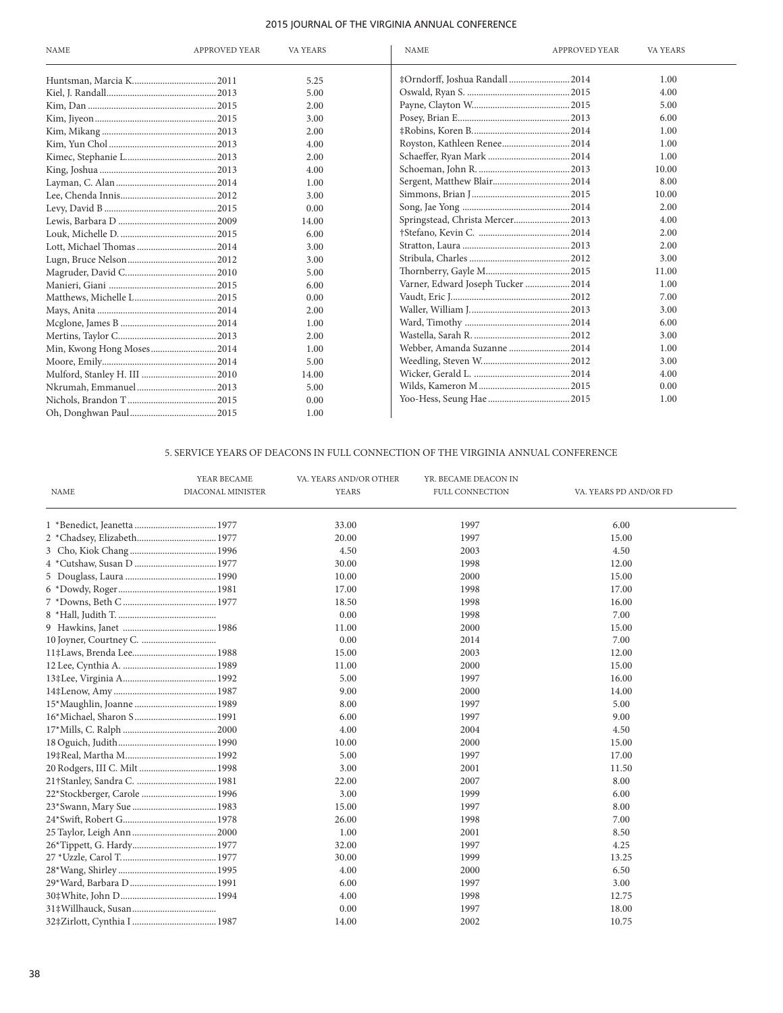| <b>NAME</b>                | <b>APPROVED YEAR</b> | VA YEARS | <b>APPROVED YEAR</b><br><b>NAME</b> | VA YEARS |
|----------------------------|----------------------|----------|-------------------------------------|----------|
|                            |                      | 5.25     | #Orndorff, Joshua Randall  2014     | 1.00     |
|                            |                      | 5.00     |                                     | 4.00     |
|                            |                      | 2.00     |                                     | 5.00     |
|                            |                      | 3.00     |                                     | 6.00     |
|                            |                      | 2.00     |                                     | 1.00     |
|                            |                      | 4.00     |                                     | 1.00     |
|                            |                      | 2.00     |                                     | 1.00     |
|                            |                      | 4.00     |                                     | 10.00    |
|                            |                      | 1.00     |                                     | 8.00     |
|                            |                      | 3.00     |                                     | 10.00    |
|                            |                      | 0.00     |                                     | 2.00     |
|                            |                      | 14.00    | Springstead, Christa Mercer 2013    | 4.00     |
|                            |                      | 6.00     |                                     | 2.00     |
|                            |                      | 3.00     |                                     | 2.00     |
|                            |                      | 3.00     |                                     | 3.00     |
|                            |                      | 5.00     |                                     | 11.00    |
|                            |                      | 6.00     | Varner, Edward Joseph Tucker  2014  | 1.00     |
|                            |                      | 0.00     |                                     | 7.00     |
|                            |                      | 2.00     |                                     | 3.00     |
|                            |                      | 1.00     |                                     | 6.00     |
|                            |                      | 2.00     |                                     | 3.00     |
| Min, Kwong Hong Moses 2014 |                      | 1.00     | Webber, Amanda Suzanne  2014        | 1.00     |
|                            |                      | 5.00     |                                     | 3.00     |
|                            |                      | 14.00    |                                     | 4.00     |
|                            |                      | 5.00     |                                     | 0.00     |
|                            |                      | 0.00     |                                     | 1.00     |
|                            |                      | 1.00     |                                     |          |

# 5. SERVICE YEARS OF DEACONS IN FULL CONNECTION OF THE VIRGINIA ANNUAL CONFERENCE

|                               | YEAR BECAME       | VA. YEARS AND/OR OTHER | YR. BECAME DEACON IN |                        |
|-------------------------------|-------------------|------------------------|----------------------|------------------------|
| NAME                          | DIACONAL MINISTER | YEARS                  | FULL CONNECTION      | VA. YEARS PD AND/OR FD |
|                               |                   | 33.00                  | 1997                 | 6.00                   |
| 2 *Chadsey, Elizabeth 1977    |                   | 20.00                  | 1997                 | 15.00                  |
|                               |                   | 4.50                   | 2003                 | 4.50                   |
|                               |                   | 30.00                  | 1998                 | 12.00                  |
|                               |                   | 10.00                  | 2000                 | 15.00                  |
|                               |                   | 17.00                  | 1998                 | 17.00                  |
|                               |                   | 18.50                  | 1998                 | 16.00                  |
|                               |                   | 0.00                   | 1998                 | 7.00                   |
|                               |                   | 11.00                  | 2000                 | 15.00                  |
|                               |                   | 0.00                   | 2014                 | 7.00                   |
|                               |                   | 15.00                  | 2003                 | 12.00                  |
|                               |                   | 11.00                  | 2000                 | 15.00                  |
|                               |                   | 5.00                   | 1997                 | 16.00                  |
|                               |                   | 9.00                   | 2000                 | 14.00                  |
|                               |                   | 8.00                   | 1997                 | 5.00                   |
|                               |                   | 6.00                   | 1997                 | 9.00                   |
|                               |                   | 4.00                   | 2004                 | 4.50                   |
|                               |                   | 10.00                  | 2000                 | 15.00                  |
|                               |                   | 5.00                   | 1997                 | 17.00                  |
| 20 Rodgers, III C. Milt  1998 |                   | 3.00                   | 2001                 | 11.50                  |
|                               |                   | 22.00                  | 2007                 | 8.00                   |
| 22*Stockberger, Carole  1996  |                   | 3.00                   | 1999                 | 6.00                   |
|                               |                   | 15.00                  | 1997                 | 8.00                   |
|                               |                   | 26.00                  | 1998                 | 7.00                   |
|                               |                   | 1.00                   | 2001                 | 8.50                   |
|                               |                   | 32.00                  | 1997                 | 4.25                   |
|                               |                   | 30.00                  | 1999                 | 13.25                  |
|                               |                   | 4.00                   | 2000                 | 6.50                   |
|                               |                   | 6.00                   | 1997                 | 3.00                   |
|                               |                   | 4.00                   | 1998                 | 12.75                  |
|                               |                   | 0.00                   | 1997                 | 18.00                  |
|                               |                   | 14.00                  | 2002                 | 10.75                  |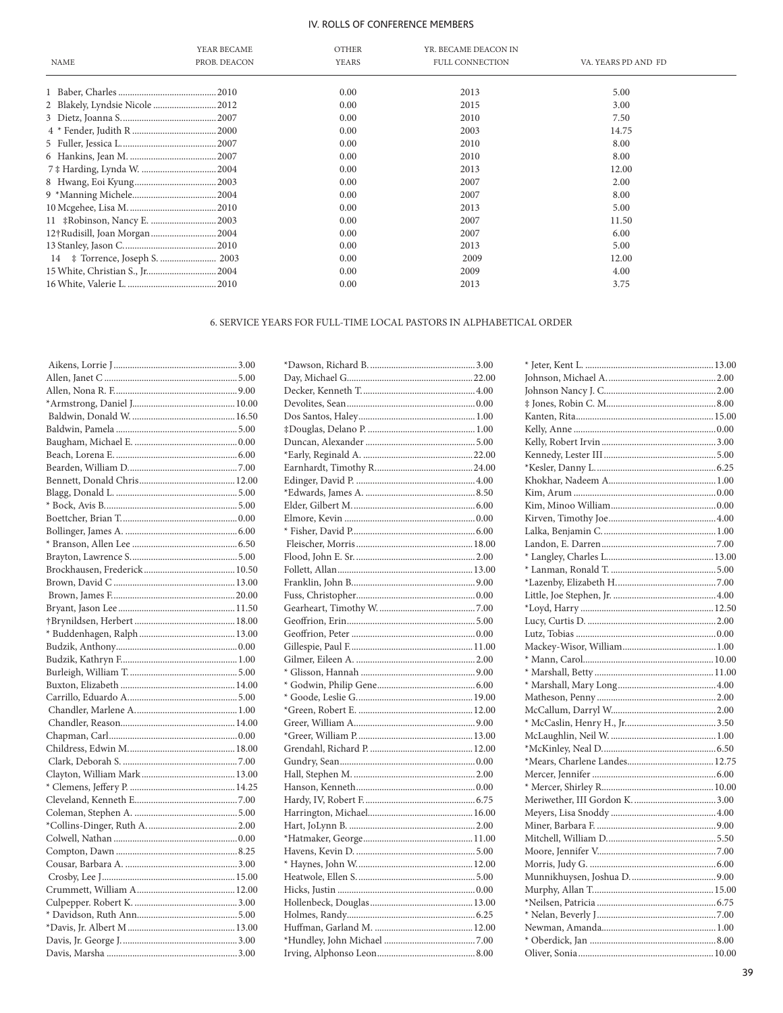| <b>NAME</b>                     | YEAR BECAME<br>PROB. DEACON | <b>OTHER</b><br><b>YEARS</b> | YR. BECAME DEACON IN<br>FULL CONNECTION | VA. YEARS PD AND FD |
|---------------------------------|-----------------------------|------------------------------|-----------------------------------------|---------------------|
|                                 |                             | 0.00                         | 2013                                    | 5.00                |
| 2 Blakely, Lyndsie Nicole  2012 |                             | 0.00                         | 2015                                    | 3.00                |
|                                 |                             | 0.00                         | 2010                                    | 7.50                |
|                                 |                             | 0.00                         | 2003                                    | 14.75               |
|                                 |                             | 0.00                         | 2010                                    | 8.00                |
|                                 |                             | 0.00                         | 2010                                    | 8.00                |
|                                 |                             | 0.00                         | 2013                                    | 12.00               |
|                                 |                             | 0.00                         | 2007                                    | 2.00                |
|                                 |                             | 0.00                         | 2007                                    | 8.00                |
|                                 |                             | 0.00                         | 2013                                    | 5.00                |
|                                 |                             | 0.00                         | 2007                                    | 11.50               |
| 12†Rudisill, Joan Morgan2004    |                             | 0.00                         | 2007                                    | 6.00                |
|                                 |                             | 0.00                         | 2013                                    | 5.00                |
|                                 |                             | 0.00                         | 2009                                    | 12.00               |
| 15 White, Christian S., Jr 2004 |                             | 0.00                         | 2009                                    | 4.00                |
|                                 |                             | 0.00                         | 2013                                    | 3.75                |

# 6. SERVICE YEARS FOR FULL-TIME LOCAL PASTORS IN ALPHABETICAL ORDER

| .3.00  |  |
|--------|--|
| .5.00  |  |
| 9.00   |  |
| .10.00 |  |
| .16.50 |  |
| .5.00  |  |
| 0.001  |  |
| .6.00  |  |
| .7.00  |  |
| .12.00 |  |
| .5.00  |  |
| .5.00  |  |
| 0.00   |  |
| .6.00  |  |
| .6.50  |  |
| .5.00  |  |
| .10.50 |  |
| .13.00 |  |
| .20.00 |  |
| .11.50 |  |
| .18.00 |  |
| .13.00 |  |
| 0.001  |  |
| .1.00  |  |
| .5.00  |  |
| .14.00 |  |
| .5.00  |  |
| .1.00  |  |
| .14.00 |  |
| 0.00   |  |
| .18.00 |  |
| .7.00  |  |
| .13.00 |  |
| .14.25 |  |
| .7.00  |  |
| .5.00  |  |
| .2.00  |  |
| 0.001  |  |
| .8.25  |  |
| .3.00  |  |
| .15.00 |  |
| .12.00 |  |
| .3.00  |  |
| .5.00  |  |
| .13.00 |  |
| .3.00  |  |
| .3.00  |  |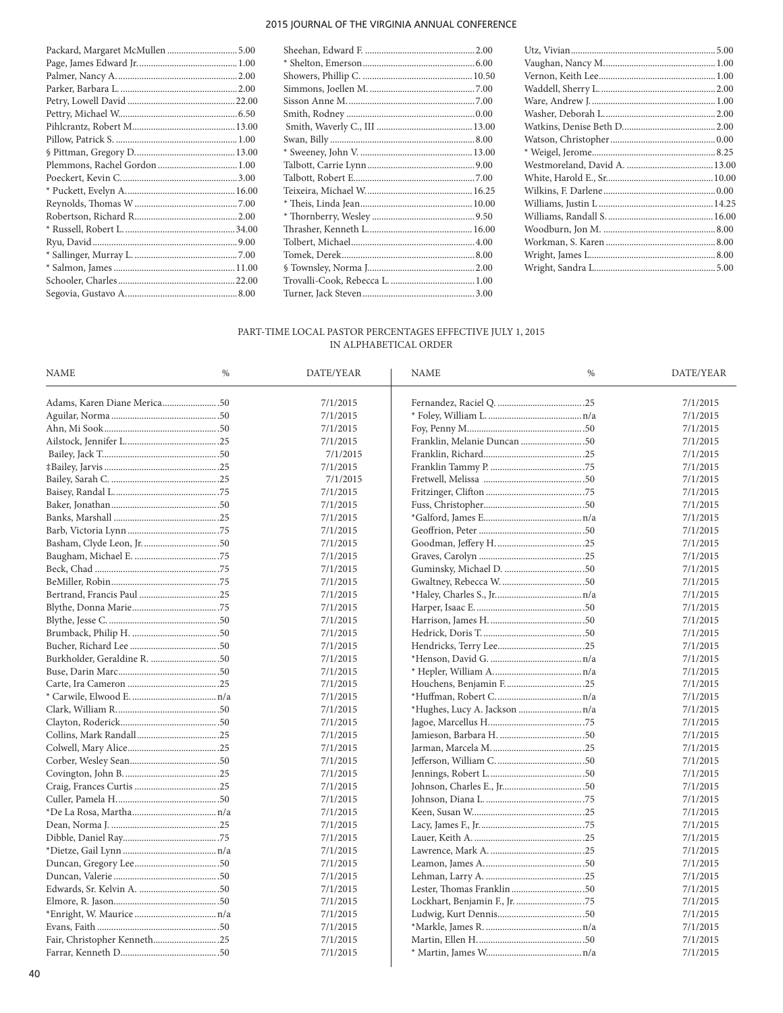| Packard, Margaret McMullen  5.00 |  |
|----------------------------------|--|
|                                  |  |
|                                  |  |
|                                  |  |
|                                  |  |
|                                  |  |
|                                  |  |
|                                  |  |
|                                  |  |
|                                  |  |
|                                  |  |
|                                  |  |
|                                  |  |
|                                  |  |
|                                  |  |
|                                  |  |
|                                  |  |
|                                  |  |
|                                  |  |
|                                  |  |

# PART-TIME LOCAL PASTOR PERCENTAGES EFFECTIVE JULY 1, 2015 IN ALPHABETICAL ORDER

| <b>NAME</b>                 | $\%$ | DATE/YEAR | <b>NAME</b>                   | $\%$ | DATE/YEAR |
|-----------------------------|------|-----------|-------------------------------|------|-----------|
| Adams, Karen Diane Merica50 |      | 7/1/2015  |                               |      | 7/1/2015  |
|                             |      | 7/1/2015  |                               |      | 7/1/2015  |
|                             |      | 7/1/2015  |                               |      | 7/1/2015  |
|                             |      | 7/1/2015  | Franklin, Melanie Duncan 50   |      | 7/1/2015  |
|                             |      | 7/1/2015  |                               |      | 7/1/2015  |
|                             |      | 7/1/2015  |                               |      | 7/1/2015  |
|                             |      | 7/1/2015  |                               |      | 7/1/2015  |
|                             |      | 7/1/2015  |                               |      | 7/1/2015  |
|                             |      | 7/1/2015  |                               |      | 7/1/2015  |
|                             |      | 7/1/2015  |                               |      | 7/1/2015  |
|                             |      | 7/1/2015  |                               |      | 7/1/2015  |
|                             |      | 7/1/2015  |                               |      | 7/1/2015  |
|                             |      | 7/1/2015  |                               |      | 7/1/2015  |
|                             |      | 7/1/2015  |                               |      | 7/1/2015  |
|                             |      | 7/1/2015  |                               |      | 7/1/2015  |
|                             |      | 7/1/2015  |                               |      | 7/1/2015  |
|                             |      | 7/1/2015  |                               |      | 7/1/2015  |
|                             |      | 7/1/2015  |                               |      | 7/1/2015  |
|                             |      | 7/1/2015  |                               |      | 7/1/2015  |
|                             |      | 7/1/2015  |                               |      | 7/1/2015  |
|                             |      | 7/1/2015  |                               |      | 7/1/2015  |
|                             |      | 7/1/2015  |                               |      | 7/1/2015  |
|                             |      | 7/1/2015  |                               |      | 7/1/2015  |
|                             |      | 7/1/2015  |                               |      | 7/1/2015  |
|                             |      | 7/1/2015  | *Hughes, Lucy A. Jackson  n/a |      | 7/1/2015  |
|                             |      | 7/1/2015  |                               |      | 7/1/2015  |
|                             |      | 7/1/2015  |                               |      | 7/1/2015  |
|                             |      | 7/1/2015  |                               |      | 7/1/2015  |
|                             |      | 7/1/2015  |                               |      | 7/1/2015  |
|                             |      | 7/1/2015  |                               |      | 7/1/2015  |
|                             |      | 7/1/2015  |                               |      | 7/1/2015  |
|                             |      | 7/1/2015  |                               |      | 7/1/2015  |
|                             |      | 7/1/2015  |                               |      | 7/1/2015  |
|                             |      | 7/1/2015  |                               |      | 7/1/2015  |
|                             |      | 7/1/2015  |                               |      | 7/1/2015  |
|                             |      | 7/1/2015  |                               |      | 7/1/2015  |
|                             |      | 7/1/2015  |                               |      | 7/1/2015  |
|                             |      | 7/1/2015  |                               |      | 7/1/2015  |
|                             |      | 7/1/2015  |                               |      | 7/1/2015  |
|                             |      | 7/1/2015  |                               |      | 7/1/2015  |
|                             |      | 7/1/2015  |                               |      | 7/1/2015  |
|                             |      | 7/1/2015  |                               |      | 7/1/2015  |
| Fair, Christopher Kenneth25 |      | 7/1/2015  |                               |      | 7/1/2015  |
|                             |      | 7/1/2015  |                               |      | 7/1/2015  |
|                             |      |           |                               |      |           |